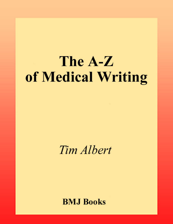# The A-Z of Medical Writing

**Tim Albert** 

**BMJ Books**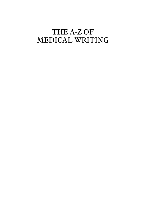### THE A-Z OF MEDICAL WRITING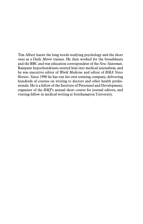Tim Albert learnt the long words studying psychology and the short ones as a *Daily Mirror* trainee. He then worked for the broadsheets and the BBC and was education correspondent of the *New Statesman*. Rampant hypochondriasis steered him into medical journalism, and he was executive editor of *World Medicine* and editor of *BMA News Review*. Since 1990 he has run his own training company, delivering hundreds of courses on writing to doctors and other health professionals. He is a fellow of the Institute of Personnel and Development, organiser of the *BMJ*'s annual short course for journal editors, and visiting fellow in medical writing at Southampton University.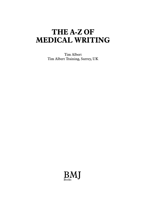### **THE A-Z OF MEDICAL WRITING**

Tim Albert Tim Albert Training, Surrey, UK

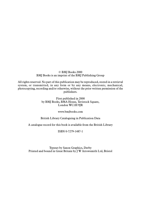© BMJ Books 2000 BMJ Books is an imprint of the BMJ Publishing Group

All rights reserved. No part of this publication may be reproduced, stored in a retrieval system, or transmitted, in any form or by any means, electronic, mechanical, photocopying, recording and/or otherwise, without the prior written permission of the publishers.

> First published in 2000 by BMJ Books, BMA House, Tavistock Square, London WC1H 9JR

> > www.bmjbooks.com

British Library Cataloguing in Publication Data

A catalogue record for this book is available from the British Library

ISBN 0-7279-1487-1

Typeset by Saxon Graphics, Derby Printed and bound in Great Britain by J W Arrowsmith Ltd, Bristol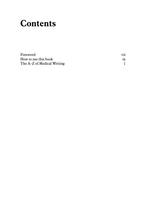## **Contents**

| Foreword                   | $\cdot\cdot$<br>V11 |
|----------------------------|---------------------|
| How to use this book       |                     |
| The A–Z of Medical Writing |                     |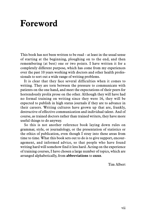### **Foreword**

This book has not been written to be read – at least in the usual sense of starting at the beginning, ploughing on to the end, and then remembering (at best) one or two points. I have written it for a completely different purpose, which has come from my experiences over the past 10 years working with doctors and other health professionals to sort out a wide range of writing problems.

It is clear that they face several difficulties when it comes to writing. They are torn between the pressure to communicate with patients on the one hand, and meet the expectations of their peers for horrendously prolix prose on the other. Although they will have had no formal training on writing since they were 16, they will be expected to publish in high status journals if they are to advance in their careers. Writing cultures have grown up that are, frankly, destructive of effective communication and individual talent. And of course, as trained doctors rather than trained writers, they have more useful things to do anyway.

So this is not another reference book laying down rules on grammar, style, or journalology, or the presentation of statistics or the ethics of publication, even though I stray into these areas from time to time. What this book sets out to do is to give support, encouragement, and informed advice, so that people who have found writing hard will somehow find it less hard. Acting on the experience of training courses, I have chosen a large number of topics, which are arranged alphabetically, from **abbreviations** to **zzzzz**.

Tim Albert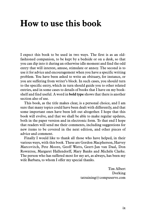## **How to use this book**

I expect this book to be used in two ways. The first is as an oldfashioned companion, to be kept by a bedside or on a desk, so that you can dip into it during an otherwise idle moment and find the odd entry that will interest, amuse, stimulate or annoy. The second is to use it for advice and encouragement when you have a specific writing problem. You have been asked to write an obituary, for instance, or you are suffering from writer's block. In such cases, you should turn to the specific entry, which in turn should guide you to other related entries, and in some cases to details of books that I have on my bookshelf and find useful. A word in **bold type** shows that there is another section also of use.

This book, as the title makes clear, is a personal choice, and I am sure that many topics could have been dealt with differently, and that some important ones have been left out altogether. I hope that this book will evolve, and that we shall be able to make regular updates, both in the paper version and in electronic form. To that end I hope that readers will send me their comments, including suggestions for new items to be covered in the next edition, and other pieces of advice and comment.

Finally I would like to thank all those who have helped, in their various ways, with this book. These are Gordon Macpherson, Harvey Marcovitch, Pete Moore, Geoff Watts, Geert-Jan van Daal, Don Rowntree, Margaret Hallendorff, Mary Banks and Michèle Clarke. The person who has suffered most for my art, as always, has been my wife Barbara, to whom I offer my special thanks.

> Tim Albert Dorking tatraining@compuserve.com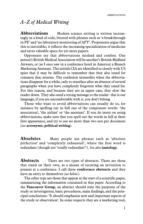### *A–Z of Medical Writing*

**Abbreviations** Modern science writing is written increasingly in a kind of code, littered with phrases such as 'a breakthrough in PE' and 'no laboratory monitoring of APT'. Proponents argue that this is inevitable; it reflects the increasing specialization of medicine and saves valuable space for yet more papers.

Opponents say that abbreviations mislead and confuse. One person's British Medical Association will be another's British Midland Airways, or (as I once saw in a conference hotel in America) a Branch Marketing Assistant. The initials CIA are identified so closely with US spies that it may be difficult to remember that they also stand for common iliac arteries. The confusion intensifies when the abbreviations disappear for a while, only to resurface after an absence of several paragraphs when you have completely forgotten what they stand for. For this reason, and because they are in upper case, they slow the reader down. They also send a strong message to the reader: this is our language, if you are uncomfortable with it, you don't belong.

Those who want to avoid abbreviations can usually do so, for instance by spelling out in full one of the component words: 'the association', 'the airline' or 'the assistant'. If you do insist on using abbreviations, make sure that you spell out the words in full at their first appearance, and try to use no more than two sets per document (*see* **acronyms; political writing**).

**Absolutes** Many people use phrases such as 'absolute perfection' and 'completely exhausted', where the first word is redundant (though not 'totally redundant'!). *See also* **tautology.**

**Abstracts** There are two types of abstracts. There are those that stand on their own, as a means of securing an invitation to present at a conference. I call these **conference abstracts** and they have an entry to themselves (*see below*).

The other type are those that appear at the start of a scientific paper, summarizing the information contained in that paper. According to the **Vancouver Group**, an abstract should state the purposes of the study or investigation, basic procedures, main findings, and the principal conclusions: 'It should emphasize new and important aspects of the study or observation'. In some respects they are a marketing tool,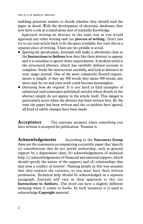enabling potential readers to decide whether they should read the paper in detail. With the development of electronic databases, they now have a role as a stand-alone unit of scientific knowledge.

Approach writing an abstract in the same way as you would approach any other writing task (*see* **process of writing**). Don't just try to cut your article back to fit the space available, but treat this as a separate piece of writing. There are two pitfalls to avoid.

- *Ignoring the specifications*. Journals will make it absolutely clear in the **Instructions to Authors** how they like their abstract to appear, and it is senseless to ignore these requirements. A modern trend is the structured abstract, which has carefully defined sections to complete. Study the instructions carefully, and look at abstracts in your target journal. One of the most commonly flouted requirements is length: if they say 300 words they mean 300 words; any more may be cut and your work could become meaningless.
- *Deviating from the original*. It is not hard to find examples of submitted (and sometimes published) articles where details in the abstract simply do not appear in the article itself. This danger is particularly acute when the abstract has been written first. By the time the paper has been written and the co-authors have agreed, all kind of subtle changes have been made.

**Acceptance** The supreme moment when something you have written is accepted for publication. Treasure it.

**Acknowledgements** According to the **Vancouver Group** these are the statements accompanying a scientific paper that 'specify (a) contributions that do not justify authorship, such as general support by a department chair, (b) acknowledgements of technical help, (c) acknowledgements of financial and material support, which should specify the nature of the support; and (d) relationships that may pose a conflict of interest'. Naming people in this way assumes that they endorse the contents, so you must have their written permission. Technical help should be acknowledged in a separate paragraph. Journals will vary in their approach to this (*see* **Instructions to Authors**). The word can have a slightly different meaning when it comes to books. In such instances it is used to acknowledge **Copyright** material.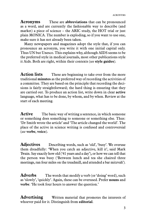**Acronyms** These are **abbreviations** that can be pronounced as a word, and are currently the fashionable way to describe (and market) a piece of science – the ARIC study, the HOT trial or just plain MONICA. The number is exploding, so if you want to use one, make sure it has not already been taken.

Many newspapers and magazines adopt the style that, if you can pronounce an acronym, you write it with one initial capital only. Thus UN but Unesco. This explains why, although AIDS seems to be the preferred style in medical journals, most other publications style it Aids. Both are right, within their contexts (*see* **style guides**).

**Action lists** These are beginning to take over from the more traditional **minutes** as the preferred way of recording the activities of a committee. They are based on the principle that recording the decisions is fairly straightforward; the hard thing is ensuring that they are carried out. To produce an action list, write down in clear **active** language, what has to be done, by whom, and by when. Review at the start of each meeting.

Active The basic way of writing a sentence, in which someone or something does something to someone or something else. Thus: 'Dr Smith wrote the article' and 'The article changed the world'. The place of the active in science writing is confused and controversial (*see* **verbs**; **voice**).

**Adjectives** Describing words, such as 'old', 'busy'. We overuse them dreadfully: 'When you catch an adjective, kill it', said Mark Twain. Say exactly how old ('41 years and a day'), or how we can tell that the person was busy ('Between lunch and tea she chaired three meetings, ran four miles on the treadmill, and attended a bar mitzvah').

**Adverbs** The words that modify a verb (or 'doing' word), such as 'slowly', 'quickly'. Again, these can be overused. Prefer **nouns** and **verbs**: 'He took four hours to answer the question.'

**Advertising** Written material that promotes the interests of whoever paid for it. Distinguish from **editorial**.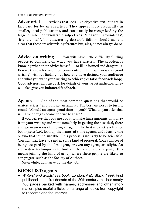**Advertorial** Articles that look like objective text, but are in fact paid for by an advertiser. They appear more frequently in smaller, local publications, and can usually be recognized by the large number of favourable **adjectives**: 'elegant surroundings', 'friendly staff ', 'mouthwatering desserts'. Editors should make it clear that these are advertising features but, alas, do not always do so.

**Advice on writing** You will have little difficulty finding people to comment on what you have written. The problem is knowing when their advice is useful – or ill-informed and dangerous. Beware those who base their comments on their own views on 'good writing' without finding out how you have defined your **audience** and what you want your writing to achieve (*see* **false feedback loop**). Good advisers will first ask for details of your target audience. They will also give you **balanced feedback**.

**Agents** One of the most common questions that would-be writers ask is: 'Should I get an agent?'. The best answer is to turn it round: 'Should an agent spend time on you?'. What do you offer that will give enough income for two to share?

If you believe that you are about to make huge amounts of money from your writing and want some help in getting the best deal, there are two main ways of finding an agent. The first is to get a reference book (*see below*), look up the names of some agents, and identify one or two that sound suitable. This process is unlikely to be scientific. You will then have to send in some kind of proposal. Your chances of being accepted by the first agent, or even any agent, are slight. An alternative technique is to find and bedazzle one at a party: this means joining the kind of group where these people are likely to congregate, such as the Society of Authors.

Meanwhile, don't give up the day job.

#### **BOOKLIST: agents**

• *Writers' and artists' yearbook*, London: A&C Black, 1999. First published in the first decade of the 20th century, this has nearly 700 pages packed with names, addresses and other information, plus useful articles on a range of topics from copyright to research and the Internet.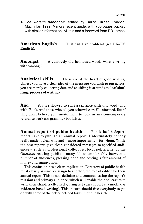• *The writer's handbook*, edited by Barry Turner, London: Macmillan 1999. A more recent guide, with 750 pages packed with similar information. All this and a foreword from PD James.

**American English** This can give problems (*see* **UK–US English**).

**Amongst** A curiously old-fashioned word. What's wrong with 'among'?

**Analytical skills** These are at the heart of good writing. Unless you have a clear idea of the **message** you wish to put across, you are merely collecting data and shuffling it around (*see* **leaf shuffling**; **process of writing**).

And You are allowed to start a sentence with this word (and with 'But'). And those who tell you otherwise are ill-informed. But if they don't believe you, invite them to look in any contemporary reference work (*see* **grammar booklist**).

**Annual report of public health** Public health departments have to publish an annual report. Unfortunately nobody really made it clear why and – more importantly – for whom. While the best reports give clear, considered messages to specified audiences – such as professional colleagues, local politicians, or the *Guardian*-reading public – many fall uncomfortably between a number of audiences, pleasing none and costing a fair amount of money and aggravation.

This confusion has a clear implication. Directors of public health must clearly assume, or assign to another, the role of **editor** for their annual report. This means defining and communicating the report's **mission** and primary audience, which will enable their colleagues to write their chapters effectively, using last year's report as a model (*see* **evidence-based writing**). This in turn should free everybody to get on with some of the better defined tasks in public health.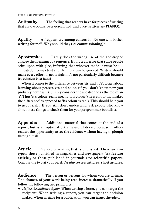**Antipathy** The feeling that readers have for pieces of writing that are over-long, over-researched, and over-written (*see* **PIANO**).

**Apathy** A frequent cry among editors is: 'No one will bother writing for me!'. Why should they (*see* **commissioning**)?

**Apostrophes** Rarely does the wrong use of the apostrophe change the meaning of a sentence. But it is an error that some people seize upon with glee, inferring that whoever made it must be illeducated, incompetent and therefore can be ignored. Writers should make every effort to get it right; it's not particularly difficult because its solution is at hand.

When it comes to the difference between 'its' and 'it's', forget about learning about possessives and so on (if you don't know now you probably never will). Simply consider the apostrophe as the top of an 'i'. Thus 'it's colour' really means 'it is colour' ('It is colour that makes the difference' as opposed to 'Its colour is red'). This should help you to get it right. If you still don't understand, ask people who know about these things to check them for you (*see* **grammar booklist**).

**Appendix** Additional material that comes at the end of a report, but is an optional extra: a useful device because it offers readers the opportunity to see the evidence without having to plough through it all.

**Article** A piece of writing that is published. There are two types: those published in magazines and newspapers (*see* **feature article**), or those published in journals (*see* **scientific paper**). Confuse the two at your peril. *See also* **review articles**; **short articles**.

**Audience** The person or persons for whom you are writing. The chances of your work being read increase dramatically if you follow the following two principles.

• *Define the audience tightly*. When writing a letter, you can target the recipient. When writing a report, you can target the decision maker. When writing for a publication, you can target the editor.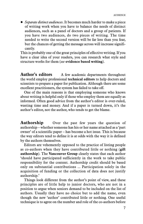• *Separate distinct audiences*. It becomes much harder to make a piece of writing work when you have to balance the needs of distinct audiences, such as a panel of doctors and a group of patients. If you have two audiences, do two pieces of writing. The time needed to write the second version will be far less than you fear, but the chances of getting the message across will increase significantly.

This is probably one of the great principles of effective writing. If you have a clear idea of your readers, you can research what style and structure works for them (*see* **evidence based writing**).

Author's editors A few academic departments throughout the world employ professional **technical editors** to help doctors and scientists to prepare a paper for publication. Although there are some excellent practitioners, the system has failed to take off.

One of the main reasons is that employing someone who knows about writing is helpful only if those who employ them are equally as informed. Often good advice from the author's editor is over-ruled, wasting time and money. And if a paper is turned down, it's the author's editor, not the author, who tends to get the blame.

**Authorship** Over the past few years the question of authorship – whether someone has his or her name attached as a 'part owner' of a scientific paper – has become a hot issue. This is because the way editors tend to define it is at odds with the way it is defined by the authors themselves.

Editors are vehemently opposed to the practice of listing people as co-authors when they have contributed little or nothing (**gift authorship**). The **Vancouver Group** clearly states that each author 'should have participated sufficiently in the work to take public responsibility for the content. Authorship credit should be based only on substantial contributions ... Participation solely in the acquisition of funding or the collection of data does not justify authorship.'

Things look different from the author's point of view, and these principles are of little help to junior doctors, who are not in a position to argue when seniors demand to be included on the list of authors. Usually they have no choice but to add the name, even though the new 'author' contributed little or nothing. One useful technique is to agree on the number and role of the co-authors before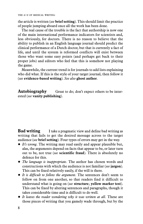the article is written (*see* **brief setting**). This should limit the practice of people jumping aboard once all the work has been done.

The real cause of the trouble is the fact that authorship is now one of the main international performance indicators for scientists and, less obviously, for doctors. There is no reason to believe that the ability to publish in an English language journal should predict the clinical performance of a Dutch doctor, but that is currently a fact of life, and until the system is reformed conflicts will exist between those who want some easy points (and perhaps get back to their proper jobs) and editors who feel that this is somehow not playing the game.

Meanwhile, the current trend is for journals to add lists explaining who did what. If this is the style of your target journal, then follow it (*see* **evidence-based writing**). *See also* **ghost author**.

**Autobiography** Great to do; don't expect others to be interested (*see* **vanity publishing**).

**Bad writing** I take a pragmatic view and define bad writing as writing that fails to get the desired message across to the target audience (*see* **brief setting**). Four types of errors may get in the way.

- *It's wrong*. The writing may read easily and appear plausible but, alas, the arguments depend on facts that appear to be, or later turn out to be, not true (*see* **scientific fraud**). There is absolutely no defence for this.
- *The language is inappropriate*. The author has chosen words and constructions with which the audience is not familiar (*see* **jargon**). This can be fixed relatively easily, if the will is there.
- *It is difficult to follow the argument*. The sentences don't seem to follow on from one another, so that readers find it difficult to understand what is going on (*see* **structure**; **yellow marker test**). This can be fixed by altering sentences and paragraphs, though it takes considerable time and is difficult to do well.
- *It leaves the reader wondering why it was written at all*. These are those pieces of writing that you gamely wade through, but by the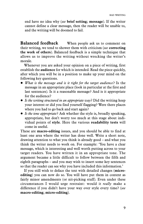end have no idea why (*see* **brief setting**; **message**). If the writer cannot define a clear message, then the reader will be unable to, and the writing will be doomed to fail.

**Balanced feedback** When people ask us to comment on their writing, we tend to shower them with criticism (*see* **correcting the work of others**). Balanced feedback is a simple technique that allows us to improve the writing without wrecking the writer's morale.

Whenever you are asked your opinion on a piece of writing, first establish the **audience** for which is intended. Read the piece quickly, after which you will be in a position to make up your mind on the following key questions.

- *What is the message and is it right for the target audience*? Is the message in an appropriate place (look in particular at the first and last sentences). Is it a reasonable message? And is it appropriate for the audience?
- *Is the writing structured in an appropriate way*? Did the writing keep your interest or did you find yourself flagging? Were there places where you had to go back and start again?
- *Is the tone appropriate*? Ask whether the style is, broadly speaking, appropriate, but don't worry too much at this stage about individual points of **style**. Here the various **readability tests** will come in useful.

These are **macro-editing** issues, and you should be able to find at least one area where the writer has done well. Write a short note, drawing attention to what you think is already good – and what you think the writer needs to work on. For example: 'You have a clear message, which is interesting and well worth putting across to your target readers. You have written it in an appropriate tone. The argument became a little difficult to follow between the fifth and eighth paragraphs – and you may wish to insert some key sentences so that the reader can see why you have included this information.'

If you still wish to deface the text with detailed changes (**microediting**) you can now do so. You will have put them in context as fairly minor amendments (or nit-picking stuff). Even under these circumstances I would urge restraint: would it *really* make a difference if you didn't have your way over style every time? (*see* **macro-editing**; **micro-editing**).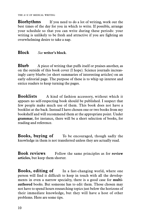**Biorhythms** If you need to do a lot of writing, work out the best times of the day for you in which to write. If possible, arrange your schedule so that you can write during these periods: your writing is unlikely to be fresh and attractive if you are fighting an overwhelming desire to take a nap.

#### **Block** *See* **writer's block**.

**Blurb** A piece of writing that puffs itself or praises another, as on the outside of this book cover (I hope). Science journals increasingly carry blurbs (or short summaries of interesting articles) on an early editorial page. The purpose of these is to whip up interest and entice readers to keep turning the pages.

**Booklists** A kind of fashion accessory, without which it appears no self-respecting book should be published. I suspect that few people make much use of them. This book does not have a booklist at the back. Instead I have chosen one or two books from my bookshelf and will recommend them at the appropriate point. Under **grammar**, for instance, there will be a short selection of books, for reading and reference.

**Books, buying of** To be encouraged, though sadly the knowledge in them is not transferred unless they are actually read.

**Book reviews** Follow the same principles as for **review articles**, but keep them shorter.

**Books, editing of** In a fast-changing world, where one person will find it difficult to keep in touch with all the developments in even a narrow specialty, there is a good case for **multiauthored** books. But someone has to edit them. Those chosen may not have to spend hours researching topics just below the horizons of their immediate knowledge, but they will have a host of other problems. Here are some tips.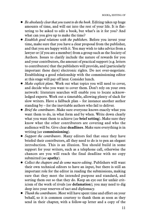- *Be absolutely clear that you want to do the book*. Editing takes up huge amounts of time, and will eat into the rest of your life. It is flattering to be asked to edit a book, but what's in it for you? And what can you give up to make the time?
- *Establish good relations with the publishers*. Before you invest your time, make sure that you have a clear proposal from the publisher, and that you are happy with it. You may wish to take advice from a lawyer or (if you are a member) from a group such as the Society of Authors. Issues to clarify include the nature of rewards for you and your contributors, the amount of practical support (e.g. letters to contributors) that the publishers will provide, and (particularly important these days) electronic rights. Do not over-negotiate. Establishing a good relationship with the commissioning editor at this stage will pay off later. Consider lunch.
- *Make explicit plans.* Work out what topics you will need to cover, and decide who you want to cover them. Don't rely on your own network: literature searches will enable you to locate acknowledged experts. Work out a timetable, allowing plenty of slack for slow writers. Have a fallback plan – for instance another author standing by – for the inevitable authors who fail to deliver.
- *Brief the contributors*. Make sure everyone knows exactly what you want them to do, in what form and by when. Write down clearly what you want them to achieve (*see* **brief setting**). Make sure they know what the other contributors are covering and who the audience will be. Give clear **deadlines**. Make sure everything is in writing (*see* **commissioning**).
- *Support the contributors*. Many editors feel that once they have briefed their contributors, all they need to do is to pen an elegant introduction. This is an illusion. You should build in some support for your writers, such as a telephone call, otherwise the chances are you will reach the final deadline with no copy submitted (*see* **apathy**).
- *Collect the chapters and do some macro-editing*. Publishers will want their own technical editors to have an input, but there is still an important role for the editor in reading the submissions, making sure that they meet the intended purpose and standard, and sorting them out so that they do. Keep an eye out for unfair criticism of the work of rivals (*see* **defamation**); you may need to dig deep into your reserves of tact and diplomacy.
- *Thank the contributors*. Most will have spent time and effort on your behalf, so it is common courtesy to thank them as soon as they send in their chapter, with a follow-up letter and a copy of the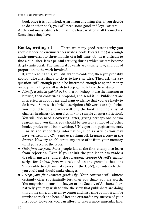book once it is published. Apart from anything else, if you decide to do another book, you will need some good and loyal writers.

At the end many editors feel that they have written it all themselves. Sometimes they have.

**Books, writing of** There are many good reasons why you should under no circumstances write a book. It eats time (as a rough guide equivalent to three months of a full-time job). It is difficult to find a publisher. It is a painful activity, during which writers become deeply antisocial. The financial rewards are usually low, and out of proportion to the work involved.

If, after reading this, you still want to continue, then you probably should. The first thing to do is to have an idea. Then ask the key question: will enough people be interested enough to spend money on buying it? If you still wish to keep going, follow these stages.

- *Identify a suitable publisher*. Go to a bookshop or use the Internet to browse, then construct a proposal, and send it in. Publishers are interested in good ideas, and want evidence that you are likely to do it well. Start with a brief description (200 words or so) of what you intend to do and who will buy the book. Include a list of chapter headings (for non-fiction) or a sample chapter (if fiction). You will also need a **covering letter**, giving perhaps one or two reasons why you think you should be trusted (author of 17 other books, professor of book writing, UN expert on pagination, etc). Finally, add supporting information, such as articles you may have written, or a **CV**. Send everything off, keeping a copy in the drawer. Now try to obliterate any trace of it from your memory until you receive the reply.
- *Gain from the pain*. Most people fail at the first attempt, so learn from **rejection**. Even if you think the publisher has made a dreadful mistake (and it does happen: George Orwell's manuscript for *Animal farm* was rejected on the grounds that it is 'impossible to sell animal stories in the USA'), consider whether you could and should make changes.
- *Accept your first contract graciously*. Your contract will almost certainly offer substantially less than you think you are worth. You may wish to consult a lawyer or the Society of Authors; alternatively you may wish to take the view that publishers are doing this all the time, and as a newcomer and first-time author it will be unwise to rock the boat. (After the extraordinary success of your first book, however, you can afford to take a more muscular line,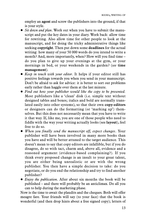employ an **agent** and screw the publishers into the ground, if that is your style.

- *Sit down and plan*. Work out when you have to submit the manuscript and put the key dates in your diary. Work back: allow time for rewriting. Also allow time for other people to look at the manuscript, and for doing the tricky administrative things like seeking **copyright**. Then put down some **deadlines** for the actual writing: how many of your 50 000 words do you intend to write a month? And, more importantly, when? How will you find time – do you plan to give up your evenings at the gym, or your mornings in bed, or your weekends in the garden? (*see* **time management**).
- *Keep in touch with your editor*. It helps if your editor still has positive feelings towards you when you send in your manuscript. Don't be afraid to ask for advice: it is better to sort out problems early rather than haggle over them at the last minute.
- *Find out how your publisher would like the copy to be presented.* Most publishers like a 'clean' disk (i.e. simple text without designed tables and boxes; italics and bold are normally translated easily into other systems), so that their own **copy-editors** or designers can do the formatting (or 'marking up') themselves. But this does not necessarily mean that you have to write it that way. If, like me, you are one of those people who need to fiddle with the way your writing actually looks (see **layout**), feel free to do so.
- *When you finally send the manuscript off, expect changes*. Your publisher will have been involved in many more books than you have and will be better attuned to the target audience. This doesn't mean to say that copy editors are infallible, but if you do disagree, do so with tact, charm and, above all, evidence and a reasoned argument (evidence-based complaining?). If you think every proposed change is an insult to your great talent, you are either being unrealistic or are with the wrong publisher. You then have a simple decision to take: do you negotiate, or do you end the relationship and try to find another publisher?
- *Enjoy the publication*. After about six months the book will be published – and there will probably be an anticlimax. Do all you can to help during the marketing phase.

Now is the time to await the plaudits and the cheques. Both will offer meagre fare. Your friends will say (to your face) that the book is wonderful (and then drop hints about a free signed copy); letters of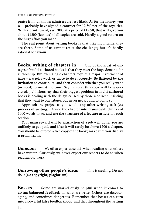praise from unknown admirers are less likely. As for the money, you will probably have signed a contract for 12.5% net of the royalties. With a print run of, say, 2000 at a price of £12.50, that will give you about £1500 (less tax) if all copies are sold. Hardly a good return on the huge effort you made.

The real point about writing books is that, like mountains, they are there. Some of us cannot resist the challenge; but it's hardly rational behaviour.

**Books, writing of chapters in** One of the great advantages of multi-authored books is that they meet the huge demand for authorship. But even single chapters require a major investment of time – a week's work or more to do it properly. Be flattered by the invitation to contribute, and then consider whether you really want (or need) to invest the time. Saying no at this stage will be appreciated: publishers say that their biggest problem in multi-authored books is dealing with the delays caused by those who keep insisting that they want to contribute, but never get around to doing so.

Approach the project as you would any other writing task (*see* **process of writing**). Divide the chapter into manageable chunks of 1000 words or so, and use the structure of a **feature article** for each section.

Your main reward will be satisfaction of a job well done. You are unlikely to get paid, and if so it will rarely be above £200 a chapter. You should be offered a free copy of the book; make sure you display it prominently.

**Boredom** We often experience this when reading what others have written. Curiously, we never expect our readers to do so when reading our work.

**Borrowing other people's ideas** This is stealing. Do not do it (*see* **copyright**; **plagiarism**).

**Bosses** Some are marvellously helpful when it comes to giving **balanced feedback** on what we write. Others are discouraging, and sometimes dangerous. Remember that bosses can turn into a powerful **false feedback loop**, and that throughout the writing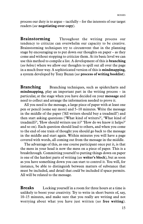process our duty is to argue – tactfully – for the interests of our target readers (*see* **negotiating over copy**).

**Brainstorming** Throughout the writing process our tendency to criticize can overwhelm our capacity to be creative. Brainstorming techniques try to circumvent that in the planning stage by encouraging us to put down our thoughts on paper – as they come and without stopping to criticize them. At its basic level we can use this method to compile a list. A development of this is **branching** (*see below*) where we allow our thoughts to spill out all over the page in a much freer way. A sophisticated version of this is **mindmapping**, a system developed by Tony Buzan (*see* **process of writing booklist**).

**Branching** Branching techniques, such as spidercharts and **mindmapping**, play an important part in the writing process – in particular, at the stage when you have decided on your **message** and need to collect and arrange the information needed to prove it.

All you need is the message, a large piece of paper with at least one pen or pencil (some say more) and 5–10 minutes. Write the message in the middle of the paper ('All writers should buy a treadmill') and then start asking questions ('What kind of writers?', 'What kind of treadmill?', 'How should writers use it?' 'How do we know it helps?' and so on). Each question should lead to others, and when you come to the end of one train of thought you should go back to the message in the middle and start again. Within minutes you will have a page covered with words, all coming out from the message in the middle.

The advantage of this, as one course participant once put it, is that the mess in your head is now the mess on a piece of paper. This is a breakthrough. Committing yourself to putting things down on paper is one of the hardest parts of writing (*see* **writer's block**), but as soon as you have something down you can start to control it. You will, for instance, be able to distinguish between matters of substance that must be included, and detail that *could* be included if space permits. All will be related to the message.

**Breaks** Locking yourself in a room for three hours at a time is unlikely to boost your creativity. Try to write in short bursts of, say, 10–15 minutes, and make sure that you really are writing and not worrying about what you have just written (*see* **free writing**).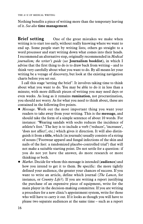Nothing benefits a piece of writing more than the temporary leaving of it. *See also* **time management**.

**Brief setting** One of the great mistakes we make when writing is to start too early, without really knowing where we want to end up. Some people start by writing lists; others go straight to a word processor and start writing down what comes into their heads. I recommend an alternative step, originally recommended in *Medical journalism; the writer's guide* (*see* **Journalism booklist**), in which I advise that the first thing to do is to draw back from writing – and to think very carefully about what you want to do. By all means let your writing be a voyage of discovery, but look at the existing navigation charts before you set out.

I call this stage 'setting the brief '. It involves taking time to think about what you want to do. You may be able to do it in less than a minute; with more difficult pieces of writing you may need days or even weeks. As long as it remains **rumination**, not procrastination, you should not worry. As for what you need to think about, these are contained in the following five points.

- *Message*. Work out the most important thing you want your readers to take away from your writing. This is the **message**, and should take the form of a simple sentence of about 10 words. For instance: 'Wearing sandals with socks reduces the incidence of athlete's foot.' The key is to include a verb ('reduces', 'increases', 'does not affect', etc.) which gives it direction. It will also distinguish it from a **title**, which (in journals) usually consists of a string of nouns ('Footwear apparel and fungal infections of the skin and nails of the feet: a randomized placebo-controlled trial') that will not make a suitable starting point. Do not settle for a question: if you do not yet have the answer, do more research or more thinking or both.
- *Market*. Decide for whom this message is intended (**audience**) and how you intend to get it to them. Be specific: the more tightly defined your audience, the greater your chances of success. If you want to write an article, define which journal (*The Lancet*, for instance, or *Country Life*?). If you are writing a report justifying the purchase of an expensive piece of equipment, write for the main player in the decision-making committee. If you are writing a procedure for a new clinic's appointment system, write for those who will have to carry it out. If it looks as though you will have to please two separate audiences at the same time – such as a report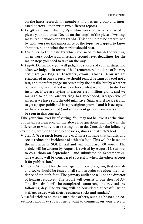on the latest research for members of a patient group and interested doctors – then write two different reports.

- *Length and other aspects of style*. Now work out what you need to please your audience. Decide on the length of the piece of writing, measured in words or **paragraphs**. This should not be determined by how you rate the importance of the topic (or happen to know about it), but on what the market should bear.
- *Deadlines*. Set the date by which you need to finish the writing. Then work backwards, inserting second-level **deadlines** for the major steps you need to take on the way.
- *Payoff*. Define how you will judge the success of your writing. Too often we judge it in terms of half-remembered notions of literary criticism (*see* **English teachers**; **examinations**). Now we are established in our careers, we should regard writing as a tool not a test, and therefore judge success not by the details, but by whether our writing has enabled us to achieve what we set out to do. For instance, if we are trying to attract a £1 million grant, and we manage to do so, our writing has succeeded, irrespective of whether we have split the odd infinitive. Similarly, if we are trying to get a paper published in a prestigious journal and it is accepted, we have also succeeded (and subsequent gripes from rivals should be seen in this context).

Take your time over brief setting. You may not believe it at the time, but having a clear idea on the above five questions will make all the difference to what you are setting out to do. Consider the following examples, both on the subject of socks, shoes and athlete's foot:

- *Task 1*. 'A research letter for *The Lancet* showing that sandals and socks reduce the incidence of athlete's foot. This will be based on the multicentre SOLE trial and will comprise 500 words. The article will be written by August 1, revised by August 15, sent out to co-authors on September 1 and submitted on September 21. The writing will be considered successful when the editor accepts it for publication.'
- *Task 2*. 'A report for the management board arguing that sandals and socks should be issued to all staff in order to reduce the incidence of athlete's foot. The primary audience will be the director of human resources. The report will consist of one sheet of A4. The first draft will be completed tomorrow, and revised the following day. The writing will be considered successful when staff get issued with their regulation socks and sandals.'

A useful trick is to make sure that others, such as **bosses** or **coauthors**, who may subsequently want to comment on your piece of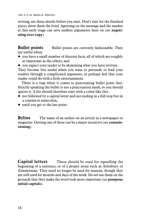writing, see these details before you start. Don't wait for the finished piece; show them the brief. Agreeing on the message and the market at this early stage can save endless arguments later on (*see* **negotiating over copy**).

**Bullet points** Bullet points are currently fashionable. They are useful when:

- you have a small number of discrete facts, all of which are roughly as important as the others, and
- you expect your reader to be skimming what you have written.

They become less useful when you want to persuade or lead your readers through a complicated argument, or perhaps feel that your reader could do with a little entertainment.

There is a trap when it comes to punctuating bullet point lists. Strictly speaking the bullet is not a punctuation mark, so you should ignore it. A list should therefore start with a colon like this:

- not followed by a capital letter and not ending in a full stop but in a comma or semicolon,
- until you get to the last point.

**Byline** The name of an author on an article in a newspaper or magazine. Getting one of these can be a major incentive (*see* **commissioning**).

**Capital letters** These should be used for signalling the beginning of a sentence, or of a proper noun such as Aylesbury or Zimmerman. They need no longer be used for seasons, though they are still used for months and days of the week. Do *not* use them on the grounds that they make the word look more important (*see* **pompous initial capitals**).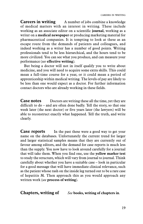**Careers in writing** A number of jobs combine a knowledge of medical matters with an interest in writing. These include working as an associate editor on a scientific **journal**, working as a writer on a **medical newspaper** or producing marketing material for pharmaceutical companies. It is tempting to look at these as an escape route from the demands of patients and colleagues, and indeed working as a writer has a number of good points. Writing professionals tend to be less hierarchical, and the hours tend to be more civilized. You can see what you produce, and can measure your performance (*see* **effective writing**).

But being a doctor will not in itself qualify you to write about medicine, and you will need to acquire some extra skills. This could mean a full-time course for a year, or it could mean a period of apprenticeship within medical writing. The levels of pay are likely to be less than one would expect as a doctor. For further information contact doctors who are already working in these fields.

**Case notes** Doctors are writing these all the time, yet they are difficult to do – and are often done badly. Tell the story, so that one week later (the next doctor) or five years later (the lawyers) will be able to reconstruct exactly what happened. Tell the truth, and write clearly.

**Case reports** In the past these were a good way to get your name on the databases. Unfortunately the current trend for larger and larger statistical samples means that they are currently out of favour among editors, and the demand for case reports is much less than the supply. You now have to look around carefully for a journal that will take them. When you find one, use the **yellow marker test** to study the structure, which will vary from journal to journal. Think carefully about whether you have a suitable case – look in particular for a good message that will have immediate clinical relevance, such as the patient whose rash on the inside leg turned out to be a rare case of hepatitis M. Then approach this as you would approach any written work (*see* **process of writing**).

**Chapters, writing of** *See* **books, writing of chapters in**.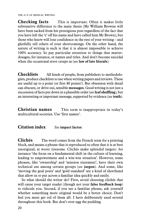**Checking facts** This is important. Often it makes little substantive difference to the main thesis (Mr William Browne will have been sacked from his prestigious post regardless of the fact that you have left the 'e' off his name and have called him Mr Brown), but those who know will lose confidence in the rest of your writing  $\sim$  and gleefully tell others of your shortcomings. On the other hand, the nature of writing is such is that it is almost impossible to achieve 100% accuracy. So pay particular attention to things that matter: dosages, for instance, or names and titles. And don't become suicidal when the occasional error creeps in (*see* **law of late literals**).

**Checklists** All kinds of people, from publishers to methodologists, produce checklists to use when writing papers and reviews. These are useful up to a point (or first 80 points!). But obsession with detail can obscure, or drive out, sensible **messages**. Good writing is not just a succession of facts put down in a plausible order (*see***leaf shuffling**), but an interesting or important message, supported by evidence (*see***truth**).

**Christian names** This term is inappropriate in today's multicultural societies. Use 'first names'.

**Citation index** *See* **impact factor**.

**Clichés** The word comes from the French term for a printing block, and means a phrase that is reproduced so often that it is at best unoriginal, at worst tiresome. Clichés make splendid targets: for instance 'the focus on a fundamental shift in the culture of learning, leading to empowerment and a win-win situation'. However, some phrases, like 'ownership' and 'mission statement', have their own technical use among certain groups (*see* **jargon**). And some, like 'moving the goal posts' and 'gold standard' are a kind of shorthand that allow us to put across a familiar idea quickly and easily.

So what should the writer do? First, avoid choosing clichés that will cause your target reader (though not your **false feedback loop**) to ridicule you. Second, if you see a familiar phrase, ask yourself whether something more original would be a better choice. Don't feel you must get rid of them all: I have deliberately used several throughout this book. But don't over-egg the pudding.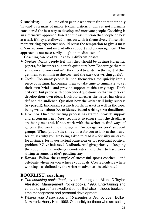**Coaching**. All too often people who write find that their only 'reward' is a mass of minor textual criticism. This is not normally considered the best way to develop and motivate people. Coaching is an alternative approach, based on the assumption that people do best at a task if they are allowed to get on with it themselves. Those with more writing experience should resist the temptation to give a mass of '**corrections'**, and instead offer support and encouragement. This approach is not necessarily taught in medical school.

Coaching can be of value at four different phases.

- *Strategy*. Many people feel that they should be writing (scientific papers, for instance) but aren't quite sure how. Encourage them to sit down and work out *why* they need to write. In the light of this, get them to commit to the *what* and the *when* (*see* **writing goals**).
- *Tactics*. Too many people launch themselves too quickly into a piece of writing. Encourage them to take time to **ruminate**, to set their own **brief** – and provide support at this early stage. Don't criticize, but probe with open-ended questions so that writers can develop their own ideas. Look for whether the writer has clearly defined the audience. Question how the writer will judge success (*see* **payoff**). Encourage research on the market as well as the topic being written about (*see* **evidence-based writing**). Set **deadlines**.
- *Execution*. Once the writing process has started, provide support and encouragement. Meet regularly to ensure that the deadlines are being met and, if not, work with the writer to find ways of getting the work moving again. Encourage **writers' support groups**. When (and if) the time comes for you to look at the manuscript, ask why you are being asked to read it – for silly mistakes, for instance, for major factual omissions or for potential political problems? Give **balanced feedback**. And give priority to keeping the copy moving: nothing demotivates more than to have work sitting in someone else's pending tray.
- *Reward*. Follow the example of successful sports coaches and celebrate whenever you achieve your goals. Create a culture where winning – as defined by the writer in advance – is celebrated.

#### **BOOKLIST: coaching**

- *The coaching pocketbook,* by Ian Fleming and Allan JD Taylor, Alresford: Management Pocketbooks, 1998. Entertaining and versatile, part of an excellent series that also includes books on time management and personal development.
- *Writing your dissertation in 15 minutes a day*, by Joan Bolker, New York: Henry Holt, 1998. Ostensibly for those who are setting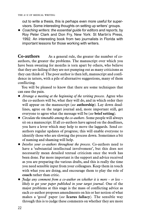out to write a thesis, this is perhaps even more useful for supervisors. Some interesting thoughts on setting up writers' groups.

• *Coaching writers: the essential guide for editors and reports*, by Roy Peter Clark and Don Fry, New York: St Martin's Press, 1992. An interesting book from two journalists in Florida with important lessons for those working with writers.

**Co-authors** As a general rule, the greater the number of coauthors, the greater the problems. The manuscript over which you have been sweating for months is torn apart by others, who believe that they are failing if they are not pumping out as many criticisms as they can think of. The poor author is then left, manuscript and confidence in tatters, with a pile of alternative suggestions, many of them conflicting.

You will be pleased to know that there are some techniques that can ease the pain.

- *Arrange a meeting at the beginning of the writing process*. Agree who the co-authors will be, what they will do, and in which order they will appear on the manuscript (*see* **authorship**). Lay down deadlines, agree on the target journal and, more important still, get everyone to agree what the message will be (*see* **brief setting**).
- *Circulate the timetable among the co-authors*. Some people will always sit on a manuscript. If all co-authors have agreed on the deadlines, you have a lever which may help to move the laggards. Send coauthors regular updates of progress; this will enable everyone to identify those who are slowing the process down. Sometimes a bit of naming and shaming will help.
- *Involve your co-authors throughout the process*. Co-authors need to have a 'substantial intellectual involvement', but this does not necessarily mean detailed textual criticism once the work has been done. Far more important is the support and advice received as you are preparing the various drafts, and this is really the time you need sensible input from your colleagues. Keep them in touch with what you are doing, and encourage them to play the role of **coach** rather than critic.
- *Judge any comment from a co-author on whether it is more or less – likely to get your paper published in your target journal*. One of the major problems at this stage is the mass of conflicting advice as each co-author proposes amendments on his or her notion of what makes a 'good' paper (*see* **Icarus fallacy**). The sensible way through this is to judge these comments on whether they are more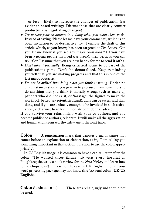– or less – likely to increase the chances of publication (*see* **evidence-based writing**). Discuss those that are clearly counter productive (*see* **negotiating changes**).

- *Try to steer your co-authors into doing what you want them to do*. Instead of saying 'Please let me have your comments', which is an open invitation to be destructive, try, 'I enclose the draft of this article which, as you know, has been targeted at *The Lancet*. Can you let me know if you see any major omissions?' (If you have been keeping people involved (*see above*), then perhaps you can try: 'Can I assume that you are now happy for me to send it off?')
- *Don't take it personally*. Being criticized seems to be part of the publications game. Don't be demoralized. Keep reminding yourself that you are making progress and that this is one of the last major obstacles.
- *Do not be bullied into doing what you think is wrong*. Under no circumstances should you give in to pressure from co-authors to do anything that you think is morally wrong, such as make up patients who did not exist, or 'massage' the figures to make the work look better (*see* **scientific fraud**). This can be easier said than done, and if you are unlucky enough to be involved in such a situation, seek a wise head for immediate confidential advice.

If you survive your relationship with your co-authors, and you become published authors, celebrate. It will make all the aggravation and humiliation seem worthwhile – until the next time.

**Colon** A punctuation mark that denotes a major pause that comes before an explanation or elaboration, as in, 'I am telling you something important in this section: it is how to use the colon appropriately'.

In US English usage it is common to have a capital letter after the colon ('He wanted three things: To visit every hospital in Poughkeepsie, write a book review for the *New Yorker*, and learn how to use chopsticks'). This is not the case in UK English, though your word processing package may not know this (*see* **semicolon**; **UK-US English**).

**Colon dash**(as in :-) These are archaic, ugly and should not be used.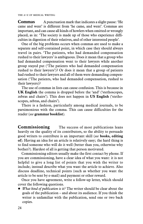**Commas** A punctuation mark that indicates a slight pause: 'He came and went' is different from 'he came, and went'. Commas are important, and can cause all kinds of howlers when omitted or wrongly placed, as in: 'The society is made up of those who experience difficulties in digestion of their relatives, and of other interested people'.

One of the big problems occurs when commas are used to make a separate and self-contained point, in which case they should always travel in pairs. 'The patients, who had demanded compensation rushed to their lawyers' is ambiguous. Does it mean that a group who had demanded compensation went to their lawyers while another group stayed put ('The patients who had demanded compensation rushed to their lawyers')? Or does it mean that a group of patients had rushed to their lawyers and all of them were demanding compensation ('The patients, who had demanded compensation, rushed to their lawyers)?

The use of commas in lists can cause confusion. This is because in **UK English** the comma is dropped before the 'and' ('stethoscopes, zebras and chairs'). This does not happen in **US English** ('stethoscopes, zebras, and chairs').

There is a fashion, particularly among medical journals, to be parsimonious with the comma. This can cause difficulties for the reader (*see* **grammar booklist**).

**Commissioning** The success of most publications leans heavily on the quality of its contributors, so the ability to persuade good writers to contribute is an important skill (*see* **books, editing of**). Having an idea for an article is relatively easy; the hard thing is to find someone who will do it well (better than you, otherwise why bother?). Hardest of all is getting that person motivated.

Commissioning editors usually make the first contact by phone. If you are commissioning, have a clear idea of what you want: it is not helpful to give a long list of points that you wish the writer to include; instead describe what you want the article to achieve. Also discuss deadline, technical points (such as whether you want the article to be sent by e-mail) and payment or other reward.

Once you have agreement, write a follow-up letter, which should cover the following questions.

• *What kind of publication is it?* The writer should be clear about the goals of the publication – and about its audience. If you think the writer is unfamiliar with the publication, send one or two back copies.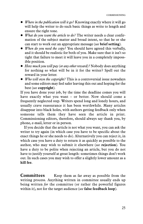- *Where in the publication will it go?* Knowing exactly where it will go will help the writer to do such basic things as write to length and ensure the right tone.
- *What do you want the article to do?* The writer needs a clear confirmation of the subject matter and broad intent, so that he or she can start to work out an appropriate message (*see* **brief setting**).
- *When do you need the copy?* You should have agreed this verbally, and it should be realistic for both of you. Make sure that it isn't so tight that failure to meet it will leave you in a completely impossible position.
- *How much you will pay (or any other reward)?* Nobody does anything for nothing so what will be in it for the writer? Spell out the reward in your letter.
- *Who will own the copyright?* This is a controversial issue nowadays and some editors may feel safer leaving this out and hoping for the best (*see* **copyright**).

If you have done your job, by the time the deadline comes you will have exactly what you want – or better. Now should come a frequently neglected step. Writers spend long and lonely hours, and usually crave reassurance it has been worthwhile. Many articles disappear into black holes, with authors getting feedback only when someone tells them they have seen the article in print. Commissioning editors, therefore, should always say thank you, by phone, e-mail, letter or in person.

If you decide that the article is not what you want, you can ask the writer to try again (in which case you have to be specific about the exact things he or she needs to do). Alternatively you can reject it, in which case you have a duty to return it as quickly as possible to the author, who may wish to submit it elsewhere (*see* **rejection**). You have a duty to be polite when rejecting an article, but you do not have to justify yourself at great length: sometimes things don't work out. In such cases you may wish to offer a slightly lower amount as a **kill fee**.

**Committees** Keep them as far away as possible from the writing process. Anything written in committee usually ends up being written *for* the committee (or rather the powerful figures within it), not for the target audience (*see* **false feedback loop**).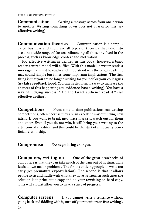**Communication** Getting a message across from one person to another. Writing something down does not guarantee this (*see* **effective writing**).

**Communication theories** Communication is a complicated business and there are all types of theories that take into account a wide range of factors influencing all those involved in the process, such as knowledge, context and motivation.

For **effective writing** as defined in this book, however, a basic reader-centred model will suffice. With this model, a writer sends a **message** that must be read – and understood – by the target reader. It may sound simple but it has some important implications. The first thing is that you are no longer writing for yourself or your colleagues (*see* **false feedback loop**). You can write in such a way to increase the chances of this happening (*see* **evidence-based writing**). You have a way of judging success: 'Did the target audience read it?' (*see* **effective writing**).

**Competitions** From time to time publications run writing competitions, often because they are an excellent way of finding new talent. If you want to break into these markets, watch out for them and enter. Even if you do not win, it will bring your writing to the attention of an editor, and this could be the start of a mutually beneficial relationship.

**Compromise** *See* **negotiating changes**.

**Computers, writing on** One of the great drawbacks of computers is that they can take much of the pain out of writing. This leads to two major problems. The first is enticing people to write too early (*see* **premature expostulation**). The second is that it allows people to sit and fiddle with what they have written. In such cases the solution is to print out a copy and do your **rewriting** on hard copy. This will at least allow you to have a sense of progress.

**Computer screens** If you cannot write a sentence without going back and fiddling with it, turn off your monitor (*see***free writing**).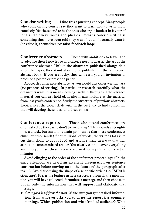**Concise writing** I find this a puzzling concept. Many people who come on my courses say they want to learn how to write more concisely. Yet these tend to be the ones who argue loudest in favour of long and flowery words and phrases. Perhaps concise writing is something they have been told they want, but don't actually want it (or value it) themselves (*see* **false feedback loop**).

**Conference abstracts** Those with ambitions to travel and to advance their knowledge and careers need to master the art of the conference abstract. Unlike the **abstracts** published alongside a scientific paper, they stand alone, to be published in the conference abstract book. If you are lucky, they will earn you an invitation to produce a poster, or present a paper.

Approach conference abstracts as you would any other writing task (*see* **process of writing**). In particular research carefully what the organizers want: this means looking carefully through all the advance material you can get hold of. It also means looking at the material from last year's conference. Study the **structure** of previous abstracts. Look also at the topics dealt with in the past; try to find something that will develop these ideas and discussions.

**Conference reports** Those who attend conferences are often asked by those who don't to 'write it up'. This sounds a straightforward task, but isn't. The main problem is that these conferences churn out thousands (if not millions) of words; the writer's task is to cut them down to about 1000 and arrange them in a way that will attract the uncommitted reader. You clearly cannot cover everything and everyone, so these reports are neither a précis nor a set of **minutes**.

Avoid clinging to the order of the conference proceedings ('In the early afternoon we heard an excellent presentation on sentence construction before moving on to the future of the paragraph after tea ...'). Avoid also using the shape of a scientific article (*see* **IMRAD structure**). Prefer the **feature article** structure: from all the information you will have collected, formulate a message and then choose to put in only the information that will support and elaborate that message.

• *Get a good brief from the start*. Make sure you get detailed information from whoever asks you to write the report (*see* **commissioning**). Which publication and what kind of audience? What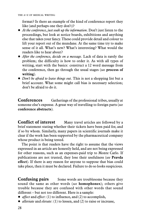format? Is there an example of the kind of conference report they like (and perhaps one they don't)?

- *At the conference, just soak up the information*. Don't just listen to the proceedings, but look at notice boards, exhibitions and anything else that takes your fancy. These could provide detail and colour to lift your report out of the mundane. At the same time try to make sense of it all. What's new? What's interesting? What would the readers like to hear about?
- *After the conference, decide on a message*. Lack of data is rarely the problem; the difficulty is how to order it. As with all types of writing, start with the basics: construct a 12 word message from the conference, then go through the usual stages (*see* **process of writing**).
- *Don't be afraid to leave things out*. This is not a shopping list but a brief account. What some might call bias is necessary selection; don't be afraid to do it.

**Conferences** Gatherings of the professional tribes, usually at someone else's expense. A great way of travelling to foreign parts (*see* **conference abstracts**).

**Conflict of interest** Many travel articles are followed by a brief statement stating whether their tickets have been paid for, and if so by whom. Similarly, many papers in scientific journals make it clear if the work has been supported by the pharmaceutical company whose product is being tested.

The point is that readers have the right to assume that the views expressed in an article are honestly held, and are not being expressed for other reasons, such as an expenses-paid trip to Monte Carlo. If publications are not trusted, they lose their usefulness (*see* **Pravda effect**). If there is any reason for anyone to suppose that bias could take place, then it must be declared. Failure to do so looks suspicious.

**Confusing pairs** Some words are troublesome because they sound the same as other words (*see* **homophones**); others give trouble because they are confused with other words that sound different – but not too different. Here is a sample:

- *affect* and *effect*: (1) to influence, and (2) to accomplish,
- *alleviate* and *elevate*: (1) to lessen, and (2) to raise or increase,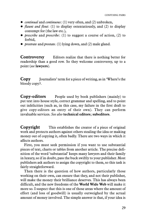- *continual* and *continuous*: (1) very often, and (2) unbroken,
- *flaunt and flout*: (1) to display ostentatiously, and (2) to display contempt for (the law etc.),
- *prescribe* and *proscribe*: (1) to suggest a course of action, (2) to forbid,
- *prostrate* and *prostate*. (1) lying down, and (2) male gland.

**Controversy** Editors realize that there is nothing better for readership than a good row. So they welcome controversy, up to a point (*see* **lawyers**).

**Copy** Journalists' term for a piece of writing, as in 'Where's the bloody copy?.

**Copy-editors** People used by book publishers (mainly) to put text into house style, correct grammar and spelling, and to point out infelicities (such as, in this case, my failure in the first draft to give copy-editors an entry of their own). They can perform invaluable services. *See also* **technical editors**; **subeditors**.

**Copyright** This establishes the creator of a piece of original work and protects authors against others stealing the idea or making money out of copying it, often badly. There are two ways in which it affects authors.

First, you must seek permission if you want to use substantial pieces of text, charts or tables from another article. The precise definition of the word 'substantial' keeps many lawyers and their family in luxury, so if in doubt, pass the buck swiftly to your publisher. Most publishers ask authors to assign the copyright to them, so this task is fairly straightforward.

Then there is the question of how authors, particularly those working on their own, can ensure that they, and not their publisher, will make the money their brilliance deserves. This has always been difficult, and the new freedoms of the **World Wide Web** will make it more so. I suspect that this is one of those areas where the amount of effort (and loss of goodwill) is usually outweighed by the actual amount of money involved. The simple answer is that, if your idea is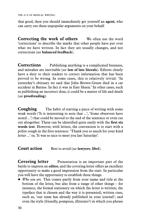that good, then you should immediately get yourself an **agent**, who can carry out these unpopular arguments on your behalf.

**Correcting the work of others** We often use the word 'corrections' to describe the marks that other people have put over what we have written. In fact they are usually changes, and not corrections (*see* **balanced feedback**).

**Corrections** Publishing anything is a complicated business, and mistakes are inevitable (*see* **law of late literals**). Editors clearly have a duty to their readers to correct information that has been proved to be wrong. In some cases, this is relatively trivial: 'In yesterday's obituary we said that John Brown-Green died in a car accident in Barnes. In fact it was in East Sheen.' In other cases, such as publishing an incorrect dose, it could be a matter of life and death (*see* **proofreading**).

**Coughing** The habit of starting a piece of writing with some weak words ('It is interesting to note that ...', 'Some observers have noted ...') that could be moved to the end of the sentence or even cut out altogether. These can be identified quite easily with the **first six words test**. However, with letters, the convention is to start with a polite cough in the first sentence: 'Thank you so much for your kind letter ...' or, 'It was so nice to meet you last Saturday'.

**Court action** Best to avoid (*see* **lawyers**; **libel**).

**Covering letter** Presentation is an important part of the battle to impress an **editor**, and the covering letter offers an excellent opportunity to make a good impression from the start. In particular you will have the opportunity to establish three things.

• *Who you are*. This comes partly from your name and title at the bottom of the letter, but also from a range of other things – for instance, the formal stationery on which the letter is written; the typeface that is chosen and the way it is presented; written cues, such as, 'our team has already published in your journal'; and even the style (friendly, pompous, illiterate?) in which you phrase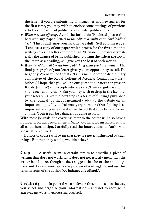the letter. If you are submitting to magazines and newspapers for the first time, you may wish to enclose some cuttings of previous articles you have had published in similar publications.

- *What you are offering*. Avoid the formulaic 'Enclosed please find herewith my paper *Letters to the editor: a multicentre double-blind trial*.' This is dull (most journal titles are dull). Sell your **message**: 'I enclose a copy of our paper which proves for the first time that writing covering letters of more than 200 words increases dramatically the chance of being published.' Putting the title at the top of the letter, as a heading, will give you the best of both worlds.
- *Why the editor will benefit from publishing what you have written*. The final paragraph of your letter gives you an opportunity to sell. Do so gently. Avoid veiled threats ('I am a member of the disciplinary committee of the Royal College of Medical Communicators'), bribes ('I hope that you will be our guest at our next congress in Rio de Janeiro') and sycophantic appeals ('I am a regular reader of your excellent journal'). But you may wish to drop in the fact that your research gives the next step in a series of findings published by the journal, or that it genuinely adds to the debate on an important topic. If you feel brave, try humour ('Our finding is so important and your journal so well-read that they belong to one another') but it can be a dangerous game to play.

With most journals, the covering letter to the editor will also have a number of formal requirements. Many journals, for instance, require all co-authors to sign. Carefully read the **Instructions to Authors** to see what is required.

Editors of course will swear that they are never influenced by such things. But then they would, wouldn't they?

**Crap** A useful term in certain circles to describe a piece of writing that does not work. This does not necessarily mean that the writer is a failure, though it does suggest that he or she should go back and do some more work (*see* **process of writing**). Do not use this term in front of the author (*see* **balanced feedback**).

**Creativity** In general we can favour this, but use it in the way you select and organize your information – and not to indulge in extravagant ways of expressing yourself.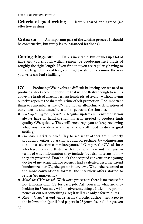### **Criteria of good writing** Rarely shared and agreed (*see* **effective writing**).

**Criticism** An important part of the writing process. It should be constructive, but rarely is (*see* **balanced feedback**).

**Cutting things out** This is inevitable. But it takes up a lot of time and you should, within reason, be producing first drafts of roughly the right length. If you find that you are regularly having to cut out large chunks of text, you might wish to re-examine the way you write (*see* **leaf shuffling**).

**CV** Producing CVs involves a difficult balancing act: we need to produce a short account of our life that will be flashy enough to sell us above the heads of dozens, perhaps hundreds, of rivals – without laying ourselves open to the shameful crime of self-promotion. The important thing to remember is that CVs are not an all-inclusive description of our entire life and times, but a tool to get us on the shortlist.

- *Keep updating the information*. Regular updates will ensure that you always have on hand the raw material needed to produce high quality CVs quickly. They will encourage you to keep reviewing what you have done – and what you still need to do (*see* **goal setting**).
- *Do some market research*. Try to see what others are currently producing, either by asking around or, perhaps, by volunteering to sit on a selection committee yourself. Compare the CVs of those who have been shortlisted with those who have not, not just in terms of what information they include, but also in terms of how they are presented. Don't buck the accepted conventions: a young doctor of my acquaintance recently had a talented designer friend 'modernize' her CV; she got no interviews. When she returned to the more conventional format, the interview offers started to return (*see* **marketing**).
- *Match the CV to the job*. With word processors there is no excuse for not tailoring each CV for each job. Ask yourself: what are they looking for? You may wish to give something a little more prominence or cut out something else; it will take only a few minutes.
- *Keep it factual*. Avoid vague terms ('prolific author') and keep to the information (published papers in 23 journals, including seven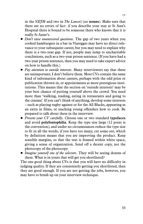in the *NEJM* and two in *The Lancet*) (*see* **nouns**). Make sure that there are no errors of fact: if you describe your stay at St Ann's Hospital there is bound to be someone there who knows that it is really St Anne's.

- *Don't raise unanswered questions*. The gap of two years when you cooked hamburgers in a bar in Viareggio may have no direct relevance to your subsequent career, but you may need to explain why there is a two-year gap. If not, people may jump to uncharitable conclusions, such as a two-year prison sentence. (If you have had a two-year prison sentence, then you may need to take expert advice on how to handle this.)
- *Pay attention to outside interests*. Many interviewers say that these are unimportant; I don't believe them. Most CVs contain the same kind of information about careers, perhaps with the odd prize or publication thrown in, or appointments at more prestigious institutions. This means that the section on 'outside interests' may be your best chance of putting yourself above the crowd. You need more than 'walking, reading, eating in restaurants and going to the cinema'. If you can't think of anything, develop some interests – such as playing rugby against or for the All Blacks, appearing as an extra in films, or teaching young offenders how to cook. Be prepared to talk about these in the interview.
- *Present your CV carefully*. Choose one or two standard **typefaces** and avoid **polyfontophilia**. Keep the type size large (12 point is the convention), and under no circumstances reduce the type size to fit in all the words; if you have too many, cut some out, which by definition means that you are improving the product. Keep sensible margins, so that the text is framed within white space, giving a sense of organization. Send off a decent copy, not the photocopy of the photocopy.
- *Imagine yourself one of the selectors*. They will be seeing dozens of these. What is in yours that will get you shortlisted?

The one good thing about CVs is that you will have no difficulty in judging quality. If they are consistently getting you shortlisted, then they are good enough. If you are not getting the jobs, however, you may have to brush up on your interview technique.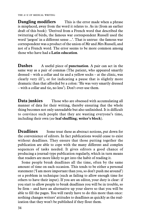**Dangling modifiers** This is the error made when a phrase is misplaced, away from the word it relates to. As in (from an earlier draft of this book): 'Derived from a French word that described the twittering of birds, the famous war correspondent Russell used the word 'jargon' in a different sense ...'. That is untrue: the famous war correspondent was a product of the union of Mr and Mrs Russell, and not of a French word. The error seems to be more common among those who have had a **Latin education**.

**Dashes** A useful piece of **punctuation**. A pair can act in the same way as a pair of commas (The patient, who appeared smartly dressed – with a collar and tie and a yellow socks – at the clinic, was clearly very ill'), or for indicating a pause that is slightly more dramatic than that afforded by a colon: 'He was very smartly dressed – with a collar and tie, no less'). Don't over-use them.

**Data junkies** Those who are obsessed with accumulating all manner of data for their writing, thereby ensuring that the whole thing becomes not only unreadable but also unfinished. It is difficult to convince such people that they are wasting everyone's time, including their own (*see* **leaf shuffling**; **writer's block**).

**Deadlines** Some treat these as abstract notions, put down for the convenience of editors. In fact publications would cease to exist without deadlines. They ensure that those putting together the publication are able to cope with the many different and complex sequences of tasks needed. It gives editors a good chance of producing a journal-type publication regularly, which in turn means that readers are more likely to get into the habit of reading it.

Some people break deadlines all the time, often by the same amount of time on each occasion. This tends to be either a personal statement ('I am more important than you, so don't push me around') or a problem in technique (such as failing to allow enough time for others to have their input). If you are an editor, your duty is clear: if you start to allow people to break deadlines you will be in trouble, so be firm – and have an alternative up your sleeve so that you will be able to fill the pages. You will rarely have to do this more than once: nothing changes writers' attitudes to deadlines as quickly as the realization that they won't be published if they flout them.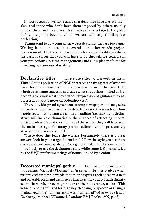In fact successful writers realize that deadlines have uses for them also, and those who don't have them imposed by others usually impose them on themselves. Deadlines provide a target. They also define the point beyond which writers will stop fiddling (*see* **perfection**).

Things tend to go wrong when we set deadlines that are too vague. Writing is not one task but several – in other words **project management**. The trick is to lay out in advance, preferably in a diary, the various stages that you will have to go through. Be sensible in your projections (*see* **time management**) and allow plenty of time for rewriting (*see* **process of writing**).

**Declarative titles** These are titles with a verb in them. Thus: 'Acute application of NGF increases the firing rate of aged rat basal forebrain neurons.' The alternative is an 'indicative' title, which as its name suggests, indicates what the authors looked at, but doesn't give away what they found: 'Expression of glutamate transporters in rat optic nerve oligodendrocytes'.

There is widespread agreement among newspaper and magazine journalists, who have access to detailed market research on how people read, that putting a verb in a headline (i.e. making it declarative) will increase dramatically the chances of attracting uncommitted readers. Even if they don't read the article, they will have seen the main message. Yet many journal editors remain passionately attached to the indicative title.

Where does this leave the writer? Fortunately there is a clear answer: look in your target journal and follow the style you see there (*see* **evidence-based writing**). As a general rule, the US journals are more likely to use the declaratory style while some UK journals, led by the *BMJ*, prefer two strings of nouns, linked by a **colon**.

**Decorated municipal gothic** Defined by the writer and broadcaster Michael O'Donnell as 'a prose style that evolves when writers eschew simple words that might express their ideas in a neat and palatable form and use instead language they believe adds dignity, scientific worth, or even grandeur to their utterance, as in: "This vehicle is being utilized for highway cleansing purposes" or (using a medical example) "alimentation was maintained" (*A Sceptic's Medical Dictionary*, Michael O'Donnell, London: BMJ Books, 1997, p. 48).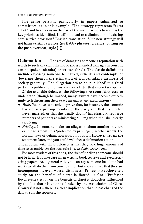The genre persists, particularly in papers submitted to committees, as in this example: 'The strategy represents "extra effort" and fresh focus on the part of the main partners to address the key priorities identified. It will not lead to a diminution of existing core service provision.' English translation: 'Our new strategy will not harm existing services' (*see* **flabby phrases**; **gravitas**; **putting on the posh overcoat**; **style [1]**).

**Defamation** The act of damaging someone's reputation with words to such an extent that he or she is awarded damages in court. It can be spoken (**slander**) or written (**libel**). The classic definitions include exposing someone to 'hatred, ridicule and contempt', or 'lowering them in the estimation of right-thinking members of society generally'. The allegation has to be 'published' to a third party, in a publication for instance, or a letter that a secretary opens.

Of the available defences, the following two seem fairly easy to understand (though be warned, many lawyers have become exceedingly rich discussing their exact meanings and implications).

- *Truth*. You have to be able to prove that, for instance, the 'commie bastard' is a paid-up member of the party and that his mother never married, or that the 'deadly doctor' has clearly killed large numbers of patients administering 500 mg when the label clearly said 5 mg.
- *Privilege.* If someone makes an allegation about another in court or in parliament, it is 'protected by privilege'; in other words, the normal laws of defamation would not apply. However, repeat the statement later, and you could well face a defamation action.

The problem with these defences is that they take huge amounts of time to assemble. So the best rule is: *if in doubt, leave it out*.

For most readers of this book, the risk of libelling someone should not be high. But take care when writing book reviews and even refereeing papers. As a general rule you can say someone has done bad work (we all do that from time to time), but you can't say that they are incompetent or, even worse, dishonest. 'Professor Beychevelle's study on the benefits of claret is flawed' is fine. 'Professor Beychevelle's study on the benefits of claret is doubtless influenced by the fact that his chair is funded by the Association of Claret Growers' is not – there is a clear implication that he has changed the data to suit the sponsors.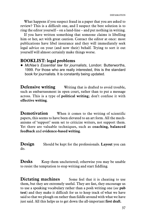What happens if you suspect fraud in a paper that you are asked to review? This is a difficult one, and I suspect the best solution is to ring the editor yourself – on a land-line – and put nothing in writing.

If you have written something that someone claims is libelling him or her, act with great caution. Contact the editor at once: most publications have libel insurance and they will immediately seek legal advice on your (and now their) behalf. Trying to sort it out yourself will almost certainly make things worse.

### **BOOKLIST: legal problems**

• *McNae's Essential law for journalists*, London: Butterworths, 1999. For those who are really interested, this is the standard book for journalists. It is constantly being updated.

**Defensive writing** Writing that is drafted to avoid trouble, such as embarrassment in open court, rather than to put a message across. This is a type of **political writing**; don't confuse it with **effective writing**.

**Demotivation** When it comes to the writing of scientific papers, this seems to have been elevated to an art form. All the mechanisms of 'support' seem set to criticize writers, not support them. Yet there are valuable techniques, such as **coaching**, **balanced feedback** and **evidence-based writing**.

**Design** Should be kept for the professionals. **Layout** you can do.

**Desks** Keep them uncluttered; otherwise you may be unable to resist the temptation to stop writing and start fiddling.

**Dictating machines** Some feel that it is cheating to use them, but they are extremely useful. They are fast, they encourage us to use a speaking vocabulary rather than a posh writing one (*see* **pub test**) and they make it difficult for us to keep track of what we have said so that we plough on rather than fiddle around with what we have just said. All this helps us to get down the all-important **first draft.**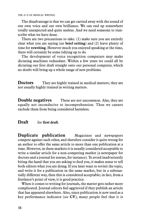The disadvantage is that we can get carried away with the sound of our own voice and our own brilliance. We can end up somewhere totally unexpected and quite useless. And we need someone to transcribe what we have done.

There are two precautions to take: (1) make sure you are entirely clear what you are saying (*see* **brief setting**) and (2) leave plenty of time for **rewriting**. However much you enjoyed speaking at the time, there will certainly be some tidying up to do.

The development of voice recognition computers may make dictating machines redundant. Within a few years we could all be dictating our first draft straight onto our personal computer, which no doubt will bring up a whole range of new problems.

**Doctors** They are highly trained in medical matters; they are not usually highly trained in writing matters.

**Double negatives** These are not uncommon. Alas, they are equally not inconducive to incomprehension. Thus we cannot exclude them from being considered harmless.

**Draft** *See* **first draft**.

**Duplicate publication** Magazines and newspapers compete against each other, and therefore consider it quite wrong for an author to offer the same article to more than one publication at a time. However, in these markets it is usually considered acceptable to write a similar article for a non-competing market (a newspaper for doctors and a journal for nurses, for instance). To avoid inadvertently biting the hand that you are asking to feed you, it makes sense to tell both editors what you are doing. If you later want to revisit the topic, and write it for a publication in the same market, but in a substantially different way, then this is considered acceptable; in fact, from a freelance's point of view, it is good practice.

When it comes to writing for journals, the matter gets rather more complicated. Journal editors feel aggrieved if they publish an article that has appeared elsewhere. Also, since publication is now used as a key performance indicator (*see* **CV**), many people feel that it is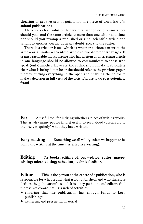cheating to get two sets of points for one piece of work (*see also* **salami publication**).

There is a clear solution for writers: under no circumstances should you send the same article to more than one editor at a time, nor should you revamp a published original scientific article and send it to another journal. If in any doubt, speak to the editor.

There is a trickier issue, which is whether authors can write the same – or a similar – scientific article in two different languages. It seems reasonable that someone who has written an interesting article in one language should be allowed to communicate to those who speak (only) another. However, the author should make it absolutely clear what is being done: he or she should refer to the previous paper, thereby putting everything in the open and enabling the editor to make a decision in full view of the facts. Failure to do so is **scientific fraud**.

**Ear** A useful tool for judging whether a piece of writing works. This is why many people find it useful to read aloud (preferably to themselves, quietly) what they have written.

**Easy reading** Something we all value, unless we happen to be doing the writing at the time (*see* **effective writing**).

#### **Editing** *See* **books, editing of**; **copy-editor**; **editor**; **macroediting**; **micro-editing**; **subeditor; technical editor**.

**Editor** This is the person at the centre of a publication, who is responsible for what is and what is not published, and who therefore defines the publication's 'soul'. It is a key position, and editors find themselves co-ordinating a web of activities:

- ensuring that the publication has enough funds to keep publishing;
- gathering and presenting material;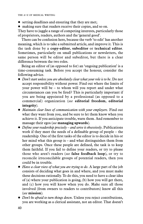- setting deadlines and ensuring that they are met;
- making sure that readers receive their copies, and so on.

They have to juggle a range of competing interests, particularly those of proprietors, readers, authors and the 'general good'.

There can be confusion here, because the verb 'to edit' has another meaning, which is to take a submitted article, and improve it. This is the task done by a **copy-editor**, **subeditor** or **technical editor**. Sometimes, particularly on small publications or newsletters, the same person will be editor and subeditor, but there is a clear difference between the two roles.

Being an editor of (as opposed to for) an 'ongoing publication' is a time-consuming task. Before you accept the honour, consider the following advice.

- *Don't start unless you are absolutely clear what your role is to be*. Do not accept responsibility without power. Find out where the limits of your power will be – to whom will you report and under what circumstances can you be fired? This is particularly important if you are being appointed by a professional (as opposed to a commercial) organization (*see* **editorial freedom**, **editorial integrity**).
- *Maintain clear lines of communication with your employers.* Find out what they want from you, and be sure to let them know when you achieve it. If you anticipate trouble, warn them. And remember to massage their egos (*see* **managing upwards**).
- *Define your readership precisely and serve it obsessively*. Publications work if they meet the needs of a definable group of people – the readership. One of the first tasks of the editor is to decide in his or her mind what this group is – and what distinguishes them from other groups. Once these people are defined, the task is to keep them faithful. If you fail to define your readers, or try to please those who aren't readers (*see* **false feedback loop**), or try to reconcile irreconcilable groups of potential readers, then you could be in trouble.
- *Have a clear view of what you are trying to do*. A large part of the job consists of deciding what goes in and where, and you must make these decisions rationally. To do this, you need to have a clear idea of (a) where your publication is going, (b) how you will get there, and (c) how you will know when you do. Make sure all those involved (from owners to readers to contributors) know all this (*see* **mission**).
- *Don't be afraid to turn things down*. Unless you reject contributions, you are working as a clerical assistant, not an editor. That doesn't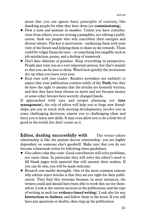mean that you can ignore basic principles of courtesy, like thanking people for what they have done (*see* **commissioning**).

- *Form a team and motivate its members*. Unless you have contributions from others, you are writing a pamphlet, not editing a publication. Seek out people who will contribute their energies and diverse talents. The key is motivation – enthusing them with your view of the future and helping them to share in the rewards. These could be vulgar financial ones – or something less tangible such as job satisfaction, praise, and a feeling of teamwork.
- *Don't have delusions of grandeur*. Keep everything in perspective. People may treat you as a very important person, but that's mainly so that you can be nice to them. Watch how quickly the invitations dry up when you leave your post.
- *Keep trust with your readers*. Readers nowadays are unlikely to expect that your publication consists solely of the **Truth**, but they do have the right to assume that the articles are honestly written, and that they have been chosen on merit and not because money or some other favours have secretly changed hands.

If approached with care and proper planning (*see* **time management**), the role of editor will help you to forge new friendships, put you in touch with exciting developments, involve you in some challenging decisions, expose you to challenging ideas and force you to learn new skills. It may even allow you to do a little bit of good in the world, but don't count on it.

**Editor, dealing successfully with** The writer–editor relationship is like the patient–doctor relationship: you are highly dependent on someone else's goodwill. Make sure that you do not become a heartsink writer by following these guidelines.

- *Give editors what they want*. Good contributors will solve problems, not cause them. In particular they will solve the editor's need to fill blank pages with material that will interest their readers. If you can do this, you will be made welcome.
- *Research your market thoroughly*. One of the most common reasons why editors reject articles is that they are not right for their publication. They find this tiresome because, in most instances, the writers could and should have been able to work this out for themselves. Look at the various sections in the publication, and the type of writing in each (*see* **evidence-based writing**). Look also for any **Instructions to Authors**, and follow them to the letter. If you still have any questions or doubts, then ring up the publication.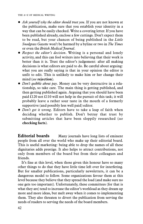- *Ask yourself why the editor should trust you*. If you are not known at the publication, make sure that you establish your identity in a way that can be easily checked. Write a covering letter. If you have been published already, enclose a few cuttings. Don't expect them to be read, but your chances of being published in the *Little Snodgrass Gazette* won't be harmed by a byline or two in *The Times* or even the *British Medical Journal*.
- *Respect the editor's decision*. Writing is a personal and lonely activity, and this can fool writers into believing that their work is better than it is. Trust the editor's judgement: after all making decisions is what editors are paid to do. Be careful about arguing: what you are really saying is that in your opinion the editor is unfit to edit. This is unlikely to make him or her change their mind (*see* **rejection**).
- *Don't quibble about pay*. Money can be very destructive in a relationship, so take care. The main thing is getting published, and then getting published again. Arguing that you should have been paid £120 not £110 will not help in the pursuit of this task; it will probably leave a rather sour taste in the mouth of a formerly supportive (and possibly less well paid) editor.
- *Don't get it wrong*. Editors have to take a leap of faith when deciding whether to publish. Don't betray that trust by submitting articles that have been sloppily researched (*see* **checking facts**).

**Editorial boards** Many journals have long lists of eminent people from all over the world who make up their editorial board. This is useful marketing: being able to drop the names of all these dignitaries adds prestige. It also helps to attract contributions, not only from members of the board but from their colleagues and friends.

It's fine at this level, when those given this honour have so many other things to do that they have little time left over for interfering. But for smaller publications, particularly newsletters, it can be a dangerous model to follow. Some organizations favour them at this level because they believe that they spread the load (and make sure no one gets too important). Unfortunately, these committees (for that is what they are) tend to increase the editor's workload as they dream up more and more ideas, but melt away when it comes to implementing them. They also threaten to divert the publication from serving the needs of readers to serving the needs of the board members.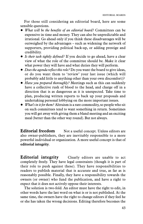For those still considering an editorial board, here are some sensible questions.

- *What will be the benefits of an editorial board?* Committees can be expensive in time and money. They can also be unpredictable and irrational. Go ahead only if you think these disadvantages will be outweighed by the advantages – such as widening the network of supporters, providing political back-up, or adding prestige and credibility.
- *Is their task tightly defined?* If you decide to go ahead, have a clear view of what the role of the committee should be. Make it clear what power they will have and what duties they will perform.
- *Does the agenda reflect this role?* Do you want the board to give ideas, or do you want them to 'review' your last issue (which will probably add little to anything other than your own discomfort)?
- *Have you prepared thoroughly?* Meetings such as this can suddenly have a collective rush of blood to the head, and charge off in a direction that is as dangerous as it is unexpected. Take time to plan, producing written reports to back up your proposals and undertaking personal lobbying on the more important issues.
- *What's in it for them?* Altruism is a rare commodity, so people who sit on such committees tend to want something in return. Sometimes you will get away with giving them a bland meeting and an exciting meal (better than the other way round). But not always.

**Editorial freedom** Not a useful concept. Unless editors are also owner-publishers, they are inevitably responsible to a more powerful individual or organization. A more useful concept is that of **editorial integrity**.

**Editorial integrity** Clearly editors are unable to act completely freely. They have legal constraints (though it is part of their role to push against these). They have responsibilities to readers to publish material that is accurate and true, as far as is reasonably possible. Finally, they have a responsibility towards the owners (or owner) who fund the publication, and have a right to expect that it does not actively oppose their interests.

The solution is two-fold. An editor must have the right to edit, in other words have the last word on what is or is not published. At the same time, the owners have the right to change editors if they feel he or she has taken the wrong decisions. Editing therefore becomes the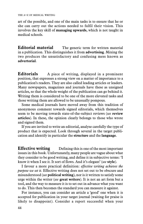art of the possible, and one of the main tasks is to ensure that he or she can carry out the actions needed to fulfil their vision. This involves the key skill of **managing upwards**, which is not taught in medical schools.

**Editorial material** The generic term for written material in a publication. This distinguishes it from **advertising**. Mixing the two produces the unsatisfactory and confusing mess known as **advertorial**.

**Editorials** A piece of writing, displayed in a prominent position, that expresses a strong view on a matter of importance to a publication's readers. They are also called leading articles or leaders. Many newspapers, magazines and journals have these as unsigned articles, so that the whole weight of the publication can go behind it. Writing them is considered to be one of the more elevated tasks and those writing them are allowed to be unusually pompous.

Some medical journals have moved away from this tradition of anonymous comment towards signed editorials, which themselves seem to be moving towards state-of-the-subject reviews (*see* **review articles**). In these, the opinion clearly belongs to those who wrote and signed them.

If you are invited to write an editorial, analyse carefully the type of product that is expected. Look through several in the target publication and identify in particular the **structure** and the **language**.

**Effective writing** Defining this is one of the most important issues in this book. Unfortunately, many people are vague about what they consider to be good writing, and define it in subjective terms: 'I know it when I see it. It sort of flows. And it's elegant' (*see* **style**).

I favour a more practical definition: *effective writing achieves the purpose we set it*. Effective writing does not set out to be obscure and misunderstood (*see* **political writing**), nor is it written to satisfy some urge within the writer (*see* **great writers**). It is not an art form but a tool, and the way to measure it is to set out in advance what you want to do. This then becomes the standard you can measure it against.

For instance, you can consider an article a 'good' one when it is accepted for publication in your target journal (waiting for praise is likely to disappoint). Consider a report successful when your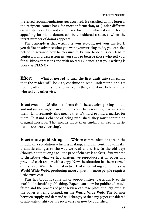preferred recommendations get accepted. Be satisfied with a letter if the recipient comes back for more information, or (under different circumstances) does not come back for more information. A leaflet appealing for blood donors can be considered a success when the target number of donors appears.

The principle is that writing is your servant, not your master. If you define in advance what you want your writing to do, you can also define in advance how to measure it. Failure to do this can lead to confusion and depression as you start to believe those who tell you, for all kinds or reasons and with no real evidence, that your writing is poor (*see* **PIANO**).

**Effort** What is needed to turn the **first draft** into something that the reader will look at, continue to read, understand and act upon. Sadly there is no alternative to this, and don't believe those who tell you otherwise.

**Electives** Medical students find these exciting things to do, and not surprisingly many of them come back wanting to write about them. Unfortunately this means that it's hard to find a market for them. To stand a chance of being published, they must contain an original message. This means more than finding an exotic destination (*see* **travel writing**).

**Electronic publishing** Written communications are in the middle of a revolution which is making, and will continue to make, dramatic changes to the way we read and write. In the old days (though not that long ago – the pace of change is so fast), if we wanted to distribute what we had written, we reproduced it on paper and provided each reader with a copy. Now the situation has been turned on its head. With the global network of interlinking computers (*see* **World Wide Web**), producing more copies for more people requires little extra cost.

This has brought some major opportunities, particularly to the world of scientific publishing. Papers can now be published much faster, and the process of **peer review** can take place publicly, even as the paper is being formed, on the **World Wide Web**. The balance between supply and demand will change, so that any paper considered of adequate quality by the reviewers can now be published.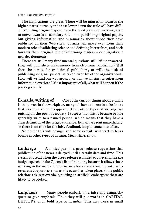The implications are great. There will be migration towards the higher status journals, and those lower down the scale will have difficulty finding original papers. Even the prestigious journals may start to move towards a secondary role – not publishing original papers, but giving information and summaries about those they have published on their Web sites. Journals will move away from their modern role of validating science and defining hierarchies, and back towards their original role of informing readers about significant new developments.

There are still many fundamental questions still left unanswered. How will publishers make money from electronic publishing? Will there be a role for traditional publishers, or will the task of publishing original papers be taken over by other organizations? How will we find our way around, or will we all start to suffer from information overload? Most important of all, what will happen if the power goes off?

**E-mails, writing of** One of the curious things about e-mails is that, even in the workplace, many of them still retain a freshness that has long since disappeared from other types of writing (*see* **putting on the posh overcoat**). I suspect that this is because people generally write to a named person, which means that they have a clear definition of the **target audience**. E-mails are sent immediately, so there is no time for the **false feedback loop** to come into effect.

No doubt this will change, and some e-mails will start to be as boring as other types of writing. Meanwhile, enjoy.

**Embargo** A notice put on a press release requesting that publication of the news is delayed until a certain date and time. This system is useful when the **press release** is linked to an event, like the budget speech or the Queen's list of honours, because it allows those working in the media to prepare in advance and come up with wellresearched reports as soon as the event has taken place. Some public relations advisers overdo it, putting on artificial embargoes: these are likely to be broken.

**Emphasis** Many people embark on a false and gimmicky quest to give emphasis. Thus they will put words in CAPITAL LETTERS, or in **bold type** or in *italics*. This may work in small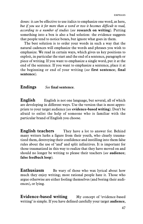doses: it *can* be effective to use italics to emphasize one word, as here, *but if you use it for more than a word or two it becomes difficult to read, according to a number of studies* (*see* **research on writing**). Putting something into a box is also a bad solution: the evidence suggests that people tend to notice boxes, but ignore what goes in them.

The best solution is to order your words in such a way that the natural cadences will emphasize the words and phrases you wish to emphasize. We read in certain ways, which gives us key positions to exploit, in particular the start and the end of a sentence, paragraph or piece of writing. If you want to emphasize a single word, put it at the end of the sentence. If you want to emphasize a sentence, place it at the beginning or end of your writing (*see* **first sentence**; **final sentence**).

# **Endings** *See* **final sentence**.

**English** English is not one language, but several, all of which are developing in different ways. Use the version that is most appropriate to your target audience (*see* **evidence-based writing**). Don't be afraid to enlist the help of someone who is familiar with the particular brand of English you choose.

**English teachers** They have a lot to answer for. Behind many writers lurks a figure from their youth, who clearly traumatized them, destroying their confidence and instilling into them false rules about the use of 'and' and split infinitives. It is important for those traumatized in this way to realize that they have moved on and should no longer be writing to please their teachers (*see* **audience**; **false feedback loop**).

**Enthusiasm** Be wary of those who wax lyrical about how much they enjoy writing; most rational people hate it. Those who argue otherwise are either fooling themselves (and boring their audiences), or lying.

**Evidence-based writing** My concept of 'evidence-based writing' is simple. If you have defined carefully your target **audience**,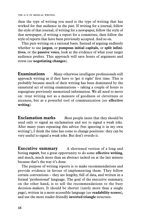then the type of writing you need is the type of writing that has worked for that audience in the past. If writing for a journal, follow the style of that journal; if writing for a newspaper, follow the style of that newspaper; if writing a report for a committee, then follow the style of reports that have been previously accepted. And so on.

This puts writing on a rational basis. Instead of arguing endlessly whether to use **jargon**, or **pompous initial capitals**, or **split infinitives**, or the **passive voice**, look at the evidence of what your target audience prefers. This approach will save hours of argument and stress (*see* **negotiating changes**).

**Examinations** Many otherwise intelligent professionals still approach writing as if they have to 'get it right' first time. This is probably because much of their writing has been dominated by the unnatural act of sitting examinations – taking a couple of hours to regurgitate previously memorized information. We all need to move on: treat writing not as a measure of goodness or cleverness or niceness, but as a powerful tool of communication (*see* **effective writing**).

**Exclamation marks** Most people insist that they should be used only to signal an exclamation and not to signal a weak joke. After many years repeating this advice (but ignoring it in my own writing!), I think the time has come to change positions: they can be very useful to signal a weak joke. But don't overdo it.

**Executive summary** A shortened version of a long and boring **report**, but a great opportunity to do some **effective writing**, and much, much more than an abstract tacked on at the last minute because that's the way it's done.

The purpose of writing reports is to make recommendations and provide evidence in favour of implementing them. They follow certain conventions – they are lengthy, full of data, and written in a formal 'professional' language. The goal of the executive summary, on the other hand, is to sell the recommendations to the busy decision-makers. It should be shorter (rarely more than a single page), written in a more accessible language (*see* **readability scores**), and use the more reader-friendly **inverted triangle** structure.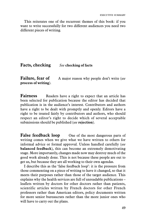This reiterates one of the recurrent themes of this book: if you want to write successfully for two different audiences you need two different pieces of writing.

#### **Facts, checking** *See* **checking of facts**

**Failure, fear of** A major reason why people don't write (see **process of writing**).

**Fairness** Readers have a right to expect that an article has been selected for publication because the editor has decided that publication is in the audience's interest. Contributors and authors have a right to be dealt with promptly and openly. Editors have a right to be treated fairly by contributors and authors, who should respect an editor's right to decide which of several acceptable submissions should be published (*see* **rejection**).

False feedback loop One of the most dangerous parts of writing comes when we give what we have written to others for informal advice or formal approval. Unless handled carefully (*see* **balanced feedback**), this can become an extremely demotivating stage. More importantly, changes made now may destroy much of the good work already done. This is not because these people are out to get us, but because they are all working to their own agendas.

I describe this as the 'false feedback loop': it is the pressure from those commenting on a piece of writing to have it changed, so that it meets their purposes rather than those of the target audience. This explains why the health services are full of unreadable publications – leaflets written by doctors for other doctors rather than patients, scientific articles written by French doctors for other French professors rather than American editors, policy documents written for more senior bureaucrats rather than the more junior ones who will have to carry out the plans.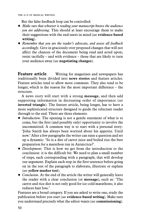But the false feedback loop can be controlled:

- *Make sure that whoever is reading your manuscript knows the audience you are addressing*. This should at least encourage them to make their suggestions with the end-users in mind (*see* **evidence-based writing**).
- *Remember that you are the reader's advocate, and assess all feedback accordingly*. Give in graciously over proposed changes that will not affect the chances of the document being read and acted upon; resist tactfully – and with evidence – those that are likely to turn your audience away (*see* **negotiating changes**).

**Feature article** Writing for magazines and newspapers has traditionally been divided into **news stories** and feature articles. Feature articles tend to allow more comment. They also tend to be longer, which is the reason for the most important difference – the structure.

A news story will start with a strong **message**, and then add supporting information in decreasing order of importance (*see* **inverted triangle**). The feature article, being longer, has to have a more sophisticated structure designed to guide the reluctant reader through to the end. There are three elements.

- *Introduction*. The opening is not a gentle statement of what is to come, but the first (and possibly only) opportunity to involve the uncommitted. A common way is to start with a personal story: 'John Smith has always been worried about his appetite. Until now.' After a few paragraphs the writer can raise a question and set up a dynamic: 'So is a diet of carrot juice and boiled rice the best preparation for a marathon run in Antarctica?'.
- *Development*. This is how we get from the introduction to the conclusion: it is the difficult bit. We need to plan a small number of steps, each corresponding with a paragraph, that will develop our argument. Explain each step in the first sentence before going on in the rest of the paragraph to elaborate, illustrate or explain (*see* **yellow marker test**).
- *Conclusion*. At the end of the article the writer will generally leave the reader with a clear conclusion (or **message**), such as: 'The carrot and rice diet is not only good for ice-cold marathons; it also reduces hair loss.'

Features are a broad category. If you are asked to write one, study the publication before you start (*see* **evidence-based writing**). Make sure you understand precisely what the editor wants (*see* **commissioning**).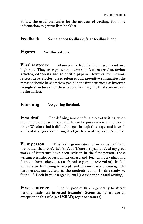Follow the usual principles for the **process of writing**. For more information, *see* **journalism booklist**.

**Feedback** *See* **balanced feedback; false feedback loop**.

**Figures** *See* **illustrations**.

**Final sentence** Many people feel that they have to end on a high note. They are right when it comes to **feature articles**, **review articles**, **editorials** and **scientific papers**. However, for **memos**, **letters**, **news stories**, **press releases** and **executive summaries**, the message should be shamelessly sold in the first sentence (*see***inverted triangle structure**). For these types of writing, the final sentence can be the dullest.

**Finishing** *See* **getting finished**.

**First draft** The defining moment for a piece of writing, when the jumble of ideas in our head has to be put down in some sort of order. We often find it difficult to get through this stage, and have all kinds of strategies for putting it off (*see* **free writing, writer's block**).

**First person** This is the grammatical term for using 'I' and 'we' rather than 'you', 'he', 'she', or (if one is royal) 'one'. Many great works of literature have been written in the first person; those writing scientific papers, on the other hand, feel that it is vulgar and detracts from science as an objective pursuit (*see* **voice**). In fact journals are beginning to accept, and in some cases encourage, the first person, particularly in the methods, as in, 'In this study we found ...'. Look in your target journal (*see* **evidence-based writing**).

**First sentence** The purpose of this is generally to attract passing trade (*see* **inverted triangle**). Scientific papers are an exception to this rule (*see* **IMRAD**; **topic sentences**).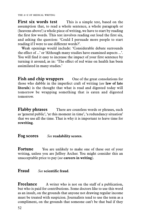**First six words test** This is a simple test, based on the assumption that, to read a whole sentence, a whole paragraph or (heavens above!) a whole piece of writing, we have to start by reading the first few words. This test involves reading out loud the first six, and asking the question: 'Could I persuade more people to start reading if  $\overline{I}$  were to use different words?'.

Weak openings would include: 'Considerable debate surrounds the effect of ...' or 'Although many studies have examined aspects ...'. You will find it easy to increase the impact of your first sentence by turning it around, as in: 'The effect of red wine on health has been assimilated in many studies.'

**Fish and chip wrappers** One of the great consolations for those who dabble in the imperfect craft of writing (*see* **law of late literals**) is the thought that what is read and digested today will tomorrow be wrapping something that is eaten and digested tomorrow.

**Flabby phrases** There are countless words or phrases, such as 'general public', 'at this moment in time', 'a redundancy situation' that we use all the time. That is why it is important to leave time for **rewriting**.

**Fog scores** *See* **readability scores**.

**Fortune** You are unlikely to make one of these out of your writing, unless you are Jeffrey Archer. You might consider this an unacceptable price to pay (*see* **careers in writing**).

**Fraud** *See* **scientific fraud**.

**Freelance** A writer who is not on the staff of a publication, but who is paid for contributions. Some doctors like to use this word as an insult, on the grounds that anyone not drawing regular income must be treated with suspicion. Journalists tend to use the term as a compliment, on the grounds that someone can't be that bad if they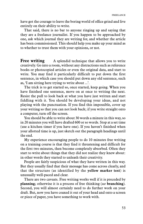have got the courage to leave the boring world of office grind and live entirely on their ability to write.

That said, there is no bar to anyone ringing up and saying that they are a freelance journalist. If you happen to be approached by one, ask which journal they are writing for, and whether the article has been commissioned. This should help you make up your mind as to whether to trust them with your opinions, or not.

**Free writing** A splendid technique that allows you to write creatively. Go into a room, without any distractions such as reference books or photocopied articles or even the original data, and start to write. You may find it particularly difficult to put down the first sentence, in which case you should put down any old sentence, such as, 'I am sitting here trying to write about ...'.

The trick is to get started so, once started, keep going. When you have finished one sentence, move on at once to writing the next. Resist the pull to look back at what you have just written and start fiddling with it. You should be developing your ideas, and not playing with the punctuation. If you find this impossible, cover up your writing so that you can not look back; if you write straight onto a computer, turn off the screen.

You should be able to write about 30 words a minute in this way, so in 20 minutes you will have drafted 600 or so words. Stop at a set time (use a kitchen timer if you have one). If you haven't finished when your allotted time is up, just sketch out the paragraph headings until the end.

My experience encouraging people to do 10 minutes free writing on a training course is that they find it threatening and difficult for the first two minutes, then become completely absorbed. Often they start to write about things that they did not realize they knew about: in other words they started to unleash their creativity.

People are fairly suspicious of what they have written in this way. But they usually find that their message has come across clearly, and that the structure (as identified by the **yellow marker test**) is unusually well-paced and clear.

There are two caveats. Free writing works well if it is preceded by **planning**; otherwise it is a process of free thinking (*see* **branching**). Second, you will almost certainly need to do further work on your draft. But, now you have coaxed it out of your head and onto a screen or piece of paper, you have something to work with.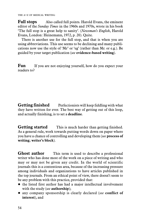**Full stops** Also called full points. Harold Evans, the eminent editor of the *Sunday Times* in the 1960s and 1970s, wrote in his book 'The full stop is a great help to sanity'. (*Newsman's English*, Harold Evans, London: Heinemann, 1972, p. 20). Quite.

There is another use for the full stop, and that is when you are using abbreviations. This use seems to be declining and many publications now use the style of 'Mr' or 'eg' (rather than Mr. or e.g.). Be guided by your target publication (*see* **evidence-based writing**).

**Fun** If you are not enjoying yourself, how do you expect your readers to?

Getting finished Perfectionists will keep fiddling with what they have written for ever. The best way of getting out of this loop, and actually finishing, is to set a **deadline**.

**Getting started** This is much harder than getting finished. As a general rule, work towards putting words down on paper where you have a chance of controlling and developing them (*see* **process of writing**; **writer's block**).

**Ghost author** This term is used to describe a professional writer who has done most of the work on a piece of writing and who may or may not be given any credit. In the world of scientific journals this is a contentious area, because of the increasing pressure among individuals and organizations to have articles published in the top journals. From an ethical point of view, there doesn't seem to be any problem with this practice, provided that:

- the listed first author has had a major intellectual involvement with the study (*see* **authorship**);
- any company sponsorship is clearly declared (*see* **conflict of interest**), and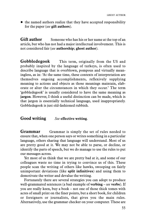• the named authors realize that they have accepted responsibility for the paper (*see* **gift authors**).

**Gift author** Someone who has his or her name at the top of an article, but who has not had a major intellectual involvement. This is not considered fair (*see* **authorship**; **ghost author**).

**Gobbledegook** This term, originally from the US and probably inspired by the language of turkeys, is often used to describe language that is overblown, pompous and virtually meaningless, as in: 'At the same time, these contexts of interpretation are themselves ongoing accomplishments, reflexively supplying meaning to actions and objects as those meanings maintain, elaborate or alter the circumstances in which they occur.' The term 'gobbledegook' is usually considered to have the same meaning as **jargon**. However, I think a useful distinction can be made, which is that jargon is essentially technical language, used inappropriately. Gobbledegook is just old-fashioned rubbish.

#### **Good writing** *See* **effective writing**.

**Grammar** Grammar is simply the set of rules needed to ensure that, when one person says or writes something in a particular language, others sharing that language will understand. Most of us are pretty good at it. We may not be able to parse, or decline, or identify the parts of speech, but we do manage to use the rules to put our messages across.

Yet most of us think that we are pretty bad at it, and some of our colleagues waste no time in trying to convince us of this. These people scan the writing of others like hawks, swooping on fairly unimportant deviations (like **split infinitives**) and using them to demotivate the writer and devalue the writing.

Fortunately there are several strategies you can adopt to produce well-grammared sentences (a bad example of **verbing** – *see* **verbs**). If you are really keen, buy a book – not one of those thick tomes with acres of small print on the finer points, but a short book, for children or foreigners or journalists, that gives you the main rules. Alternatively, use the grammar checker on your computer. These are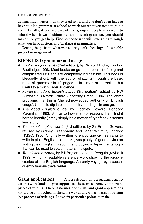getting much better than they used to be, and you don't even have to have studied grammar at school to work out what you need to put it right. Finally, if you are part of that group of people who went to school when it was fashionable not to teach grammar, you should make sure you get help. Find someone who will love going through what you have written, and 'making it grammatical'.

Getting help, from whatever source, isn't cheating: it's sensible **project management**.

## **BOOKLIST: grammar and usage**

- *English for journalists* (2nd edition), by Wynford Hicks, London: Routledge, 1998. Most books on grammar consist of long and complicated lists and are completely indigestible. This book is blessedly short, with the author whizzing through the basic rules of grammar in 12 pages. It is aimed at journalists but useful to a much wider audience.
- *Fowler's modern English usage* (3rd edition), edited by RW Burchfield, Oxford: Oxford University Press, 1996. The cover proclaims that this is 'the acknowledged authority on English usage'. Useful to dip into, but don't try reading it in one go.
- *The good English guide*, by Godfrey Howard, London: Macmillan, 1993. Similar to Fowler's. For reasons that I find it hard to identify (it may simply be a matter of typeface), it seems less stuffy.
- *The complete plain words* (3rd edition), by Sir Ernest Gowers, revised by Sidney Greenbaum and Janet Whitcut, London: HMSO, 1986. Originally written to encourage civil servants to write in plain English, this book gives plenty of good advice on writing clear English. I recommend buying a departmental copy that can be used to settle matters in dispute.
- *Troublesome words*, by Bill Bryson, London: Penguin (revised) 1999. A highly readable reference work showing the idiosyncrasies of the English language. An early voyage by a subsequently famous travel writer.

**Grant applications** Careers depend on persuading organizations with funds to give support, so these are extremely important pieces of writing. There is no magic formula, and grant applications should be approached in the same way as any other pieces of writing (*see* **process of writing**). I have six particular points to make.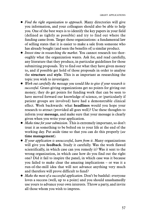- *Find the right organization to approach*. Many directories will give you information, and your colleagues should also be able to help you. One of the best ways is to identify the key papers in your field (defined as tightly as possible) and try to find out where the funding came from. Target these organizations: a fundamental law of selling states that it is easier to make a sale from someone who has already bought (and seen the benefits of) a similar product.
- *Invest time in researching the market*. You cannot research too thoroughly what the organization wants. Ask for, and read carefully, any literature that they produce, in particular guidelines for those submitting proposals. Try to find out what they have given money to, and if possible get hold of those proposals in order to analyse the **structure** and **style**. This is as important as researching the topic you wish to investigate.
- *Work out carefully the message you would like to give if your research is successful*. Grant-giving organizations get no points for giving out money; they do get points for funding work that can be seen to have moved forward our knowledge of science, or (particularly if patient groups are involved) have had a demonstrable clinical effect. Work backwards: what **headlines** would you hope your research to attract (provided all goes well)? Use these thoughts to inform your **message**, and make sure that your message is clearly given when you write your application.
- *Make time for your submission*. This is extremely important, so don't treat it as something to be bolted on to your life at the end of the working day. Put aside time so that you can do this properly (*see* **time management**).
- *If your application is unsuccessful, learn from it*. Many organizations will give you **feedback**. Study it carefully. Was the work flawed scientifically, in which case can you remedy it? Was it sent to the wrong organization, in which case how do you find out the right one? Did it fail to inspire the panel, in which case was it because you failed to make clear the amazing implications – or was it a run-of-the-mill idea that will not advance anything very much and therefore will prove difficult to fund?
- *Make the most of a successful application*. Don't be bashful: everyone loves a success (well, up to a point) and you should unashamedly use yours to advance your own interests. Throw a party, and invite all those whom you wish to impress.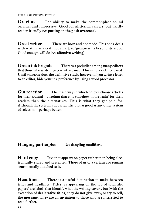THE A–Z OF MEDICAL WRITING

**Gravitas** The ability to make the commonplace sound original and impressive. Good for glittering careers, but hardly reader-friendly (*see* **putting on the posh overcoat**).

**Great writers** These are born and not made. This book deals with writing as a craft not an art, so 'greatness' is beyond its scope. Good enough will do (*see* **effective writing**).

**Green ink brigade** There is a prejudice among many editors that those who write in green ink are mad. This is not evidence based. Until someone does the definitive study, however, if you write a letter to an editor, hide your ink preference by using a word processor.

Gut reaction The main way in which editors choose articles for their journal – a feeling that it is somehow 'more right' for their readers than the alternatives. This is what they get paid for. Although the system is not scientific, it is as good as any other system of selection – perhaps better.

## **Hanging participles** *See* **dangling modifiers**.

**Hard copy** Text that appears on paper rather than being electronically stored and presented. Those of us of a certain age remain sentimentally attached to it.

**Headlines** There is a useful distinction to make between titles and headlines. Titles (as appearing on the top of scientific papers) are labels that identify what the writing covers, but (with the exception of **declarative titles**) they do not give away, or try to sell, the **message**. They are an invitation to those who are interested to read further.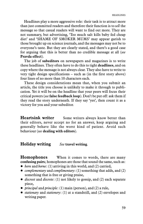Headlines play a more aggressive role: their task is to attract more than just committed readers and therefore their function is to *sell* the message so that casual readers will want to find out more. They are not summary, but advertising, 'Too much salt kills baby fed cheap diet' and 'SHAME OF SMOKER MUMS' may appear garish to those brought up on science journals, and the messages may not be to everyone's taste. But they are clearly stated, and there's a good case for arguing that this is better than no credible message at all (*see* **Pravda effect**).

The job of **subeditors** on newspapers and magazines is to write these headlines. They often have to do this to tight **deadlines**, and on copy where the message is not always clear. They also have to write to very tight design specifications – such as (in the first story above) four lines of no more than 10 characters each.

These design considerations mean that, when you submit an article, the title you choose is unlikely to make it through to publication. Yet it will be on the headline that your peers will focus their critical powers (*see***false feedback loop**). Don't be put off: ask them if they read the story underneath. If they say 'yes', then count it as a victory for you and your subeditor.

**Heartsink writer** Some writers always know better than their editors, never accept no for an answer, keep arguing and generally behave like the worst kind of patient. Avoid such behaviour (*see* **dealing with editors**).

**Holiday writing** *See* **travel writing**.

**Homophones** When it comes to words, there are many **confusing pairs**; homophones are those that sound the same, such as:

- *born* and *borne*: (1) arriving in this world, and (2) carried,
- *complementary* and *complimentary*: (1) something that adds, and (2) something that is free or giving praise,
- *discreet* and *discrete*: (1) not likely to gossip, and (2) each separate piece,
- *principal* and *principle*: (1) main (person), and (2) a rule,
- *stationary* and *stationery*: (1) at a standstill, and (2) envelopes and writing paper.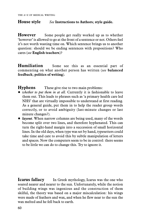## **House style** *See* **Instructions to Authors**; **style guide.**

**However** Some people get really worked up as to whether 'however' is allowed to go at the front of a sentence or not. Others feel it's not worth wasting time on. Which sentence brings us to another question: should we be ending sentences with prepositions? Who cares (*see* **English teachers**)?

**Humiliation** Some see this as an essential part of commenting on what another person has written (*see* **balanced feedback**; **politics of writing**).

**Hyphens** These give rise to two main problems:

- *whether to put them in at all.* Currently it is fashionable to leave them out. This leads to phrases such as 'a primary health care led NHS' that are virtually impossible to understand at first reading. As a general guide, put them in to help the reader group words correctly, or to avoid ambiguity (last-minute changes or last minute changes?).
- *layout*. When narrow columns are being used, many of the words become split over two lines, and therefore hyphenated. This can turn the right-hand margin into a succession of small horizontal lines. In the old days, when type was set by hand, typesetters could take time and care to avoid this by subtle manipulation of letters and spaces. Now the computers seem to be in control: there seems to be little we can do to change this. Try to ignore it.

**Icarus fallacy** In Greek mythology, Icarus was the one who soared nearer and nearer to the sun. Unfortunately, while the notion of building wings was ingenious and the construction of them skilful, the theory was based on a major miscalculation: his wings were made of feathers and wax, and when he flew near to the sun the wax melted and he fell back to earth.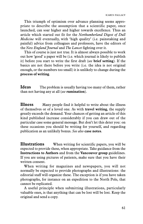This triumph of optimism over advance planning seems appropriate to describe the assumption that a scientific paper, once launched, can soar higher and higher towards excellence. Thus an article which started out fit for the *Northumberland Digest of Dull Medicine* will eventually, with 'high quality' (i.e. painstaking and painful) advice from colleagues and professors, have the editors of the *New England Journal* and *The Lancet* fighting over it.

This of course is just not true. It is almost always possible to work out how 'good' a paper will be (i.e. which journal is likely to publish it) before you start to write the first draft (*see* **brief setting**). If the basics are not there before you write (i.e. the idea is not original enough, or the numbers too small) it is unlikely to change during the **process of writing**.

**Ideas** The problem is usually having too many of them, rather than not having any at all (*see* **rumination**).

**Illness** Many people find it helpful to write about the illness of themselves or of a loved one. As with **travel writing**, the supply greatly exceeds the demand. Your chances of getting an article of this kind published increase considerably if you can draw out of the particular case some general message. But don't let this deter you: on these occasions you should be writing for yourself, and regarding publication as an unlikely bonus. *See also* **case notes**.

**Illustrations** When writing for scientific papers, you will be expected to provide these, when appropriate. Take guidance from the **Instructions to Authors** and from the **Vancouver group** guidelines. If you are using pictures of patients, make sure that you have their written consent.

When writing for magazines and newspapers, you will not normally be expected to provide photographs and illustrations: the editorial staff will organize these. The exception is if you have taken photographs, for instance on an expedition to the North Pole, that cannot be replicated.

A useful principle when submitting illustrations, particularly valuable ones, is that anything that can be lost will be lost. Keep the original and send a copy.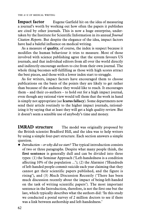**Impact factor** Eugene Garfield hit on the idea of measuring a journal's worth by working out how often the papers it publishes are cited by other journals. This is now a huge enterprise, undertaken by the Institute for Scientific Information in its annual *Journal Citation Reports*. But despite the elegance of the idea, impact factors have had a baleful influence on medical writing.

As a measure of **quality**, of course, the index is suspect because it modifies the human behaviour it tries to measure. Most of those involved with science publishing agree that the system favours US journals, and that individual editors from all over the world directly and indirectly encourage authors to cite from their own journal. The whole thing becomes self-fulfilling as those with high scores attract the best pieces, and those with a lower index start to struggle.

As for writers, impact factors have encouraged them to choose publications on the basis of the points they are likely to get rather than because of the audience they would like to reach. It encourages them – and their co-authors – to hold out for a high impact journal, even though any rational view would tell them that the work in hand is simply not appropriate (*see***Icarus fallacy**). Some departments now send their article routinely to the higher impact journals, rationalizing it by saying that at least they will get a high quality review. But it doesn't seem a sensible use of anybody's time and money.

**IMRAD structure** The model was originally proposed by the British scientist Bradford Hill, and the idea was to help writers by using a simple four-part structure. Each section answers a simple question.

• *Introduction* – *or why did we start?* The typical introduction consists of two or three paragraphs. Despite what many people think, the **first sentence** is generally dull and can be divided into three types: (1) the Seminar Approach ('Left-handedness is a condition affecting 10% of the population ...'); (2) the Alarmist ('Hundreds of left-handed people commit suicide each year claiming that they cannot get their scientific papers published, and the figure is rising'), and (3) Much Discussion Recently ('There has been much discussion recently about the impact of being-left-handed on the task of writing scientific papers'). The most important sentence in the Introduction, therefore, is not the first one but the last, which typically describes what the authors did: 'In this study we conducted a postal survey of 2 million doctors to see if there was a link between authorship and left-handedness.'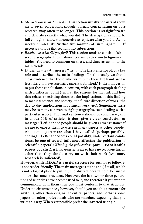- *Methods or what did we do?* This section usually consists of about six to seven paragraphs, though journals concentrating on pure research may often take longer. This section is straightforward and describes exactly what you did. The descriptions should be full enough to allow someone else to replicate what you did. Avoid woolly phrases like 'within five minutes of Birmingham ...'. If necessary divide this section into subsections.
- *Results or what did you find?* This section tends to consist of six to seven paragraphs. It will almost certainly refer you to **figures** and **tables**. You need to comment on these, and draw attention to the main trends.
- *Discussion or what does it all mean?* The first sentence plays a key role and describes the main findings: 'In this study we found clear evidence that those who write with their left hand are far less likely to have scientific papers published.' It then moves on to put these conclusions in context, with each paragraph dealing with a different point (such as the reasons for the link and how this relates to existing theories; the implications of this finding to medical science and society; the future direction of work; the day-to-day implications for clinical work, etc). Sometimes there may be as many as seven to eight paragraphs, each dealing with a particular aspect. The **final sentence** should be conclusive, and in about 50% of articles it does give a clear conclusion or message: 'Left-handed people should be given extra assistance if we are to expect them to write as many papers as other people.' About one quarter are what I have called 'perhaps possibly' endings: 'Left-handedness could possibly, under certain conditions, be one of several influences affecting the publication of scientific papers' (*Winning the publications game* – *see* **scientific papers booklist**). A final quarter seem to have no real conclusion other than they should carry on with their work (*see* '**more research is indicated'**).

However, while IMRAD is a useful structure for authors to follow, it is not reader-friendly. The main message is at the end (if at all) which is not a logical place to put it. (The abstract doesn't help, because it follows the same structure). However, the last two or three generations of scientists have become used to it, and therefore if you want to communicate with them then you must conform to that structure. Under no circumstances, however, should you use this structure for anything other than original scientific papers, and perhaps some papers for other professionals who are somehow expecting that you write this way. Wherever possible prefer the **inverted triangle**.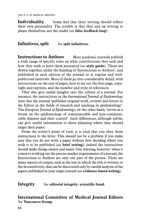**Individuality** Some feel that their writing should reflect their own personality. The trouble is that they end up writing to please themselves, not the reader (*see* **false feedback loop**).

### **Infinitives, split** *See* **split infinitives.**

**Instructions to Authors** Most academic journals publish a wide range of specific rules on what contributions they seek and how they wish to have them presented (*see* **style guide**). These are drawn together, under the heading of 'Instructions to Authors', and published in each edition of the journal or at regular and wellpublicized intervals. Most of them go into considerable detail, with instructions on the size of paper, how to lay out the first page, copyright and reprints, and the number and style of references.

They also give useful insights into the culture of a journal. For instance, the instructions in the *International Journal of Epidemiology* state that the journal 'publishes original work, reviews and letters to the Editor in the fields of research and teaching in epidemiology'. The *European Journal of Epidemiology*, on the other hand, 'serves as a forum on the epidemiology of communicable and non-communicable diseases and their control'. Such differences, although subtle, can give useful information to those planning where they should target their paper.

From the writer's point of view, it is vital that you obey these instructions to the letter. This should not be a problem if you make sure that you do not write a paper without first deciding where you wish it to be published (*see* **brief setting**); indeed the instructions should make things clearer and easier. One warning, however: when it comes to working out the precise market requirements of a journal, the Instructions to Authors are only one part of the picture. There are many aspects of a paper, such as the way in which the title is written, or the favoured style, that can be discovered only by careful analysis of the papers published in your target journal (*see* **evidence-based writing**).

#### **Integrity** *See* **editorial integrity**; **scientific fraud**.

### **International Committee of Medical Journal Editors** *See* **Vancouver Group**.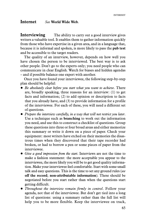# **Internet** *See* **World Wide Web**.

**Interviewing** The ability to carry out a good interview gives writers a valuable tool. It enables them to gather information quickly from those who have expertise in a given area, and in a language that, because it is informal and spoken, is more likely to pass the **pub test** and be accessible to the target readers.

The quality of an interview, however, depends on how well you have chosen the person to be interviewed. The best way is to ask other people. Don't go to the experts only; you need people who can communicate in clear English. Watch for biases and hidden agendas – and if possible balance one expert with another.

Once you have found your interviewee, the following step-by-step plan should be helpful:

- *Be absolutely clear before you start what you want to achieve*. There are, broadly speaking, three reasons for an interview: (1) to get facts and information; (2) to add opinion or description to facts that you already have, and (3) to provide information for a profile of the interviewee. For each of these, you will need a different set of questions.
- *Prepare the interview carefully, in a way that will not restrict you later*. Use a technique such as **branching** to work out the information you need, and use this to construct a checklist of questions. Group these questions into three or four broad areas and either memorize this summary or write it down on a piece of paper. Check your equipment: most writers have etched on their memories the disastrous times when they discovered that their tape recorder had broken, or had to borrow a pen or some pieces of paper from the interviewee.
- *Give a good impression from the start*. Interviews are not the time to make a fashion statement: the more acceptable you appear to the interviewee, the more likely you will be to get good quality information. Make your interviewee feel comfortable. Start with some small talk and easy questions. This is the time to set any ground rules (*see* **off the record**; **non-attributable information**). These should be negotiated before you start rather than when the questions start getting difficult.
- *Throughout the interview remain firmly in control*. Follow your agenda, not that of the interviewee. But don't get tied into a long list of questions: using a summary rather than the full list will help you to be more flexible. Keep the interviewee on track,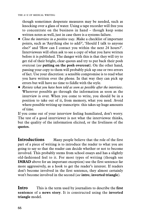though sometimes desperate measures may be needed, such as knocking over a glass of water. Using a tape recorder will free you to concentrate on the business in hand – though keep some written notes as well, just in case there is a systems failure.

- *Close the interview in a positive way*. Make a checklist of important points, such as 'Anything else to add?', 'Should I talk to anyone else?' and 'How can I contact you within the next 24 hours?'. Interviewees will often ask to see a copy of what you have written before it is published. The danger with this is that they will try to get rid of their bright, clear quotes and try to put back their posh overcoat (*see* **putting on the posh overcoat**). On the other hand, passing your copy to them will probably pick up one or two errors of fact. Use your discretion: a sensible compromise is to read what you have written over the phone. In that way they can pick up errors but will have no time to fiddle with the style.
- *Review what you have been told as soon as possible after the interview*. Wherever possible go through the information as soon as the interview is over. When you come to write, you should be in a position to take out of it, from memory, what you need. Avoid where possible writing up transcripts: this takes up huge amounts of time.

If you come out of your interview feeling humiliated, don't worry. The test of a good interviewer is not what the interviewee thinks, but the quality of the information elicited, or the liveliness of the **quotes**.

**Introductions** Many people believe that the role of the first part of a piece of writing is to introduce the reader to what you are going to say so that the reader can decide whether or not to become involved. This probably stems from school essays and has a slightly old-fashioned feel to it. For most types of writing (though see **IMRAD** above for an important exception) use the first sentence far more aggressively, as a hook to get the reader's interest. If readers don't become involved in the first sentence, they almost certainly won't become involved in the second (*see* **intro**; **inverted triangle**).

**Intro** This is the term used by journalists to describe the **first sentence** of a **news story**. It is constructed using the **inverted triangle** model.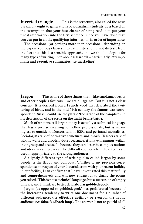**Inverted triangle** This is the structure, also called the news pyramid, taught to generations of journalism students. It is based on the assumption that your best chance of being read is to put your finest information into the first sentence. Once you have done that, you can put in all the qualifying information, in order of importance.

The occasional (or perhaps more than occasional, depending on the papers you buy) lapses into extremity should not distract from the fact that this is a sensible approach, and we should adopt it for many types of writing up to about 400 words – particularly **letters**, **emails** and **executive summaries** (*see* **marketing**).

**Jargon** This is one of those things that – like smoking, obesity and other people's fast cars – we are all against. But it is not a clear concept. It is derived from a French word that described the twittering of birds, and in the mid-19th century the famous war correspondent Russell could use the phrase 'the jargon of the campfires' in his description of the scene on the night before battle.

Much of what we call jargon today is actually a technical language that has a precise meaning for fellow professionals, but is meaningless to outsiders. Doctors talk of ESRs and perinatal mortalities. Sociologists talk of normative structures and *anomie*. Trainers talk of talking walls and problem-based learning. All have meanings within their group and are useful because they can describe complex notions and ideas in a simple way. The difficulty comes when these terms are used inappropriately to the wrong audiences.

A slightly different type of writing, also called jargon by some people, is the flabby and pompous: 'Further to my previous correspondence, in respect of your dissatisfaction with your recent holiday in our facility, I can confirm that I have investigated this matter fully and comprehensively and will now endeavour to clarify the points you raised.' This is not a technical language, but a succession of empty phrases, and I think are better described as **gobbledegook**.

Jargon (as opposed to gobbledegook) has proliferated because of the increasing tendency to write one document for a number of different audiences (*see* **effective writing**), or even for the wrong audience (*see* **false feedback loop**). The answer is not to get rid of all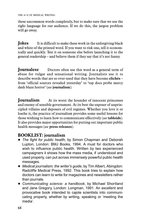these uncommon words completely, but to make sure that we use the right language for our audience. If we do this, the jargon problem will go away.

**Jokes** It is difficult to make these work in the unforgiving black and white of the printed word. If you want to risk one, tell it economically and quickly. Test it on someone else before launching it to the general readership – and believe them if they say that it's not funny.

**Journalese** Doctors often use this word as a general term of abuse for vulgar and sensational writing. Journalists use it to describe words that are so over-used that they have become **clichés** – from 'official sources revealed yesterday' to 'top docs probe mercy dash blaze horror' (*see* **journalism**).

**Journalism** At its worst the hounder of innocent princesses and enemy of sensible government. At its best the exposer of unprincipled villains and deposers of evil regimes. Whether you love it or loathe it, the practice of journalism provides some useful lessons for those wishing to learn how to communicate effectively (*see* **tabloids**). It also provides major opportunities for putting out important public health messages (*see* **press releases**).

# **BOOKLIST: journalism**

- *The fight for public health*, by Simon Chapman and Deborah Lupton, London: BMJ Books, 1994. A must for doctors who wish to influence public health. Written by two experienced campaigners it shows how the mass media, if understood and used properly, can put across immensely powerful public health messages.
- *Medical journalism; the writer's guide*, by Tim Albert, Abingdon: Radcliffe Medical Press, 1992. This book tries to explain how doctors can learn to write for magazines and newsletters rather than journals.
- *Communicating science: a handbook*, by Michael Shortland and Jane Gregory, London: Longman, 1991. An excellent and provocative book intended to cajole scientists into communicating properly, whether by writing, speaking or 'meeting the media'.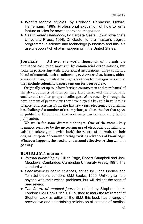- *Writing feature articles*, by Brendan Hennessy, Oxford: Heinemann, 1989. Professional exposition of how to write feature articles for newspapers and magazines.
- *Health writer's handbook*, by Barbara Gastel, Iowa: Iowa State University Press, 1998. Dr Gastel runs a master's degree programme in science and technology journalism and this is a useful account of what is happening in the United States.

**Journals** All over the world thousands of journals are published each year, most run by commercial organizations, but some in partnership with professional associations. They contain a blend of material, such as **editorials**, **review articles**, **letters**, **obituaries** and **news**, but what distinguishes them from **magazines** is that they include **scientific papers** sent out for **peer review**.

Originally set up to inform 'artisan countrymen and merchants' of the developments of science, they later narrowed their focus to smaller and smaller groups of colleagues. More recently, through the development of peer review, they have played a key role in validating science (and scientists). In the last few years **electronic publishing** has challenged a number of assumptions, such as the fact that space to publish is limited and that reviewing can be done only before publication.

We are in for some dramatic changes. One of the most likely scenarios seems to be the increasing use of electronic publishing to validate science, and (with luck) the return of journals to their original purpose of communicating exciting advances of knowledge. Whatever happens, the need to understand **effective writing** will not go away.

# **BOOKLIST: journals**

- *Journal publishing* by Gillian Page, Robert Campbell and Jack Meadows, Cambridge: Cambridge University Press, 1997. The standard work.
- *Peer review in health sciences*, edited by Fiona Godlee and Tom Jefferson: London: BMJ Books, 1999. Unlikely to help anyone with their writing problems, but will delight the fans of peer review.
- *The future of medical journals*, edited by Stephen Lock, London: BMJ Books, 1991. Published to mark the retirement of Stephen Lock as editor of the BMJ, this book has a range of provocative and entertaining articles on all aspects of medical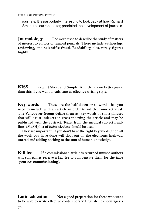journals. It is particularly interesting to look back at how Richard Smith, the current editor, predicted the development of journals.

**Journalology** The word used to describe the study of matters of interest to editors of learned journals. These include **authorship**, **reviewing**, and **scientific fraud**. Readability, alas, rarely figures highly.

**KISS** Keep It Short and Simple. And there's no better guide than this if you want to cultivate an effective writing style.

**Key words** These are the half dozen or so words that you need to include with an article in order to aid electronic retrieval. The **Vancouver Group** define them as 'key words or short phrases that will assist indexers in cross indexing the article and may be published with the abstract. Terms from the medical subject headlines (MeSH) list of *Index Medicus* should be used.'

They are important. If you don't have the right key words, then all the work you have done will float out on the electronic highway, unread and adding nothing to the sum of human knowledge.

**Kill fee** If a commissioned article is returned unused authors will sometimes receive a kill fee to compensate them for the time spent (*see* **commissioning**).

**Latin education** Not a good preparation for those who want to be able to write effective contemporary English. It encourages a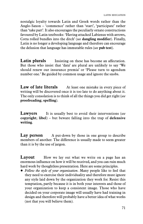nostalgic loyalty towards Latin and Greek words rather than the Anglo-Saxon – 'commence' rather than 'start', 'participate' rather than 'take part'. It also encourages the peculiarly ornate constructions favoured by Latin textbooks: 'Having attacked Labienus with arrows, Cotta rolled bundles into the ditch' (*see* **dangling modifier**). Finally, Latin is no longer a developing language and therefore can encourage the delusion that language has immutable rules (*see* **pub test**).

Latin plurals Insisting on these has become an affectation. But those who insist that 'data' are plural are unlikely to say 'We should renew our insurance premia' or 'Please turn to agendum number one.' Be guided by common usage and ignore the snobs.

Law of late literals At least one mistake in every piece of writing will be discovered once it is too late to do anything about it. The only consolation is to think of all the things you did get right (*see* **proofreading**; **spelling**).

**Lawyers** It is usually best to avoid their interventions (*see* **copyright**; **libel**) – but beware falling into the trap of **defensive writing**.

Lay person A put-down by those in one group to describe members of another. The difference is usually made to seem greater than it is by the use of jargon.

**Layout** How we lay out what we write on a page has an enormous influence on how it will be received, and you can ruin much hard work by thoughtless presentation. Here are some principles.

• *Follow the style of your organization*. Many people like to feel that they need to exercise their individuality and therefore must ignore any style laid down by the organization they work for. Resist this temptation, partly because it is in both your interests and those of your organization to keep a consistent image. Those who have decided on your corporate image will usually have had training in design and therefore will probably have a better idea of what works (not that you will believe them).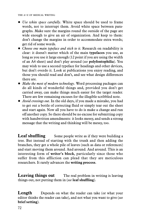- *Use white space carefully*. White space should be used to frame words, not to interrupt them. Avoid white space between paragraphs. Make sure the margins round the outside of the page are wide enough to give an air of organization. And keep to them: don't change the margins in order to accommodate extra words; get rid of some words.
- *Choose one main typeface and stick to it*. Research on readability is clear: it doesn't matter which of the main **typefaces** you use, as long as you use it large enough (12 point if you are using the width of an A4 sheet) and don't play around (*see* **polyfontophilia**). You may wish to use a second typeface for headings and other devices, but don't overdo it. Look at publications you enjoy reading, and those you should read and don't, and see what design differences there are.
- *Make the most of modern technology*. Word processing packages can do all kinds of wonderful things and, provided you don't get carried away, can make things much easier for the target reader. There are few remaining excuses for the illegible scribbled note.
- *Avoid crossings out*. In the old days, if you made a mistake, you had to get out a bottle of correcting fluid or simply tear out the sheet and start again. Now all you have to do is make a change and run off another copy. So there should be no excuse for submitting copy with handwritten amendments: it looks messy, and sends a strong message that the writing and thinking will be messy, too.

Leaf shuffling Some people write as if they were building a tree. But instead of starting with the trunk and then adding the branches, they get a whole pile of leaves (such as data or references) and start moving them around. And around. And around. This is an interesting form of **writer's block**, particularly since those who suffer from this affliction can plead that they are meticulous researchers. It rarely advances the **writing process**.

**Leaving things out** The real problem in writing is leaving things out, not putting them in (*see* **leaf shuffling**).

Length Depends on what the reader can take (or what your editor thinks the reader can take), and not what you want to give (*see* **brief setting**).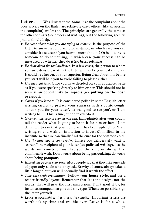**Letters** We all write these. Some, like the complaint about the poor service on the flight, are relatively easy; others (like answering the complaint) are less so. The principles are generally the same as for other formats (*see* process **of writing**), but the following specific points should help.

- *Be clear about what you are trying to achieve*. Is the purpose of the letter to answer a complaint, for instance, in which case you can consider it a success if you hear no more about it? Or is it to invite someone to do something, in which case your success can be measured by whether they do it (*see* **brief setting**)?
- *Be clear about the real audience*. In a few cases, the person to whom you are ostensibly writing the letter will not be your real audience. It could be a lawyer, or your superior. Being clear about this before you start will help you to avoid failing to please either.
- *Use the right tone*. Once you have decided on your audience, write as if you were speaking directly to him or her. This should not be seen as an opportunity to impress (*see* **putting on the posh overcoat**).
- *Cough if you have to*. It is considered polite in some English letter writing circles to preface your remarks with a polite cough: 'Thank you for your letter', 'It was good to see you', or 'I am writing to ...'. This is fine, but don't overdo it.
- *Give your message as soon as you can*. Immediately after your cough, tell the reader what is going to be in it for him or her: ' I am delighted to say that your complaint has been upheld', or 'I am writing to you with an invitation to invest £1 million in my institute so that we can finally find the cure for the common cold.'
- *Use the language of your reader*. Unless you deliberately want to scare off the recipient of your letter (*see* **political writing**), use the words and constructions that you think he or she will be comfortable with. Don't worry about being **patronizing**; do worry about being **pompous**.
- *Exceed one page at your peril*. Most people say that they like one side of paper only, so do what they ask. Brevity of course always takes a little longer, but you will normally find it worth the effort.
- *Take care with presentation*. Follow your **house style**, and use a reader-friendly **layout**. Remember that it is the design, not the words, that will give the first impression. Don't spoil it by, for instance, cramped margins and tiny type. Whenever possible, sign the letter yourself.
- *Leave it overnight if it is a sensitive matter*. Important letters are worth taking time and trouble over. Leave it for a while,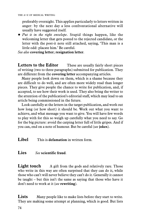preferably overnight. This applies particularly to letters written in anger: by the next day a less confrontational alternative will usually have suggested itself.

• *Put it in the right envelope*. Stupid things happen, like the welcoming letter that gets posted to the rejected candidate, or the letter with the post-it note still attached, saying, 'This man is a little odd: placate him.' Be careful.

*See also* **covering letter**; **resignation letter**.

**Letters to the Editor** These are usually fairly short pieces of writing (two to three paragraphs) submitted for publication. They are different from the **covering letter** accompanying articles.

Many people look down on them, which is a shame because they are difficult to do well, and are often more widely read than longer pieces. They give people the chance to write for publication, and, if accepted, to see how their work is used. They also bring the writer to the attention of the publication's editorial staff, which may lead to an article being commissioned in the future.

Look carefully at the letters in the target publication, and work out how long (or how short) it should be. Work out what you want to achieve, and what message you want to give. You will have few words to play with for this so weigh up carefully what you need to say. Go for the big picture: avoid the carping letter full of little gripes. And if you can, end on a note of humour. But be careful (*see* **jokes**).

**Libel** This is **defamation** in written form.

**Lies** *See* **scientific fraud**.

**Light touch** A gift from the gods and relatively rare. Those who write in this way are often surprised that they can do it, while those who can't will never believe they can't do it. Generally it cannot be taught – but this isn't the same as saying that those who have it don't need to work at it (*see* **rewriting**).

**Lists** Many people like to make lists before they start to write. They are making some attempt at planning, which is good. But lists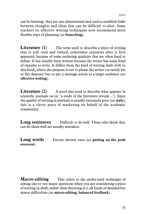can be limiting: they are one-dimensional and tend to establish links between thoughts and ideas that can be difficult to alter. Some teachers on effective writing techniques now recommend more flexible ways of planning (*see* **branching**).

**Literature (1)** The term used to describe a piece of writing that is still read and valued, sometimes centuries after it first appeared, because of some enduring qualities that are often hard to define. It has usually been written because the writer has some kind of impulse to write. It differs from the kind of writing dealt with in this book, where the purpose is not to please the writer (or satisfy his or her demons) but to put a message across to a target audience (*see* **effective writing**).

**Literature (2)** A word also used to describe what appears in scientific journals (as in: 'a study of the literature reveals ...'). Since the quality of writing in journals is usually extremely poor (*see* **style**), this is a clever piece of marketing on behalf of the academic community.

**Long sentences** Difficult to do well. Those who think they can do them well are usually mistaken.

**Long words** Favour shorter ones (*see* **putting on the posh overcoat**).

**Macro-editing** This refers to the under-used technique of asking one or two major questions when you are considering a piece of writing in draft, rather than throwing at it all kinds of detailed but minor difficulties (*see* **micro-editing**; **balanced feedback**).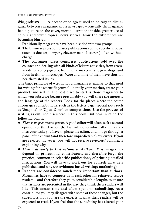**Magazines** A decade or so ago it used to be easy to distinguish between a magazine and a newspaper – generally the magazine had a picture on the cover, more illustrations inside, greater use of colour and fewer topical news stories. Now the differences are becoming blurred.

Traditionally magazines have been divided into two groups:

- The business press comprises publications sent to specific groups, (such as doctors, lawyers, elevator manufacturers) often without charge.
- The 'consumer' press comprises publications sold over the counter and dealing with all kinds of leisure activities, from crosswords to racing pigeons, from home makeovers to genealogy, and from health to horoscopes. More and more of them have slots for health-related issues.

The basic principle of writing for a magazine is similar to that used for writing for a scientific journal: identify your **market**, create your product, and sell it. The best place to start is those magazines to which you subscribe because presumably you will share the interests and language of the readers. Look for the places where the editor encourages contributions, such as the letters page, special slots such as 'Soapbox' or 'Open Door', or **competitions**. Use the **process of writing** as outlined elsewhere in this book. But bear in mind the following points.

- *There is no peer review system*. A good editor will often seek a second opinion (or third or fourth), but will do so informally. This clarifies your task: you have to please the editor, and not go through a panel of unknown (and therefore unpredictable) reviewers. If you are rejected, however, you will not receive reviewers' comments explaining why.
- *There will rarely be Instructions to Authors*. Most magazines depend on professional contributors, and therefore forgo the practice, common in scientific publications, of printing detailed instructions. You will have to work out for yourself what gets published, and why (*see* **evidence-based writing**; **marketing**).
- **Readers are considered much more important than authors**. Magazines have to compete with each other for relatively scarce readers – and therefore they go to considerable lengths to ensure that articles are presented in the way they think their readers will like. This means time and effort spent on **subediting**. As a contributor you may disagree with some of these changes, but the subeditors, not you, are the experts in what their readers will be expected to read. If you feel that the subediting has altered your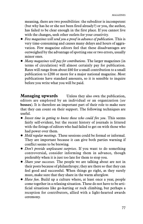meaning, there are two possibilities: the subeditor is incompetent (but why has he or she not been fired already?) or you, the author, has failed to be clear enough in the first place. If you cannot live with the changes, seek other outlets for your creativity.

- *Few magazines will send you a proof in advance of publication*. This is very time-consuming and causes many delays and hours of aggravation. Few magazine editors feel that these disadvantages are outweighed by the advantage of spotting one or two errors, usually minor ones.
- *Many magazines will pay for contributions*. The larger magazines (in terms of circulation) will almost certainly pay for publication. Rates will range from about £60 for a small contribution to a small publication to £200 or more for a major national magazine. Most publications have standard amounts, so it is sensible to inquire before you write what you will be paid.

**Managing upwards** Unless they also own the publication, editors are employed by an individual or an organization (*see* **bosses**). It is therefore an important part of their role to make sure that they can count on their support. The following techniques are useful.

- *Invest time in getting to know those who could fire you*. This seems fairly self-evident, but the recent history of journals is littered with the firings of editors who had failed to get on with those who had power over them.
- *Hold regular meetings*. These sessions could be formal or informal. They are important because it can give both parties warning if conflict seems to be brewing.
- *Don't provide unpleasant surprises*. If you want to do something controversial, consider informing them in advance, though preferably when it is just too late for them to stop you.
- *Share your successes.* The people we are talking about are not in their posts because of philanthropy; they are there so that they can feel good and successful. When things go right, as they surely must, make sure that they share in the warm afterglow.
- *Have fun*. Build up a culture where, at least once a year, people come together in a relaxing situation. These do not have to be artificial situations like go-karting or rock climbing, but perhaps a reception for contributors, allied with a light-hearted awards ceremony.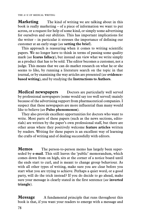**Marketing** The kind of writing we are talking about in this book is really marketing – of a piece of information we want to put across, or a request for help of some kind, or simply some advertising for ourselves and our abilities. This has important implications for the writer – in particular it stresses the importance of defining our customer at an early stage (*see* **setting the brief**).

This approach is reassuring when it comes to writing scientific papers. We no longer have to think in terms of passing some quality mark (*see* **Icarus fallacy**), but instead can view what we write simply as a product that has to be sold. The editor becomes a customer, not a judge. This means that we can do market research on what he or she seems to like, by running a literature search on the topic in that journal, or by examining the way articles are presented (*see* **evidencebased writing**), and by studying the **Instructions to Authors**.

**Medical newspapers** Doctors are particularly well served by professional newspapers (some would say too well served) mainly because of the advertising support from pharmaceutical companies. I suspect that these newspapers are more influential than many would like to believe (*see* **Pulse phenomenon**).

They also provide excellent opportunities for doctors who want to write. Most parts of these papers (such as the news sections, editorials) are written by the paper's own professional staff, but there are other areas where they positively welcome **feature articles** written by readers. Writing for these papers is an excellent way of learning the crafts of writing and of dealing successfully with editors.

**Memos** The person-to-person memo has largely been superseded by **e-mail**. This still leaves the 'public' memorandum, which comes down from on high, sits at the corner of a notice board until the ends start to curl, and is meant to change group behaviour. As with all other types of writing, make sure you are clear before you start what you are trying to achieve. Perhaps a quiet word, or a good party, will do the trick instead? If you do decide to go ahead, make sure your message is clearly stated in the first sentence (*see* **inverted triangle**).

**Message** A fundamental principle that runs throughout this book is that, if you want your readers to emerge with a message and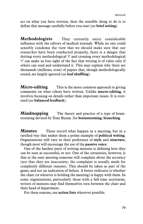act on what you have written, then the sensible thing to do is to define that message carefully before you start (*see* **brief setting**).

**Methodologists** They currently enjoy considerable influence with the editors of medical journals. While no one could sensibly condemn the view that we should make sure that our researches have been conducted properly, there is a danger that dotting every methodological 'i' and crossing every methodological 't' can make us lose sight of the fact that writing is of value only if others can read and understand it. This may explain why there are thousands (millions, even) of papers that, though methodologically sound, are largely ignored (*see* **leaf shuffling**).

**Micro-editing** This is the more common approach to giving comments on what others have written. Unlike **macro-editing**, it involves focusing on details rather than important issues. It is overused (*see* **balanced feedback**).

**Mindmapping** The theory and practice of a type of brainstorming devised by Tony Buzan. *See* **brainstorming**; **branching**.

**Minutes** These record what happen in a meeting, but in a rarefied way that makes them a prime example of **political writing**. Organizations will vary in their preference of **style** and **structure**, though most will encourage the use of the **passive voice**.

One of the hardest parts of writing minutes is defining how they can be seen as successful, or not. One of the certainties, however, is that at the next meeting someone will complain about the accuracy (not that they are inaccurate; the complaint is usually made for completely different reasons). This should be taken as part of the game, and not an indication of failure. A better indicator is whether the chair (or whoever is holding the meeting) is happy with them. In some organizations, particularly those with a full-time secretariat, writers of minutes may find themselves torn between the chair and their head of department.

For these reasons, use **action lists** wherever possible.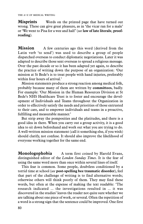**Misprints** Words on the printed page that have turned out wrong. These can give great pleasure, as in 'the vicar ran for a male' or 'We went to Pisa for a wee and half ' (*see* **law of late literals**; **proofreading**).

**Mission** A few centuries ago this word (derived from the Latin verb 'to send') was used to describe a group of people dispatched overseas to conduct diplomatic negotiations. Later it was adapted to describe those sent overseas to spread a religious message. Over the past decade or so it has been adapted yet again, to describe the practice of writing down the purpose of an organization: 'Our mission at St Bede's is to treat people with hand injuries, preferably within four hours of arrival.'

Mission statements produce a strong reaction among medical folk, probably because many of them are written by **committees**, badly. For example: 'Our Mission in the Human Resources Division at St Bede's NHS Healthcare Trust is to foster and encourage the development of Individuals and Teams throughout the Organization in order to effectively satisfy the needs and priorities of those entrusted to their care, and to empower individuals and teams in a proactive, fulfilling and measurable manner.'

But strip away the pomposities and the platitudes, and there is a good idea in there. When you carry out a group activity, it is a good idea to sit down beforehand and work out what you are trying to do. A well-written mission statement (call it something else, if you wish) should clarify, not confuse. It should also improve the likelihood of everyone working together for the same end.

**Monologophobia** A term first coined by Harold Evans, distinguished editor of the *London Sunday Times*. It is the fear of using the same word more than once within several lines of itself.

This fear is common. Some people, doubtless conditioned by a torrid time at school (*see* **post-spelling bee traumatic disorder**), feel that part of the challenge of writing is to find alternative words; otherwise others will think poorly of them. They may find these words, but often at the expense of making the text readable: 'The research indicated ... the investigations resulted in ... it was discovered in the studies' leaves the reader not quite sure whether we are talking about one piece of work, or several. Often the repetition of a word is a strong sign that the sentence could be improved. One first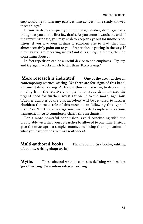step would be to turn any passives into actives: 'The study showed three things.'

If you wish to conquer your monologophobia, don't give it a thought as you do the first few drafts. As you come towards the end of the rewriting phase, you may wish to keep an eye out for undue repetition; if you give your writing to someone else to read, they will almost certainly point out to you if repetition is getting in the way. If they say you are repeating words (and it is annoying them), then do something about it.

In fact repetition can be a useful device to add emphasis. 'Try, try, and try again' works much better than 'Keep trying.'

**'More research is indicated'** One of the great clichés in contemporary science writing. Yet there are few signs of this banal sentiment disappearing. At least authors are starting to dress it up, moving from the relatively simple 'This study demonstrates the urgent need for further investigation ...' to the more ingenious 'Further analysis of the pharmacology will be required to further elucidate the exact role of this mechanism following this type of insult' or 'Further investigations are needed employing various transgenic mice to completely clarify this mechanism.'

For a more powerful conclusion, avoid concluding with the predictable wish that your researches be allowed to continue. Instead give the **message** – a simple sentence outlining the implication of what you have found (*see* **final sentences**).

**Multi-authored books** These abound (*see* **books, editing of**; **books, writing chapters in**).

**Myths** These abound when it comes to defining what makes 'good' writing. *See* **evidence-based writing**.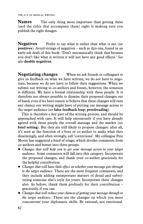**Names** The only thing more important than getting these (and the titles that accompany them) right is making sure you publish the right dosages.

**Negatives** Prefer to say what is rather than what is not (*see* **positives**). Avoid strings of negatives – such as this one, found in an early-ish draft of this book: 'Don't automatically think that because you don't like what is written it will not have any good effects.' *See also* **double negatives**.

**Negotiating changes** When we ask friends or colleagues to give us feedback on what we have written, we do not have to negotiate, because we do not have to follow their suggestions. When we submit our writing to co-authors and bosses, however, the situation is different. We have a formal relationship with these people. It is therefore not always possible to dismiss their proposed changes out of hand, even if we have reason to believe that these changes will ruin any chance our writing might have of putting our message across to the target audience (*see* **false feedback loop**; **proofreading**).

This is therefore a key part of the writing process, and should be approached with care. It will help enormously if you have already agreed with these people the overall message and the market (*see* **brief setting**). But they are still likely to propose changes: after all, it's seen as the function of a boss or co-author to make what they disarmingly, and often wrongly, call 'corrections'. My colleague Pete Moore has suggested a kind of triage, which divides comments from co-authors and bosses into three groups.

- *Changes that will help you to get your message across to your target audience*. Some comments will fall into this category. Incorporate the proposed changes, and thank your co-author graciously for the helpful contribution.
- *Changes that will have little effect on whether your message gets through to the target audience*. These are the most frequent comments, and they include adding unimportant matters of detail and substituting someone else's style for yours. Incorporate these changes also. As before, thank them profusely for their contribution – graciously, if you can.
- *Changes that will reduce your chances of getting your message through to the target audience*. These are the changes on which you must concentrate your diplomatic skills. Be rational, not emotional.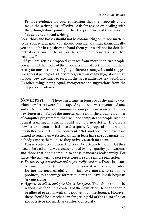Provide evidence for your contention that the proposals could make the writing less effective. Ask for advice on dealing with this, though don't point out that the problem is of their making (*see* **evidence-based writing**).

Co-authors and bosses should not be commenting on minor matters, so as a long-term goal you should consider training them. Ideally, you should be in a position to hand them your work not for detailed textual criticism but to answer the simple question: 'Can you live with this?'.

If you are getting proposed changes from more than two people, you will find that some of the proposals are in direct conflict. In these cases you must assume a slightly different strategy. I would suggest two general principles: (1) try to negotiate away any suggestions that, in your view, are likely to turn off the target audience (*see above*), and (2) other things being equal, incorporate the suggestions from the most powerful adviser.

**Newsletters** There was a time, as long ago as the early 1990s, when newsletters were all the rage. Anyone who was anyone had one, and at the first whiff of a communications problem, someone threw a newsletter at it. Part of the impetus came from the growing number of computer programmes that included templates so people with no formal training in editing could set up a newsletter. Inevitably newsletters began to fall into disrepute. A proposal to start up a newsletter was met by the comment, 'Not another!'. And everyone turned to setting up websites, which at least have the advantage that nobody can see them unless they actively search for them.

This is a pity because newsletters can be extremely useful. But they need to be well done: we are surrounded by high quality publications, and those that don't come up to those standards look tawdry. For those who still wish to persevere, here are some simple principles.

- *Do not set up a newsletter unless you really need one*. Don't just start because it seems (or someone else says it seems) a good idea. Define the need carefully – to improve morale, to sell more products, to encourage former students to leave lavish bequests (*see* **mission**)?
- *Appoint an editor, and give him or her space*. The editor should be responsible for all the content of the newsletter. He or she should be allowed to get on with this job, without interference. However, there should be a mechanism for getting rid of the editor if he or she oversteps the mark (*see* **editorial integrity**).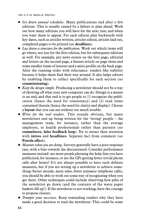- *Set down annual schedules*. Many publications end after a few editions. This is usually caused by a failure to plan ahead. Work out how many editions you will have for the next year, and when you want them to appear. For each edition plan backwards with key dates, such as articles written, articles edited, articles laid out, completed pages to be printed (*see* **deadlines**).
- *Lay down a structure for the publication*. Work out which items will go where, not just for the first edition, but for subsequent editions as well. For example, put news stories on the first page, editorial and letters on the second page, a feature article on page three and some smaller items of interest and a mini-profile on the back page. Alter the running order with reluctance: readers like stability because it helps them find their way around. It also helps editors by enabling them to collect specifically for each section (*see* **commissioning**).
- *Keep the design simple*. Producing a newsletter should not be a way of showing off what your new computer can do. Design is a means to an end, and that end is to get people to (1) recognize the publication (hence the need for consistency) and  $(2)$  read items contained therein (hence the need for clarity and display). Choose a **layout** that you can use without too much trouble.
- *Write for the real readers*. This sounds obvious, but many newsletters end up being written for the 'wrong' people – the management team, for instance, rather than the average employee, or health professionals rather than patients (*see* **committees**; **false feedback loop**). Try to attract their attention with **intros** and **headlines**. Separate fact from comment (*see* **Pravda effect**).
- *Measure what you are doing*. Surveys generally have a poor response rate, with a bias towards the discontented. Consider performance measures instead: are more people phoning the help-line you have publicized, for instance, or are the GPs getting fewer trivial phone calls after hours? It's not always possible to have such definite measures, but if you are setting up a newsletter to achieve something (better morale, more sales, fewer nuisance telephone calls), you should be able to work out some way of recognizing when you get there. Other techniques could include observing how piles of the newsletter go down (and the contents of the waste paper baskets fill up!). If the newsletter is not working, have the courage to propose closure.
- *Trumpet your successes*. Keep reminding readers why they have made a good decision to read the newsletter. This could be some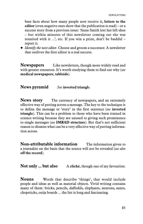bare facts about how many people now receive it, **letters to the editor** (even negative ones show that the publication is read) – or a success story from a previous issue: 'Anne Smith lost her left shoe – but within minutes of this newsletter coming out she was reunited with it ...', etc. If you win a prize, don't be bashful – report it.

• *Identify the next editor*. Choose and groom a successor. A newsletter that outlives the first editor is a real success.

**Newspapers** Like newsletters, though more widely read and with greater resources. It's worth studying them to find out why (*see* **medical newspapers**; **tabloids**).

**News pyramid** *See* **inverted triangl**e.

**News story** The currency of newspapers, and an extremely effective way of putting across a message. The key to the technique is to define the message or 'story' in the first sentence (*see* **inverted triangle**). This can be a problem to those who have been trained in science writing because they are unused to giving such prominence to single messages (*see* **IMRAD structure**). But that's not sufficient reason to dismiss what can be a very effective way of putting information across.

**Non-attributable information** The information given to a journalist on the basis that the source will not be revealed (*see also* **off the record**).

**Not only ... but also** A **cliché**, though one of my favourites.

**Nouns** Words that describe 'things', that would include people and ideas as well as material objects. Vivid writing contains many of them: bricks, pencils, daffodils, elephants, neurons, aunts, chopsticks, ouija boards ... the list is long and fascinating.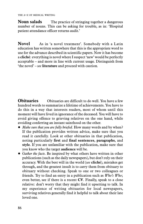**Noun salads** The practice of stringing together a dangerous number of nouns. This can be asking for trouble, as in: 'Hospital patient attendance officer returns audit.'

**Novel** As in 'a novel treatment'. Somebody with a Latin education has written somewhere that this is the appropriate word to use for the advance described in scientific papers. Now it has become a **cliché**: everything is novel where I suspect 'new' would be perfectly acceptable – and more in line with current usage. Distinguish from 'the novel' – *see* **literature** and proceed with caution*.*

**Obituaries** Obituaries are difficult to do well. You have a few hundred words to summarize a lifetime of achievements. You have to do this in a way that interests readers, most of whom until this moment will have lived in ignorance of the deceased. You will have to avoid giving offence to grieving relatives on the one hand, while avoiding conferring an instant sainthood on the other.

- *Make sure that you are fully briefed*. How many words and by when? If the publication provides written advice, make sure that you read it carefully. Look at other obituaries in that publication, noting particularly **first** and **final sentences**, **paragraphs**, and **style**. If you are unfamiliar with the publication, make sure that you know who the target **audience** will be.
- *Gather the facts*. Be inspired by what others have written in other publications (such as the daily newspapers), but don't rely on their accuracy. With the best will in the world (*see* **cliché**), mistakes get through, and the greatest insult is to carry them from obituary to obituary without checking. Speak to one or two colleagues or friends. Try to find an entry in a publication such as *Who's Who*; even better, see if there is a recent **CV**. Finally, speak to a close relative: don't worry that they might find it upsetting to talk. In my experience of writing obituaries for local newspapers, surviving relatives generally find it helpful to talk about their late loved one.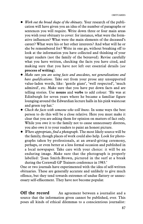- *Work out the broad shape of the obituary*. Your research of the publication will have given you an idea of the number of paragraphs or sentences you will require. Write down three or four main areas you wish your obituary to cover: for instance, what were the formative influences? What were the main elements of the deceased's career? What were his or her other interests? And what will he or she be remembered for? Write in one go, without breaking off to look at the information you have collected and thinking of your target readers (not the family of the bereaved). Revise carefully what you have written, checking the facts you have cited, and making sure that you have not left out essential details (*see* **process of writing**).
- *Make sure you are using facts and anecdotes, not generalizations and bare qualifications*. Take out from your prose any unsupported value-laden words, like: 'gentle giant', 'well respected', 'much admired', etc. Make sure that you have put down facts and are telling stories. Use **nouns** and **verbs** to add colour: 'He was at Edinburgh for seven years where he became a familiar figure lounging around the Edwardian lecture halls in his pink waistcoat and green top hat.'
- *Check the facts with someone who will know*. In some ways the best person to do this will be a close relative. Here you must make it clear that you are asking them for opinion on matters of fact only. While you owe it to the family not to cause unnecessary distress, you also owe it to your readers to paint an honest picture.
- *Where appropriate, find a photograph*. The most likely source will be the family, though places of work could also help. Look for photographs taken by professionals, at an award-giving ceremony, perhaps, or even better at a less formal occasion and published in a local newspaper. Take care with your choice: it will be an enduring image. Make sure that the photograph is properly labelled: 'Joan Smith-Brown, pictured in the surf at a break during the Cornwall GP Trainers conference in 1983.'

One or two journals have experimented with the idea of self-written obituaries. These are generally accurate and unlikely to give much offence, but they tend towards extremes of undue flattery or unnecessary self-effacement. They have not become popular.

**Off the record** An agreement between a journalist and a source that the information given cannot be published, ever. This poses all kinds of ethical dilemmas to a conscientious journalist: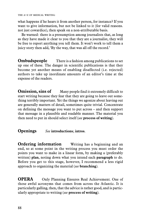what happens if he hears it from another person, for instance? If you want to give information, but not be linked to it (for valid reasons. not just cowardice), then speak on a non-attributable basis.

Be warned: there is a presumption among journalists that, as long as they have made it clear to you that they are a journalist, they will be free to report anything you tell them. It won't work to tell them a juicy story then add, 'By the way, that was all off the record.'

**Ombudspeople** There is a fashion among publications to set up one of these. The danger in scientific publications is that they become yet another means of enabling disaffected (i.e. rejected) authors to take up inordinate amounts of an editor's time at the expense of the readers.

**Omission, sins of** Many people find it extremely difficult to start writing because they fear that they are going to leave out something terribly important. Yet the things we agonize about leaving out are generally matters of detail, sometimes quite trivial. Concentrate on defining the message you want to put across – and then support that message in a plausible and readable manner. The material you then need to put in should select itself (*see* **process of writing**).

# **Openings** *See* **introductions**; **intros**.

**Ordering information** Writing has a beginning and an end, so at some point in the writing process you must order the points you want to make in a linear form, by making a (preferably written) **plan**, noting down what you intend each **paragraph** to do. Before you get to this stage, however, I recommend a less rigid approach to organizing the material (*see* **branching**).

**OPERA** Only Planning Ensures Real Achievement. One of those awful acronyms that comes from across the Atlantic. It is particularly galling, then, that the advice is rather good, and is particularly appropriate to writing (*see* **process of writing**).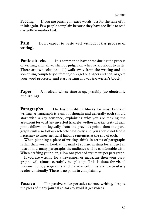**Padding** If you are putting in extra words just for the sake of it, think again. Few people complain because they have too little to read (*see* **yellow marker test**).

**Pain** Don't expect to write well without it (*see* **process of writing**).

**Panic attacks** It is common to have these during the process of writing; after all we shall be judged on what we are about to write. There are two solutions: (1) walk away from the writing and do something completely different, or (2) get out paper and pen, or go to your word processor, and start writing anyway (*see* **writer's block**).

**Paper** A medium whose time is up, possibly (*see* **electronic publishing**).

**Paragraphs** The basic building blocks for most kinds of writing. A paragraph is a unit of thought and generally each should start with a key sentence, explaining why you are moving the argument forward (*see* **inverted triangle**; **yellow marker test**). If each point follows on logically from the previous point, then the paragraphs will also follow each other logically, and you should not find it necessary to insert artificial linking sentences at the end of each.

When planning a piece of writing, think in terms of paragraphs rather than words. Look at the market you are writing for, and get an idea of how many paragraphs the audience will be comfortable with. When drafting your plan, allow one piece of argument per paragraph.

If you are writing for a newspaper or magazine then your paragraphs will almost certainly be split up. This is done for visual reasons: long paragraphs and narrow columns are particularly reader-unfriendly. There is no point in complaining.

**Passive** The passive voice pervades science writing, despite the pleas of many journal editors to avoid it (*see* **voice**).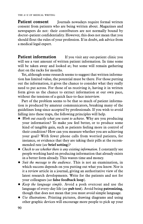**Patient consent** Journals nowadays require formal written consent from patients who are being written about. Magazines and newspapers do not: their contributors are not normally bound by doctor–patient confidentiality. However, this does not mean that you should flout the rules of your profession. If in doubt, ask advice from a medical legal expert.

**Patient information** If you visit any out-patient clinic you will see a vast amount of written patient information. In time some will be taken away and looked at; but some will remain gathering dust on the racks for months.

Yet, although some research seems to suggest that written information has limited value, the potential must be there. For those putting out the information, it gives the chance to consider what they really need to put across. For those of us receiving it, having it in written form gives us the chance to extract information at our own pace, without the tensions of a quick face-to-face interview.

Part of the problem seems to be that so much of patient information is produced by amateur communicators, breaking many of the guidelines long since accepted by professionals. If you wish to avoid falling into these traps, the following principles will help.

- *Work out exactly what you want to achieve*. Why are you producing your information? To make *you* feel better, or to produce some kind of tangible gain, such as patients feeling more in control of their condition? How can you measure whether you are achieving your goal? With fewer phone calls from worried patients, for instance, or evidence that they are taking their pills at the recommended rate (*see* **brief setting**)?
- *Check to see whether there is any existing information*. I constantly see people working hard on producing information that already exists in a better form already. This wastes time and money.
- *Suit the message to the audience*. This is not an examination, in which success depends on you putting out what you know. Nor is it a review article in a journal, giving an authoritative view of the latest research developments. Write for the patients and not for your colleagues (*see* **false feedback loop**).
- *Keep the language simple*. Avoid a posh overcoat and use the language of every-day life (*see* **pub test**). Avoid being **patronizing**, though that does not mean that you must avoid simple language.
- *Use illustrations*. Printing pictures, drawing diagrams and using other graphic devices will encourage more people to pick up your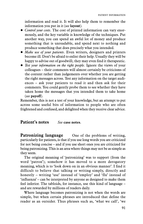information and read it. It will also help them to remember the information you put in it (*see* **layout**).

- *Control your costs*. The cost of printed information can vary enormously, and the key variable is knowledge of the techniques. Put another way, you can spend an awful lot of money and produce something that is unreadable, and spend next to nothing and produce something that does precisely what you intended.
- *Make use of your patients*. Even writers, designers and printers become ill. Don't be afraid to enlist their help. Usually they will be happy to advise out of goodwill; they may even find it therapeutic.
- *Test your information on the right people*. Ignore the views of your colleagues – their comments will almost certainly be criticisms of the content rather than judgements over whether you are getting the right messages across. Test any information on the target audiences – ask your patients to read it and then ask for their comments. You could gently probe them to see whether they have taken home the messages that you intended them to take home (*see* **payoff**).

Remember, this is not a test of your knowledge, but an attempt to put across some useful bits of information to people who are often frightened and confused, and delighted when they receive clear advice.

# **Patient's notes** *See* **case notes**.

Patronizing language One of the problems of writing, particularly for patients, is that if you use long words you are criticized for not being concise – and if you use short ones you are criticized for being patronizing. This is an area where things may not be as simple as they seem.

The original meaning of 'patronizing' was to support (from the word 'patron'); somehow it has moved to a more derogatory meaning, which is to 'look down on in an obvious manner'. I find it difficult to believe that talking or writing simply, directly and honestly – writing 'use' instead of 'employ' and 'flu' instead of 'influenza' – can be interpreted by anyone as designed to make them feel inferior. The tabloids, for instance, use this kind of language – and are rewarded by millions of readers daily.

Where language becomes patronizing is not when the words are simple, but when certain phrases are introduced that define the reader as an outsider. Thus phrases such as, 'what we call', 'we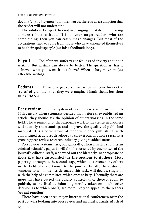doctors ', '[you] laymen '. In other words, there is an assumption that the reader will not understand.

The solution, I suspect, lies not in changing our style but in having a more robust attitude. If it is your target readers who are complaining, then you can easily make changes. But most of the accusations tend to come from those who have appointed themselves to be their spokespeople (*see* **false feedback loop**).

**Payoff** Too often we suffer vague feelings of anxiety about our writing. But writing can always be better. The question is: has it achieved what you want it to achieve? When it has, move on (*see* **effective writing**).

**Pedants** Those who get very upset when someone breaks the 'rules' of grammar that they were taught. Thank them, but then think **PIANO**.

**Peer review** The system of peer review started in the mid-17th century when scientists decided that, before they published an article, they should ask the opinion of others working in the same field. The assumption is that exposing work to the criticism of others will identify shortcomings and improve the quality of published material. It is a cornerstone of modern science publishing, with complicated structures developed to carry it out, and more recently a growing peer review research industry giving it added status.

Peer review systems vary, but generally, when a writer submits an original scientific paper, it will first be screened by one or two of the journal's editorial staff, who weed out the blatantly inappropriate or those that have disregarded the **Instructions to Authors**. Most papers go through to the second stage, which is assessment by others in the field who are known to the journal. Finally the editor, or someone to whom he has delegated this task, will decide, singly or with the help of a committee, which ones to keep. Normally there are more that have passed the quality controls than there is room to publish, so the final decision is generally taken on a subjective decision as to which one(s) are more likely to appeal to the readers (*see* **gut reaction**).

There have been three major international conferences over the past 10 years looking into peer review and medical journals. Much of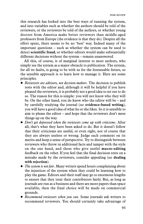this research has looked into the best ways of running the system, and into variables such as whether the authors should be told of the reviewers, or the reviewers be told of the authors, or whether young doctors from America make better reviewers than middle-aged professors from Europe (the evidence is that they do). Despite all the effort spent, there seems to be no 'best' way. Indeed many of the important questions – such as whether the system can be used to detect **scientific fraud**, or whether editors would make substantially different decisions without the system – remain unanswered.

All this, of course, is of marginal interest to most authors, who simply see the system as a major obstacle to publication. The system, for all its faults, is going to be with us for the foreseeable future, so the sensible approach is to learn how to manage it. Here are some principles.

- *Reviewers are advisers, not decision-makers*. The decision to publish rests with the editor and, although it will be helpful if you have pleased the reviewers, it is probably not a good idea to set out to do so. The reason for this is simple: you will not know who they will be. On the other hand, you do know who the editor will be – and by carefully studying the journal (*see* **evidence-based writing**), you will have a good idea of what he or she likes. So it is sensible to aim to please the editor – and hope that the reviewers don't mess things up on the way.
- *Don't get depressed when the reviewers come up with criticisms*. After all, that's what they have been asked to do. But it doesn't follow that their criticisms are useful, or even right, nor of course that they are always useless or wrong. Judge each comment on its merits and keep a sense of perspective. Try to distinguish between reviewers who throw in additional facts and tamper with the style on the one hand, and those who give useful **macro-editing** feedback on the other. If you feel that the final decision rests on a mistake made by the reviewers, consider appealing (*see* **dealing with rejection**).
- *The system is not fair*. Many writers spend hours complaining about the injustices of the system when they could be learning how to play the game. Editors and their staff may go to enormous lengths to ensure that they treat their contributors fairly. But, as long as journals are run as a business and there are more papers than space available, then the final choice will be made on commercial grounds.
- *Recommend reviewers when you can*. Some journals ask writers to recommend reviewers. You should certainly take advantage of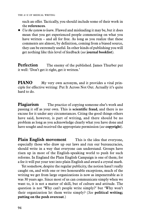such an offer. Tactically, you should include some of their work in the **references**.

• *Use the system to learn*. Flawed and misleading it may be, but it does mean that you get experienced people commenting on what you have written – and all for free. As long as you realize that these comments are almost, by definition, coming from a biased source, they can be extremely useful. In other kinds of publishing you will get nothing like this level of feedback (*see* **journal booklist**).

**Perfection** The enemy of the published. James Thurber put it well: 'Don't get it right, get it written.'

**PIANO** My very own acronym, and it provides a vital principle for effective writing: Put It Across Not Out. Actually it's quite hard to do.

**Plagiarism** The practice of copying someone else's work and passing it off as your own. This is **scientific fraud**, and there is no excuse for it under any circumstances. Citing the good things others have said, however, is part of writing, and there should be no problem as long as you acknowledge clearly what you have done and have sought and received the appropriate permission (*see* **copyright**).

**Plain English movement** This is the idea that everyone, especially those who draw up our laws and run our bureaucracies, should write in a way that everyone can understand. Groups have risen up in most of the English-speaking world to push for such reforms. In England the Plain English Campaign is one of them; for a fee it will put your text into plain English and award a crystal mark.

Yet somehow, despite the regular publicity, the notion hasn't really caught on, and with one or two honourable exceptions, much of the writing we get from large organizations is now as impenetrable as it was 30 years ago. Since most of us can communicate simply when we want to, it is not a matter of skill, but of culture and attitude. The question is not 'Why can't people write simply?' but 'Why won't their organization let them write simply? (*See* **political writing; putting on the posh overcoat**.)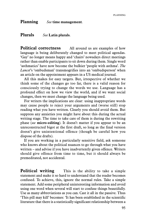#### **Planning** *See* **time management**.

# **Plurals** *See* **Latin plurals**.

**Political correctness** All around us are examples of how language is being deliberately changed to meet political agendas. 'Gay' no longer means happy and 'chairs' nowadays direct meetings rather than enable participants to sit down during them. Single word 'asthmatics' have now become the bulkier 'people with asthma'. *The Lancet*'s 'ombudsman' transmogrifies into an 'ombudsperson' when an article on the appointment appears in a US medical journal.

All this makes for easy targets. But, irrespective of whether we think some of the changes go too far, there is a valid reason for consciously trying to change the words we use. Language has a profound effect on how we view the world, and if we want social changes, then we must change the language being used.

For writers the implications are clear: using inappropriate words may cause people to reject your arguments and (worse still) stop reading what you have written. Clearly you should avoid them. But suppress any anxieties you might have about this during the actual writing stage. The time to take care of them is during the rewriting phase (*see* **micro-editing**). It doesn't matter if you appear to be an unreconstructed bigot at the first draft, so long as the final version doesn't give unintentional offence (though be careful how you dispose of the drafts).

If you are working in a particularly sensitive field, ask someone who knows about the political nuances to go through what you have written – and advise if you have inadvertently given offence. Writers should give offence from time to time, but it should always be premeditated, not accidental.

**Political writing** This is the ability to take a simple statement and make it so hard to understand that the reader becomes confused. To achieve, this, ignore the normal rules. Take a simple statement. Add some peripheral uninteresting information and avoid using one word when several will start to confuse things beautifully. Use as many abbreviations as you can. Cast it all in the passive. Thus 'This pill may kill' becomes: 'It has been established in the scientific literature that there is a statistically significant relationship between a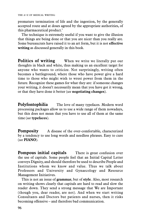premature termination of life and the ingestion, by the generally accepted route and at doses agreed by the appropriate authorities, of this pharmaceutical product.'

The technique is extremely useful if you want to give the illusion that things are being done or that you are nicer than you really are. Some bureaucrats have raised it to an art form, but it is not **effective writing** as discussed generally in this book.

**Politics of writing** When we write we literally put our thoughts in black and white, thus making us an excellent target for anyone who wants to criticize. Not surprisingly, writing often becomes a battleground, where those who have power give a hard time to those who might wish to wrest power from them in the future. Recognize these games for what they are: if someone changes your writing, it doesn't necessarily mean that you have got it wrong, or that they have done it better (*see* **negotiating changes**).

**Polyfontophilia** The love of many typefaces. Modern word processing packages allow us to use a wide range of them nowadays, but this does not mean that you have to use all of them at the same time (*see* **typefaces**).

**Pomposity** A disease of the over-comfortable, characterized by a tendency to use long words and needless phrases. Easy to cure (*see* **PIANO**).

**Pompous initial capitals** There is great confusion over the use of capitals. Some people feel that an Initial Capital Letter conveys Dignity, and should therefore be used to describe People and Institutions whom we know and value. Thus we talk about Professors and University and Gynaecology and Resource Management Initiatives.

This is not an issue of **grammar**, but of **style**. Also, most research on writing shows clearly that capitals are hard to read and slow the reader down. They send a strong message that We are Important (though you, dear reader, are not). And when we start writing Consultants and Doctors but patients and nurses, then it risks becoming offensive – and therefore bad communication.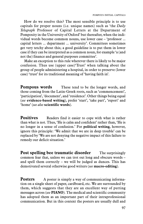How do we resolve this? The most sensible principle is to use capitals for proper nouns (i.e. unique names) such as 'the *Daily Telegraph* Professor of Capital Letters at the Department of Pomposity in the University of Oxford' but thereafter, when the individual words become common nouns, use lower case – 'professor ... capital letters ... department ... university'. Committees sometimes get very tetchy about this; a good guideline is to put them in lower case if they can be interpreted as a common noun, for example 'a (and not the) finance and general purposes committee'.

Make an exception to this rule wherever there is likely to be major confusion. Thus use (upper case)'Trust' when talking about the group of people administering a hospital, in order to preserve (lower case) 'trust' for its traditional meaning of 'having faith in'.

**Pompous words** These tend to be the longer words, and those coming from the Latin-Greek roots, such as 'commencement', 'participation', 'document', and 'residence'. Other things being equal (*see* **evidence-based writing**), prefer 'start', 'take part', 'report' and 'home' (*see also* **scientific words**).

**Positives** Readers find it easier to cope with what is rather than what is not. Thus, 'He is calm and confident' rather than, 'He is no longer in a sense of confusion.' For **political writing**, however, ignore this principle: 'We admit that we are in deep trouble' can be replaced by 'We are not denying the negative impact of this failure to remedy our deficit situation.'

**Post spelling bee traumatic disorder** The surprisingly common fear that, unless we can trot out long and obscure words – and spell them correctly – we will be judged as dunces. This has demotivated several otherwise good writers (*see* **macro-editing**).

**Posters** A poster is simply a way of communicating information on a single sheet of paper, cardboard, etc. We are surrounded by them, which suggests that they are an excellent way of putting messages across (*see* **PIANO**). The medical and scientific community has adopted them as an important part of their intraprofessional communication. But in this context the posters are usually dull and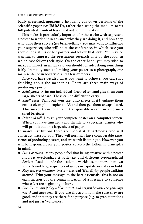badly presented, apparently favouring cut-down versions of the scientific paper (*see* **IMRAD**), rather than using the medium to its full potential. Content has edged out communication.

This makes it particularly important for those who wish to present a poster to work out in advance why they are doing it, and how they will judge their success (*see* **brief setting**). You may want to influence your supervisor, who will be at the conference, in which case you should look at his or her posters and follow that style. You may be wanting to impress the prestigious research unit up the road, in which case follow their style. On the other hand, you may wish to make an impact, in which case you should consider doing something fairly dramatic, such as limiting your poster to a photograph, one main sentence in bold type, and a few numbers.

Once you have decided what you want to achieve, you can start thinking about the mechanics. There are three main ways of producing a poster.

- *Solid panels*. Print out individual sheets of text and glue them onto large sheets of card. These can be difficult to carry.
- *Small cards*. Print out your text onto sheets of A4, enlarge them onto a clean photocopier to A3 and then get them encapsulated. This makes them tough and transportable – even in a normalsized briefcase.
- *Print and roll*. Design your complete poster on a computer screen. When you have finished, send the file to a specialist printer who will print it out on a large sheet of paper.

In many institutions there are specialist departments who will construct these for you. They will normally have considerable experience of producing posters, and are worth listening to. However, you will be responsible for your poster, so keep the following principles in mind.

- *Don't overload*. Many people feel that being creative with a poster involves overloading it with text and different typographical devices. Look outside the academic world: use no more than two fonts. Avoid large sequences of words in capitals, or italics or bold.
- *Keep text to a minimum*. Posters are read (if at all) by people walking around. Trim your message to the bare essentials; this is not an examination but the communication of a message to someone whose feet are beginning to hurt.
- *Use illustrations if they add or attract, and not just because everyone says you should have one*. If you use illustrations make sure they are good, and that they are there for a purpose (e.g. to grab attention) and not just as 'wallpaper'.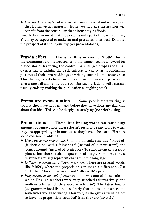• *Use the house style*. Many institutions have standard ways of displaying visual material. Both you and the institution will benefit from the continuity that a house style affords.

Finally, bear in mind that the poster is only part of the whole thing. You may be expected to make an oral presentation as well. Don't let the prospect of it spoil your trip (*see* **presentations**).

**Pravda effect** This is the Russian word for 'truth'. During the communist era the newspaper of this name became a byword for biased stories favouring the controlling elite (*see* **propaganda**). All owners like to indulge their self-interest or vanity, as in publishing pictures of their own weddings or writing such blatant sentences as 'Our distinguished chairman drew on his enormous experience to give a most illuminating address.' But such a lack of self-restraint usually ends up making the publication a laughing stock.

**Premature expostulation** Some people start writing as soon as they have an idea – and before they have done any thinking about that idea. This can be deeply unsatisfying (*see* **brief setting**).

**Prepositions** These little linking words can cause huge amounts of aggravation. There doesn't seem to be any logic to when they are appropriate, so in most cases they have to be learnt. Here are some common problems.

- *Using the wrong prepositions*. Common mistakes include: 'bored of ' (it should be 'with'), 'dissent to' (instead of 'dissent from') and 'centre around' (instead of 'centre on'). To some extent this is sloppiness, but there is also a question of usage. Sometimes these 'mistakes' actually represent changes in the language.
- *Different prepositions, different meanings*. There are several words, like 'differ', where the preposition can make a difference. (Use 'differ from' for comparisons, and 'differ with' a person.)
- *Prepositions at the end of sentences*. This was one of those rules to which English teachers were very attached (alternatively, and inoffensively, 'which they were attached to'). The latest Fowler (*see* **grammar booklist**) states clearly that this is a nonsense, and sometimes would be wrong. However, it also gives a warning not to leave the preposition 'stranded' from the verb (*see* **style**).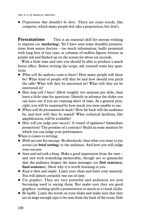• *Prepositions that shouldn't be there*. There are some words, like comprise, which many people feel take a preposition, but don't,

**Presentations** This is an essential skill for anyone wishing to impress (*see* **marketing**). Yet I have seen some dreadful presentations from senior doctors – too much information, badly presented with long lists of tiny type, or columns of endless figures written in purple ink and flashed up on the screen for about six seconds.

With a little time and care you should be able to produce a much better effect. Before writing the script, ask yourself some key questions.

- *What will the audience want to know?* How many people will there be? What kind of people will they be and how should you pitch the talk? What will they be interested in? What will they *not* be interested in?
- *How long will I have?* Allow roughly two minutes per slide, then leave a little time for questions. Identify in advance the slides you can leave out if you are running short of time. As a general principle, you will be surprised by how much you were unable to use.
- *Where will the presentation be made?* How far back will the audience be, and how will they be seated? What technical facilities, like amplification, will be available?
- *How will you judge your success?* A round of applause? Immediate promotion? The promise of a contract? Build in some measure by which you can judge your performance.

When it comes to writing:

- *Work out your key message.* Be absolutely clear what you want to put across (*see* **brief setting**) to the audience. And how you will judge your success.
- *Start and end with a bang*. Make a good impression from the start and end with something memorable, though not so gimmicky that the audience forgets the main messages (*see* **first sentence**; **final sentence**). Show why it is worth listening to you.
- *Keep it short and simple*. Limit your ideas and limit your material. You will almost certainly run out of time.
- *Use graphics*. They are very powerful and audiences are now becoming used to seeing them. But make sure they are good graphics: nothing spoils a presentation so much as a visual cliché.
- *Be legible*. Limit the words on your slides and make sure that they are in large enough type to be seen from the back of the room. Edit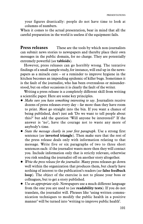your figures drastically: people do not have time to look at columns of numbers.

When it comes to the actual presentation, bear in mind that all the careful preparation in the world is useless if the equipment fails.

**Press releases** These are the tools by which non-journalists can submit news stories to newspapers and thereby place their own messages in the public domain, for no charge. They are potentially extremely powerful (*see* **tabloids**).

However, press releases can go horribly wrong. The tentative findings of a small sample study, for instance, will end up in the newspapers as a miracle cure – or a reminder to improve hygiene in the kitchen becomes an impending epidemic of killer bugs. Sometimes it is the fault of the journalist, who has been overzealous or misunderstood, but on other occasions it is clearly the fault of the writer.

Writing a press release is a completely different skill from writing a scientific paper. Here are some key principles.

- *Make sure you have something interesting to say*. Journalists receive dozens of press releases every day – far more than they have room to print. Most go straight into the bin. If you want a chance of being published, don't just ask 'Do we want to tell people about this?' but add the question 'Will anyone be interested?' If the answer is 'no', have the courage not to waste any more of anybody's time.
- *State the message clearly in your first paragraph*. Use a strong first sentence (*see* **inverted triangle**). Then make sure that the rest of the press release deals only with information relating to that message. Write five or six paragraphs of two to three short sentences each: if the journalist wants more then they will contact you. Include information only that is strictly relevant, otherwise you risk sending the journalist off on another story altogether.
- *Write the press release for the journalist*. Many press releases go down well within the organization that produces them, but clearly have nothing of interest to the publication's readers (*see* **false feedback loop**). The object of the exercise is not to please your boss or colleagues, but to get a story published.
- *Use an appropriate style*. Newspapers use a much different language from the one you are used to (*see* **readability tests**). If you do not translate, the journalist will. Phrases like 'using written communication techniques to modify the public health in a positive manner' will be turned into 'writing to improve public health'.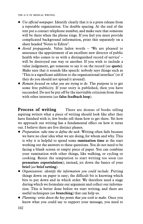- *Use official notepaper*. Identify clearly that it is a press release from a reputable organization. Use double spacing. At the end of the text put a contact telephone number, and make sure that someone will be there when the phone rings. If you feel you must provide complicated background information, print this separately on a sheet headed 'Notes to Editor'.
- *Avoid propaganda*. Value laden words 'We are pleased to announce the appointment of an excellent new director of public health who comes to us with a distinguished record of service' – will be destroyed one way or another. If you wish to include a value judgement, get someone to say it on the record (*see* **quote)**. Make sure that it sounds like speech: nobody says things such as 'This is a significant addition to the organizational interface' (or if they do you should not spread it around).
- *Remain focused on what you are trying to do*. The purpose is to get some free publicity. If your story is published, then you have succeeded. Do not be put off by the inevitable criticism from those with other interests (*see* **false feedback loop**).

**Process of writing** There are dozens of books telling aspiring writers what a piece of writing should look like after they have finished with it; few books tell them how to get there. Yet how we approach our writing has a fundamental effect on how it turns out. I believe there are five distinct phases.

- *Preparation: take time to define the task*. Writing often fails because we have no clear idea what we are doing, for whom and why. This is why it is helpful to spend some **rumination time** at the start working out the answers to these questions. You do not need to be facing a blank screen or empty piece of paper. You can combine your rumination with other things, like walking, or cycling or cooking. Resist the temptation to start writing too soon (*see* **premature expostulation**); instead, jot down the basics of your **brief** (*see* **brief setting**).
- *Organization: identify the information you could include*. Putting things down on paper is easy; the difficult bit is knowing which bits to put down and in which order. We therefore need a stage during which we formulate our argument and collect our information. This is better done before we start writing, and there are useful techniques (*see* **branching**) that can help us.
- *Planning: write down the key points that you wish to make*. Once you know what you could say to support your message, you need to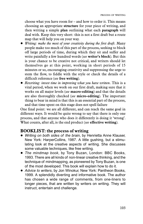choose what you have room for – and how to order it. This means choosing an appropriate **structure** for your piece of writing, and then writing a simple **plan** outlining what each **paragraph** will deal with. Keep this very short: this is not a first draft but a route map that will help you on your way.

- *Writing: make the most of your creativity during the first draft*. Many people make too much of this part of the process, seeking to block off large periods of time, during which they sit and suffer and write painfully a few hundred words (*see* **writer's block**). But this is your chance to be creative not critical, and writers should let themselves go at this point, working in short periods of 15 minutes or so, encouraging creativity and suppressing the urge to stem the flow, to fiddle with the style or check the details of a difficult reference (*see* **free writing**).
- *Rewriting: invest time in improving what you have written*. This is a vital period, when we work on our first draft, making sure that it works on all major levels (*see* **macro-editing**) and that the details are also thoroughly checked (*see* **micro-editing**). The important thing to bear in mind is that this is an essential part of the process, and that time spent on this stage does not spell failure

One final point: we are all different, and can reach the same goal in different ways. It would be quite wrong to say that there is only one process, and that anyone who does it differently is doing it 'wrong'. What counts, after all, is the end product (*see* **effective writing**).

### **BOOKLIST: the process of writing**

- *Writing on both sides of the brain*, by Henrietta Anne Klauser, New York: HarperCollins, 1987. A little gushing, but a stimulating look at the creative aspects of writing. She discusses some valuable techniques, like free writing.
- *The mindmap book*, by Tony Buzan, London: BBC Books, 1993. There are all kinds of non-linear creative thinking, and the technique of mindmapping, as pioneered by Tony Buzan, is one of the most developed. This book will explain how to do it.
- *Advice to writers*, by Jon Winokur, New York: Pantheon Books, 1999. A splendidly diverting and informative book. The author has chosen a wide range of comments, from one-liners to longer pieces, that are written by writers on writing. They will instruct, entertain and challenge.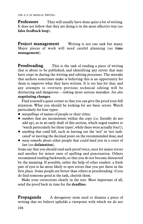**Professors** They will usually have done quite a bit of writing. It does not follow that they are doing it in the most effective way (*see* **false feedback loop**).

**Project management** Writing is not one task but many. Major pieces of work will need careful planning (*see* **time management**).

**Proofreading** This is the task of reading a piece of writing that is about to be published, and identifying any errors that may have crept in during the writing and editing processes. The mistake that authors sometimes make is believing this is an opportunity for them to improve what they have written. It is too late for that, and any attempts to overturn previous technical editing will be distracting and dangerous – risking more serious mistakes. *See also* **negotiating changes**.

Find yourself a quiet corner so that you can give the proof your full attention. What you should be looking for are basic errors. Watch particularly for four types:

- $\bullet$  *misspellings* of names of people or their titles;
- *numbers* that are inconsistent within the copy (i.e. literally do not add up), as in an early draft of this section, which urged readers to 'watch particularly for three types', while there were actually four!);
- *anything that could kill*, such as leaving out the 'not' in 'not indicated' or moving the decimal point on the recommended dose, and
- *nasty remarks* about other people that could land you in a court of law (*see* **defamation**).

Some say that you should read each proof twice, once for major errors and another for minor ones of spelling and punctuation. Others recommend reading backwards, so that you do not become distracted by the meaning. If possible, enlist the help of other readers: a fresh pair of eyes is far more likely to spot errors that you put there in the first place. Some people are better than others at proofreading: if you do find someone good at the task, cherish them.

Make your corrections clearly in the text. Most important of all, send the proof back in time for the **deadline**.

**Propaganda** A derogatory term used to dismiss a piece of writing that we believe upholds a viewpoint with which we do not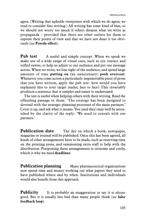agree. (Writing that upholds viewpoints with which we do agree, we tend to consider fine writing.) All writing has some kind of bias, so we should not worry too much if others dismiss what we write as propaganda – provided that there are other outlets for them to express their points of view and that we have not done it too obviously (*see* **Pravda effect**).

Pub test A useful and simple concept. When we speak we make use of a wide range of visual cues, such as eye contact and stifled yawns, to help us adjust to our audience and put our message across. When we write, we lose sight of the audience, and spend large amounts of time **putting on (**an unnecessary) **posh overcoat**. Whenever you come across a particularly impenetrable piece of prose that you have written, apply the pub test: how would you have explained this to your target reader, face to face? This invariably produces a sentence that is simpler and easier to understand.

The test is useful when helping others with their writing. Read the offending passage to them: 'The strategy has been designed to dovetail with the strategic planning processes of the main partners.' Cover it up, and ask what it means. You (and they) may well be astonished by the clarity of the reply: 'We need to consult with our partners.'

**Publication date** The day on which a book, newspaper, magazine or journal will be published. Once this has been agreed, all kinds of other arrangements have to be made, such as reserving time on the printing press, and summoning extra staff to help with the distribution. Postponing these arrangements is tiresome and costly, which is why we need **deadlines**.

**Publication planning** Many pharmaceutical organizations now spend time and money working out what papers they need to have published where and by when. Institutions and individuals would also benefit from this approach.

**Publicity** It is probably an exaggeration to say it is *always* good. But it is usually less bad than many people think (*see* **false feedback loop**).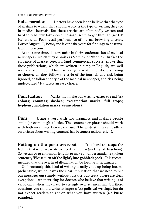**Pulse paradox** Doctors have been led to believe that the type of writing to which they should aspire is the type of writing they see in medical journals. But these articles are often badly written and hard to read, few take-home messages seem to get through (*see* CF Kellett *et al.* Poor recall performance of journal-browsing doctors, *Lancet* August 17, 1996), and it can take years for findings to be translated into action.

At the same time, doctors unite in their condemnation of medical newspapers, which they dismiss as 'comics' or 'funnies'. In fact the evidence of market research (and commercial success) shows that these publications, which are written in simpler English, are well read and acted upon. This leaves anyone writing for doctors having to choose: do they follow the style of the journal, and risk being ignored, or follow the style of the medical newspaper, and risk being undervalued? It's rarely an easy choice.

**Punctuation** Marks that make our writing easier to read (*see* **colons**; **commas**; **dashes**; **exclamation marks**; **full stops**; **hyphens**; **quotation marks**; **semicolons**).

**Puns** Using a word with two meanings and making people smile (or even laugh a little). The sentence or phrase should work with both meanings. Beware overuse: The write stuff (as a headline on articles about writing courses) has become a tedious cliché.

**Putting on the posh overcoat** It is hard to escape the feeling that when we write we need to impress (*see* **English teachers**). So we can go to enormous lengths to make an understandable spoken sentence, 'Please turn off the light', into **gobbledegook**: 'It is recommended that the overhead illumination be forthwith terminated.'

Unfortunately this kind of writing usually ends up being incomprehensible, which leaves the clear implication that we need to put our messages out simply, without fuss (*see* **pub test**). There are clear exceptions – when writing for doctors who believe that writing is of value only when they have to struggle over its meaning. On these occasions you should write to impress (*see* **political writing**), but do not expect readers to act on what you have written (*see* **Pulse paradox**).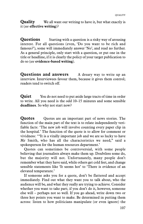**Quality** We all want our writing to have it, but what exactly is it (*see* **effective writing**)?

**Questions** Starting with a question is a risky way of arousing interest. For all questions (even, 'Do you want to be rich and famous?'), some will immediately answer 'No', and read no further. As a general principle, only start with a question, or put one in the title or headline, if it is clearly the policy of your target publication to do so (*see* **evidence-based writing**).

**Questions and answers** A dreary way to write up an interview. Interviewees favour them, because it gives them control; readers tend to switch off.

**Quiet** You do not need to put aside large tracts of time in order to write. All you need is the odd 10–15 minutes and some sensible **deadlines**. So why not start now?

**Quotes** Quotes are an important part of news stories. The function of the main part of the text is to relate independently verifiable facts: 'The new job will involve counting every paper clip in the hospital.' The function of the quote is to allow for comment or vividness: '"It is a vitally important job and we are so lucky to have Mr Smith, who has all the characteristics we need," said a spokesperson for the human resources department.'

Quotes can sometimes be controversial, with some people believing that journalists always make them up. Doubtless some do, but the majority will not. Unfortunately, many people don't remember what they have said, while others get cold feet, and change sensible statements like 'It seems hot' to 'There is evidence of an elevated temperature.'

If someone asks you for a quote, don't be flattered and accept immediately. Find out what they want you to talk about, who the audience will be, and what they really are trying to achieve. Consider whether you want to take part; if you don't do it, however, someone else will – perhaps not so well. If you go ahead, write down two or three key points you want to make. Be determined in putting them across: listen to how politicians manipulate (or even ignore) the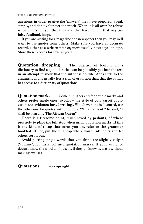questions in order to give the 'answers' they have prepared. Speak simply, and don't volunteer too much. When it is all over, be robust when others tell you that they wouldn't have done it that way (*see* **false feedback loop**).

If you are writing for a magazine or a newspaper then you may well want to use quotes from others. Make sure you have an accurate record, either as a written note or, more usually nowadays, on tape. Store these records for several years.

**Quotation dropping** The practice of looking in a dictionary to find a quotation that can be plausibly put into the text in an attempt to show that the author is erudite. Adds little to the argument and is usually less a sign of erudition than that the author has access to a dictionary of quotations.

**Quotation marks** Some publishers prefer double marks and others prefer single ones, so follow the style of your target publication (*see* **evidence-based writing**). Whichever one is favoured, use the other one for quotes within quotes: '"In a moment," he said, "I shall be boarding The African Queen".'

There is a tiresome point, much loved by **pedants**, of where precisely to place the **full stop** when using quotation marks. If this is the kind of thing that turns you on, refer to the **grammar booklist**. If not, put the full stop where you think it fits and let others sort it out.

Avoid putting single words that you think are slightly vulgar ('tummy', for instance) into quotation marks. If your audience doesn't know the word don't use it; if they do know it, use it without making excuses.

**Quotations** *See* **copyright**.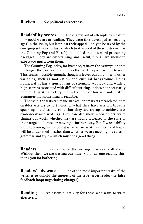#### **Racism** *See* **political correctness**.

**Readability scores** These grew out of attempts to measure how good we are at reading. They were first developed as 'reading ages' in the 1940s, but later lost their appeal – only to be saved by the emerging software industry which took several of these tests (such as the Gunning Fog and Flesch) and added them to word processing packages. They are entertaining and useful, though we shouldn't expect too much from them.

The Gunning Fog index, for instance, rests on the assumption that the longer the words and sentences the harder a piece will be to read. This seems plausible enough, though it leaves out a number of other variables, such as motivation and cultural background. Being numerical, it has a spurious air of scientific accuracy, and while a high score is associated with difficult writing, it does not necessarily predict it. Writing to keep the index number low will not in itself guarantee that something is readable.

That said, the tests can make an excellent market research tool that enables writers to test whether what they have written broadly speaking matches the tone that they are trying to achieve (*see* **evidence-based writing**). They can also show, when others try to change our work, whether they are taking it nearer to the style of their target audience, or moving it further away. Finally, readability scores encourage us to look at what we are writing in terms of how it will be understood – rather than whether we are meeting the rules of grammar and style – which must be a good thing.

**Readers** These are what the writing business is all about. Without them we are wasting our time. So, to anyone reading this, thank you for bothering.

**Readers' advocate** One of the most important tasks of the writer is to uphold the interests of the true target reader (*see* **false feedback loop**; **negotiating changes**).

**Reading** An essential activity for those who want to write effectively.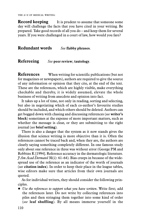**Record keeping** It is prudent to assume that someone some day will challenge the facts that you have cited in your writing. Be prepared. Take good records of all you do – and keep them for several years. If you were challenged in a court of law, how would you fare?

**Redundant words** *See* **flabby phrases**.

**Refereeing** *See* **peer review**; **tautology**.

**References** When writing for scientific publications (but not for magazines or newspapers), authors are required to give the source of any information or opinion that they cite, at the end of the text. These are the references, which are highly visible, make everything checkable and thereby, it is widely assumed, elevate the whole business of writing from anecdote and opinion into fact.

It takes up a lot of time, not only in reading, sorting and selecting, but also in negotiating which of each co-author's favourite studies should be included, and which others should be deleted. Authors can get bogged down with chasing and discussing references (*see* **writer's block**) sometimes at the expense of more important matters, such as whether the message is clear, or they are submitting to the right journal (*see* **brief setting**).

There is also a danger that the system as it now stands gives the illusion that science writing is more objective than it is. Often the references cannot be traced back and, when they are, the authors are clearly saying something completely different. In one famous study only about one reference in three was without error (George PM and Robbins K [1994]. Reference accuracy in the dermatologic literature. *J Am Acad Dermatol* **31**(i): 61–64). Bias creeps in because of the widespread use of the reference as an indicator of the worth of journals (*see* **citation index**). In order to keep their place in the league tables, wise editors make sure that articles from their own journals are quoted.

As for individual writers, they should consider the following principles.

• *Use the references to support what you have written*. Write first; add the references later. Do not write by collecting references into piles and then stringing them together into some kind of order (*see* **leaf shuffling**). By all means immerse yourself in the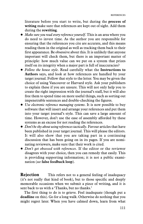literature before you start to write, but during the **process of writing** make sure that references are kept out of sight. Add them during the **rewriting**.

- *Make sure you read every reference yourself*. This is an area where you do need to invest time. As the author you are responsible for ensuring that the references you cite are accurate, and this means reading them in the original as well as tracking them back to their first appearance. Be obsessive about this. It is unlikely that anyone important will check them, but there is an important matter of principle: how much value can we put on a system that prizes itself on its integrity when a major part is full of inaccuracies?
- *Follow the house style*. Read carefully what the **Instructions to Authors** says, and look at how references are handled by your target journal. Follow that style to the letter. You may be given the choice of using Vancouver or Harvard style. Ask your publishers to explain these if you are unsure. This will not only help you to create the right impression with the journal's staff, but it will also free them to spend time on more useful things, such as sorting out impenetrable sentences and double-checking the figures.
- *Use electronic reference managing systems*. It is now possible to buy software that will insert and arrange your references and put them into your target journal's style. This can save a large amount of time. However, don't use the ease of assembly afforded by these systems as an excuse for not reading the references.
- *Don't be shy about using references tactically*. Favour articles that have been published in your target journal. This will please the editors. It will also show that you are taking part in a continuing discussion that has been going on in its pages. If you are nominating reviewers, make sure that their work is cited.
- *Don't get obsessed with references*. If the editor or the reviewer disagrees with your choice, then you can remedy that easily. This is providing supporting information; it is not a public examination (*see* **false feedback loop**).

**Rejection** This refers not to a general feeling of inadequacy (it's not really that kind of book), but to those specific and deeply memorable occasions when we submit a piece of writing, and it is sent back to us with a 'Thanks, but no thanks.'

The first thing to do is to grieve. Feel inadequate (though put a **deadline** on this). Go for a long walk. Otherwise do nothing that you might regret later. When you have calmed down, learn from what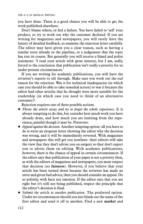you have done. There is a good chance you will be able to get the work published elsewhere.

Don't blame others, or feel a failure. You have failed to 'sell' your product, so try to work out why the customer declined. If you are writing for magazines and newspapers, you will rarely have the luxury of detailed feedback, so examine the rejection letter carefully. The editor may have given you a clear reason, such as having a similar story already in the pipeline, or a judgement that the topic has run its course. But generally you will receive a bland and polite statement: 'I read your article with great interest, but I am, sadly, forced to the conclusion that publication isn't really a priority for us under present circumstances.'

If you are writing for academic publications, you will have the reviewer's reports to sift through. Make sure you work out the *real* reason for the rejection. Was it for technical inadequacies (in which case you should be able to take remedial action) or was it because the editor had other articles that he thought were more suitable for the readership (in which case you need to think of an alternative customer)?

Rejection requires one of three possible actions.

- *Throw the article away and try to forget the whole experience*. It is always tempting to do this, but consider how much work you have already done, and how much you are learning from the experience, painful though it may be. Persevere.
- *Appeal against the decision*. Another tempting option: all you have to do is write an eloquent letter showing the editor why the decision was wrong, and it will be immediately reversed. With magazines and newspapers this will get you nowhere: their editors will take the view that they don't advise you on surgery so they don't expect you to advise them on editing. With academic publications, however, there is the chance of appeal in certain circumstances. If the editor says that publication of your paper is not a priority then, as with the editors of magazines and newspapers, you must respect that decision (*see* **fairness**). However, if you believe that your article has been turned down because the reviewer has made an error and given bad advice, then you should consider an appeal. Do so politely, with facts not emotion. If the editor says that you are right but it's still not being published, respect the principle that the editor's decision is final.
- *Submit the article to another publication*. The preferred option. Under no circumstances should you just blank out the name of the first editor and send it off to another. Find a new **market** and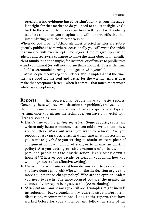research it (*see* **evidence-based writing**). Look at your **message**: is it right for that market or do you need to adjust it slightly? Go back to the start of the process (*see* **brief setting**). It will probably take less time than you imagine, and will be more effective than just tinkering with the rejected version.

When do you give up? Although most rejected articles are subsequently published somewhere, occasionally you will write the article that no one will ever accept. The logical time to give up is when editors and reviewers continue to make the same objection – insufficient numbers in the sample, for instance, or offensive to public taste – and you cannot (or will not) do anything about it. This is the time to hold a ceremonial burning – and get on with your life.

Most people receive rejection letters. While unpleasant at the time, they are good for the soul and better for the writing. And it does make that acceptance letter – when it comes – that much more worth while (*see* **acceptance**).

**Reports** All professional people have to write reports. Generally these will review a situation (or problem), analyse it, and then put some recommendations. This is a specialized type of writing; once you master the technique, you have a powerful tool. Here are some tips.

- *Decide why you are writing the report*. Some reports, sadly, are written only because someone has been told to write them; these are pointless. Work out what you want to achieve. Are you reporting last year's activities, in which case what impression do you want to give? Are you writing to obtain an extra piece of equipment or new member of staff, or to change an existing policy? Are you writing to raise awareness of an issue, or to persuade people to take drastic action, like closing down a hospital? Whatever you decide, be clear in your mind how you will judge success (*see* **effective writing**).
- *Decide on the real audience*. Whom do you want to persuade that you have done a good job? Who will make the decision to give you more equipment or change policy? Who are the opinion leaders you need to reach? The more focused you are, the greater the chances of your report being successful (*see* **marketing**).
- *Sketch out the main sections you will use*. Examples might include introduction, background/history, current situation/problem, discussion, recommendations. Look at the reports that have worked before for your audience, and follow the style of the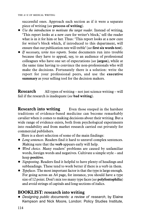successful ones. Approach each section as if it were a separate piece of writing (*see* **process of writing**).

- *Use the introduction to motivate the target reader*. Instead of writing, 'This report looks at a new cure for writer's block,' tell the reader what is in it for him or her. Thus: 'This report looks at a new cure for writer's block which, if introduced to this department, will ensure that our publication rate will treble' (*see***first six words test**).
- *If necessary, write two reports*. Some documents run into trouble because they have to appeal, say, to an audience of professional colleagues who have one set of expectations (*see* **jargon**), while at the same time having to convince the non-professionals who will make the decisions. Fortunately there is a solution: write the report for your professional peers, and use the **executive summary** as your selling tool for the decision makers.

**Research** All types of writing – not just science writing – will fail if the research is inadequate (*see* **bad writing**).

**Research into writing** Even those steeped in the harshest traditions of evidence-based medicine can become remarkably cavalier when it comes to making decisions about their writing. But a wide range of evidence exists, both from psychological experiments into readability and from market research carried out privately for commercial publishers.

Here is a short selection of some of the main findings:

- *Long sentences*. Readers find it hard to unravel complex sentences. Making sure that the **verb** appears early will help.
- *Word choice*. Many readers' problems are caused by unfamiliar words, foreign words and negatives. Cultivate a simple style – and keep **positive**.
- *Signposting*. Readers find it helpful to have plenty of headings and subheadings. These tend to work better if there is a verb in them.
- *Typefaces*. The most important factor is that the type is large enough. For going across an A4 page, for instance, you should have a type size of 12 point. Don't mix too many type faces (*see* **polyfontophilia**) and avoid strings of capitals and long sections of italics.

## **BOOKLIST: research into writing**

• *Designing public documents: a review of research*, by Elaine Kempson and Nick Moore, London: Policy Studies Institute,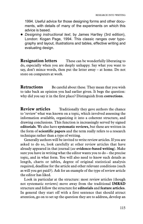1994. Useful advice for those designing forms and other documents, with details of many of the experiments on which this advice is based.

• *Designing instructional text*, by James Hartley (3rd edition), London: Kogan Page, 1994. This classic ranges over typography and layout, illustrations and tables, effective writing and evaluating design.

**Resignation letters** These can be wonderfully liberating to do, especially when you are deeply unhappy. Say what you want to say, don't mince words, then put the letter away – at home. Do not store on computers at work.

**Retractions** Be careful about these. They mean that you wish to take back an opinion you had earlier given. It begs the question: why did you say it in the first place? Distinguish from **corrections**.

**Review articles** Traditionally they gave authors the chance to 'review' what was known on a topic, which involved assessing the information available, organizing it into a coherent structure, and drawing conclusions. This function is increasingly served by signed **editorials**. We also have **systematic reviews**, but these are written in the form of **scientific papers** and the term really refers to a research technique rather than a type of writing.

Generally authors will be invited to write review articles. If you are asked to do so, look carefully at other review articles that have already appeared in that journal (*see* **evidence-based writing**). Make sure you have in writing what the editor wants you to do – the precise topic, and in what form. You will also need to know such details as length, charts or tables, degree of original statistical analysis required, deadline for the article and other relevant conditions (such as will you get paid?). Ask for an example of the type of review article the editor has liked.

Look in particular at the structure: most review articles (though not systematic reviews) move away from the traditional **IMRAD** structure and follow the structure for **editorials** and **feature articles**. In general they start off with a first sentence that should attract attention, go on to set up the question they are to address, develop an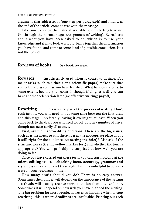argument that addresses it (one step per **paragraph**) and finally, at the end of the article, come to rest with the **message**.

Take time to review the material available before starting to write. Go through the normal stages (*see* **process of writing**). Be realistic about what you have been asked to do, which is to use your knowledge and skill to look at a topic, bring together the information you have found, and come to some kind of plausible conclusion. It is not the Gospel.

#### **Reviews of books** *See* **book reviews**.

**Rewards** Insufficiently used when it comes to writing. For major tasks (such as a **thesis** or a **scientific paper**) make sure that you celebrate as soon as you have finished. What happens later is, to some extent, beyond your control, though if all goes well you can have another celebration later (*see* **effective writing**; **payoff**).

**Rewriting** This is a vital part of the **process of writing**. Don't rush into it: you will need to put some time between the first draft and this stage – preferably leaving it overnight, at least. When you come back to the draft you will need to look at it in a number of ways, though not necessarily all at once.

First, ask the **macro-editing** questions. These are the big issues, such as is the message still there, is it in the appropriate place and is it still right for the audience (*see* **setting the brief**)? Also ask if the structure works (try the **yellow marker test**) and whether the tone is appropriate? You will probably be surprised at how well you are doing so far.

Once you have carried out these tests, you can start looking at the **micro-editing** issues – **checking facts**, **accuracy**, **grammar** and **style**. It is important to get these right, but it is unhelpful to concentrate all your resources on them.

How many drafts should you do? There is no easy answer. Sometimes the number will depend on the importance of the writing – a **thesis** will usually receive more attention than a letter home. Sometimes it will depend on how well you have planned the writing. The big problem for most people, however, is knowing when to stop rewriting: this is where **deadlines** are invaluable. Printing out each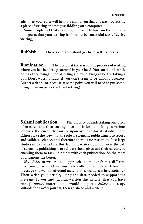edition as you revise will help to remind you that you are progressing a piece of writing and not just fiddling on a computer.

Some people feel that rewriting represent failure; on the contrary, it suggests that your writing is about to be successful (*see* **effective writing**).

**Rubbish** There's a lot of it about (*see* **brief setting**; **crap**).

**Rumination** The period at the start of the **process of writing** where you let the ideas go around in your head. You can do this while doing other things, such as riding a bicycle, lying in bed or taking a bus. Don't worry unduly if you don't seem to be making progress. But set a **deadline** because at some point you will need to put something down on paper (*see* **brief setting**).

**Salami publication** The practice of undertaking one piece of research and then cutting slices off it for publishing in various journals. It is currently frowned upon by the editorial establishment. Editors take the view that the role of scientific publishing is to record and validate science, and therefore there is no reason to slice large studies into smaller bits. But, from the writer's point of view, the role of scientific publishing is to validate themselves and their careers, by enabling them to rack up points with each publication. So the more publications the better.

My advice to writers is to approach the matter from a different direction entirely. Once you have collected the data, define the **message** you want to give and match it to a journal (*see* **brief setting**). Then write your article, using the data needed to support the message. If you find, having written this article, that you have enough *unused* material that would support a *different* message suitable for *another* journal, then go ahead and write it.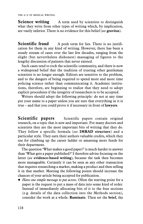**Science writing** A term used by scientists to distinguish what they write from other types of writing which, by implication, are vastly inferior. There is no evidence for this belief (*see* **gravitas**).

**Scientific fraud** A posh term for lies. There is no justification for them in any kind of writing. However, there has been a steady stream of cases over the last few decades, ranging from the slight (but nevertheless dishonest) massaging of figures to the lengthy discussion of patients that never existed.

Such cases tend to rock the scientific community, and there is now a widespread belief that the tradition of trusting other gentleman scientists is no longer enough. Editors are sensitive to the problem, and to the dangers of being required to spend more and more time policing science rather than communicating it. Academic institutions, therefore, are beginning to realize that they need to adopt explicit procedures if the integrity of researchers is to be accepted.

Writers should adopt the following principle: do not at any time put your name to a paper unless you are sure that everything in it is true – and that you could prove it if necessary in front of **lawyers**.

Scientific papers Scientific papers contain original research, on a topic that is new and important. For many doctors and scientists they are the most important bits of writing that they do. They follow a specific formula (*see* **IMRAD structure**) and a particular style. They earn their authors valuable credits, which they use for climbing up the career ladder or amassing more funds for their department.

The question 'What makes a good paper?' is much harder to answer than 'What gets a paper published?' I therefore advise focusing on the latter (*see* **evidence-based writing**), because the task then becomes more manageable. Certainly it can be seen as any other transaction that requires researching a market, making a product and then selling it in that market. Meeting the following points should increase the chances of your article being accepted for publication.

• *Have one simple message to put across*. Often the starting point for a paper is the request to put a mass of data into some kind of order. Instead of immediately allocating bits of it to the four sections (e.g. details of the data collection into the Methods section), consider the work as a whole. **Ruminate**. Then set the **brief**, the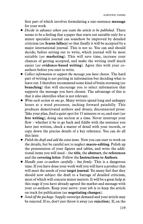first part of which involves formulating a one-sentence **message** for your work.

- *Decide in advance where you want the article to be published*. There seems to be a feeling that a paper that starts out suitable only for a minor specialist journal can somehow be improved by detailed criticism (*see* **Icarus fallacy**) so that finally it will be accepted by a major international journal. This is not so. You can and should decide, before setting out to write, which journal will be most suitable (*see* **marketing**). This will save time, increase your chances of getting accepted, and make the writing itself much easier (*see* **evidence-based writing**). Agree this with your coauthors before you start to write.
- *Collect information to support the message you have chosen*. The hard part of writing is not putting in information but deciding what to leave out. I therefore recommend some kind of brain storming (*see* **branching**) that will encourage you to select information that supports the message you have chosen. The advantage of this is that it also identifies what is not relevant.
- *Write each section in one go*. Many writers spend long and unhappy hours at a word processor, inching forward painfully. This produces demotivated authors and dreary, disconnected prose. Take your plan, find a quiet spot for 15 minutes or so, and start (*see* **free writing**), doing one section at a time. Never interrupt your flow – whether it be to go back and fiddle with the sentence you have just written, check a matter of detail with your records, or copy down the precise details of a key reference. You can do all this later.
- *Polish the draft and add the extra items*. Now you can start to work on the details, but be careful not to neglect **macro-editing**. Polish up the presentation of your figures and tables, and write the additional items you will need – the **title**, the **abstract**, the **references** and the **covering letter**. Follow the **Instructions to Authors**.
- *Handle your co-authors carefully but firmly*. This is a dangerous time. If you have done your work well you will have a product that will meet the needs of your **target journal**. Yet many feel that they should now subject the draft to a barrage of detailed criticism, most of which will concern minor matters. It will be a great help at this stage if you have already agreed the market and message with your co-authors. Keep your nerve: your job is to keep the article on track for publication (*see* **negotiating changes**).
- *Send off the package*. Supply outstrips demand and your article may be rejected. If so, don't just throw it away (*see* **rejection**). If, on the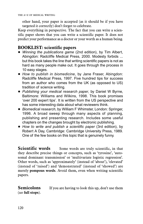other hand, your paper is accepted (as it should be if you have targeted it correctly) don't forget to celebrate.

Keep everything in perspective. The fact that you can write a scientific paper shows that you can write a scientific paper. It does not predict your performance as a doctor or your worth as a human being.

# **BOOKLIST: scientific papers**

- *Winning the publications game* (2nd edition), by Tim Albert, Abingdon: Radcliffe Medical Press, 2000. Modesty forbids ... but this book takes the line that writing scientific papers is not as hard as many people make out. It goes through the process in 10 easy stages.
- *How to publish in biomedicine*, by Jane Fraser, Abingdon: Radcliffe Medical Press, 1997. Five hundred tips for success from an author who comes from the UK (as opposed to US) tradition of science writing.
- *Publishing your medical research paper*, by Daniel W Byrne, Baltimore: Williams and Wilkins, 1998. This book promises 'over 200 expert tips'. It is written from the US perspective and has some interesting data about what reviewers think.
- *Biomedical research*, by William F Whimster, London: Springer, 1996. A broad sweep through many aspects of planning, publishing and presenting research. Includes some useful chapters on the changes brought by electronic publishing.
- *How to write and publish a scientific paper* (3rd edition), by Robert A Day, Cambridge: Cambridge University Press, 1989. One of the few books on this topic that is genuinely funny.

**Scientific words** Some words are truly scientific, in that they describe precise things or concepts, such as 'tyrosine', 'autosomal dominant transmission' or 'multivariate logistic regression'. Other words, such as 'approximately' (instead of 'about'), 'elevated' (instead of 'raised') and 'demonstrated' (instead of 'showed') are merely **pompous words**. Avoid them, even when writing scientific papers.

**Semicolons** If you are having to look this up, don't use them (*see* **full stops**).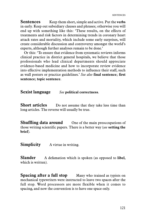**Sentences** Keep them short, simple and active. Put the **verbs** in early. Keep out subsidiary clauses and phrases; otherwise you will end up with something like this: 'These results, on the effects of treatments and risk factors in determining trends in coronary heart attack rates and mortality, which include some early surprises, will create considerable discussion and controversy amongst the world's experts, although further analyses remain to be done.'

Or this: 'To ensure that evidence from systematic reviews informs clinical practice in district general hospitals, we believe that those professionals who lead clinical departments should appreciate evidence-based medicine and how to incorporate review evidence into effective implementation methods to influence their staff, such as wall posters or practice guidelines.' *See also* **final sentence**; **first sentence**; **topic sentence**.

**Sexist language** *See* **political correctness**.

**Short articles** Do not assume that they take less time than long articles. The reverse will usually be true.

**Shuffling data around** One of the main preoccupations of those writing scientific papers. There is a better way (*see* **setting the brief**).

**Simplicity** A virtue in writing.

**Slander** A defamation which is spoken (as opposed to **libel**, which is written).

**Spacing after a full stop** Many who trained as typists on mechanical typewriters were instructed to leave two spaces after the full stop. Word processors are more flexible when it comes to spacing, and now the convention is to have one space only.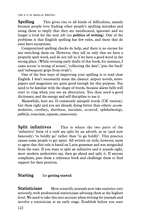**Spelling** This gives rise to all kinds of difficulties, mainly because people love finding other people's spelling mistakes and using them to imply that they are uneducated, ignorant and no longer a rival for the next job (*see* **politics of writing**). One of the problems is that English spelling has few rules, and those that do exist have exceptions.

Computerized spelling checks do help, and there is no excuse for not switching them on. However, they tell us only that we have a properly spelt word, and do not tell us if we have a good word in the wrong place. (While revising early drafts of this book, for instance, I came across 'a strong of nouns', 'collecting the date', 'piss the buck' and 'subsequent grips from rivals').

One of the best ways of improving your spelling is to read clear English. I don't necessarily mean the classics: airport novels, newspapers and magazines are quite good enough for this purpose. You need to be familiar with the shape of words, because alarm bells will start to ring when you see an aberration. You then need a good dictionary, and the energy and self discipline to use it.

Meanwhile, here are 10 commonly misspelt words (UK version). Get them right and you are already doing better than others: *accommodation*, *corollary*, *diarrhoea*, *inoculate*, *occurred*, *ophthalmology*, *publicly*, *resuscitate*, *separate*, *unnecessary*.

**Split infinitives** This is where the two parts of the 'infinitive' form of a verb are split by an adverb, as in (and now famously) 'to boldly go' rather than 'to go boldly'. This practice causes some people to get upset. All writers on style, however, seem to agree that this rule is based on Latin grammar and was misguided from the start. If you want to split an infinitive and it sounds right, most modern authorities say, then go ahead and split it. If anyone complains, pass them a reference book and challenge them to find support for their position.

### **Starting** *See* **getting started**.

**Statisticians** Most scientific journals now take statistics very seriously, with professional statisticians advising them at the highest level. We need to take this into account when writing for journals and involve a statistician at an early stage. Establish before you start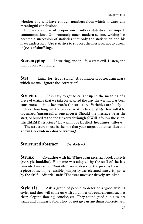whether you will have enough numbers from which to draw any meaningful conclusions.

But keep a sense of proportion. Endless statistics can impede communications. Unfortunately much modern science writing has become a succession of statistics that only the statistician and his mate understand. Use statistics to support the message, not to drown it (*see* **leaf shuffling**).

**Stereotyping** In writing, and in life, a great evil. Listen, and then report accurately.

**Stet** Latin for 'let it stand'. A common proofreading mark which means – ignore the 'correction'.

**Structure** It is easy to get so caught up in the meaning of a piece of writing that we take for granted the way the writing has been constructed – in other words the structure. Variables are likely to include: how long will the piece of writing be (**length**)? How will it be organized (**paragraphs**; **sentences**)? Should the message be at the start, or buried at the end (**inverted triangle**)? Will it follow the scientific **IMRAD** structure? How will it be labelled (**headlines**; **titles**)?

The structure to use is the one that your target audience likes and knows (*see* **evidence-based writing**).

### **Structured abstract** *See* **abstract**.

**Strunk** Co-author with EB White of an excellent book on style (*see* **style booklist**). His name was adopted by the staff of the late lamented magazine *World Medicine* to describe the process by which a piece of incomprehensible pomposity was elevated into crisp prose by the skilful editorial staff: 'That was most sensitively strunked'.

**Style (1)** Ask a group of people to describe a 'good writing style', and they will come up with a number of requirements, such as clear, elegant, flowing, concise, etc. They sound good but, alas, are vague and unmeasurable. They do not give us anything concrete with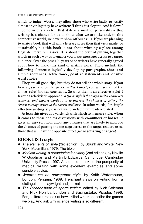which to judge. Worse, they allow those who write badly to justify almost anything they have written: 'I think it's elegant! And it flows.'

Some writers also feel that style is a mark of personality – that writing is a chance for us to show what we are like and, in this competitive world, we have to show off our skills. If you are planning to write a book that will win a literary prize then that view might be sustainable, but this book is not about winning a place among English literature classics. It is about the craft of putting together words in such a way as to enable you to put messages across to a target audience. Over the past 100 years or so writers have generally agreed about how to make this kind of writing work. These include the following elements: logically developing **paragraphs**, short and simple **sentences**, active **voice**, **positive** statements and sensible **word choice**.

They are all good tips, but they do not tell the whole story. If you look at, say, a scientific paper in *The Lancet*, you will see all of the above 'rules' broken constantly. So what then is an effective style? I favour a relativistic approach: *a 'good' style is the way a writer constructs sentences and chooses words so as to increase the chances of getting the chosen message across to the chosen audience*. In other words, for simple **effective writing**, style is not writer-related but reader-related.

At least this gives us a yardstick with which to measure style. When it comes to those endless discussions with **co-authors** or **bosses**, it gives an easy solution: allow any changes that are likely to improve the chances of putting the message across to the target reader; resist those that will have the opposite effect (*see* **negotiating changes**).

# **BOOKLIST: style**

- *The elements of style* (3rd edition), by Strunk and White, New York: Macmillan, 1979. The bible.
- *Medical writing: a prescription for clarity* (2nd edition), by Neville W Goodman and Martin B Edwards, Cambridge: Cambridge University Press, 1997. A splendid attack on the pomposity of medical writing with some excellent examples and some sensible advice.
- *Waterhouse on newspaper style*, by Keith Waterhouse, London: Penguin, 1989. Trenchant views on writing from a distinguished playwright and journalist.
- *The Picador book of sports writing*, edited by Nick Coleman and Nick Hornby, London and Basingstoke: Picador, 1996. Forget literature; look at how skilled writers describe the games we play. And ask why science writing is so different.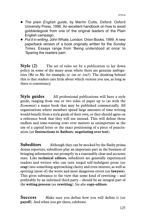- *The plain English guide*, by Martin Cutts, Oxford: Oxford University Press, 1996. An excellent handbook on how to avoid gobbledegook from one of the original leaders of the Plain English campaign.
- *Put it in writing*, John Whale, London: Orion Books, 1999. A new paperback version of a book originally written for the *Sunday Times*. Essays range from 'Being understood at once' to 'Sparing the readers pain'.

**Style (2)** The set of rules set by a publication to lay down policy in some of the many areas where there are genuine ambiguities (Mr or Mr. for example, or -ise or -ize?). The thinking behind this is that readers care little about which version you use, as long as there is consistency.

**Style guides** All professional publications will have a style guide, ranging from one or two sides of paper up to (as with the *Economist*) a major book that may be published commercially. All organizations where members spend large amounts of time writing would benefit from a style guide of their own, or they should agree on a reference book that they will use instead. This will defuse those endless and time-wasting rows over matters as unimportant as the use of a capital letter or the exact positioning of a piece of punctuation (*see* **Instructions to Authors**; **negotiating over text**).

**Subeditors** Although they can be mocked by the flashy prima donna reporters, subeditors play an important part in the business of bringing information out promptly in a reasonably clear and accurate state. Like **technical editors**, subeditors are generally experienced readers and writers who can turn turgid self-indulgent prose (*see* **crap**) into something approaching clarity and even interest, as well as spotting (most of) the worst and most dangerous errors (*see* **lawyers**). This gives substance to the view that some kind of rewriting – and preferably by an informed third party – should be an integral part of the **writing process** (*see* **rewriting**). *See also* **copy-editors**.

**Success** Make sure you define how you will define it (*see* **payoff**). And when you get there, celebrate.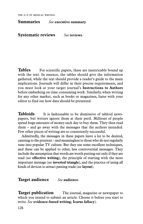### **Summaries** *See* **executive summary**.

**Systematic reviews** *See* **reviews**.

**Tables** For scientific papers, these are inextricably bound up with the text. In essence, the tables should give the information gathered, while the text should provide a reader's guide to the main implications. Journals will differ in their precise requirements, and you must look at your target journal's **Instructions to Authors** before embarking on time-consuming work. Similarly, when writing for any other market, such as books or magazines, liaise with your editor to find out how data should be presented.

**Tabloids** It is fashionable to be dismissive of tabloid newspapers, but writers ignore them at their peril. Millions of people spend huge amounts of money each day to buy them. They then read them – and go away with the messages that the authors intended. Few other pieces of writing are so consistently successful.

Admittedly, the messages in these papers leave a lot to be desired, catering to the prurient – and meaningless to those who do not regularly tune into popular TV culture. But they use some excellent techniques, and these can be applied to other, less controversial messages. They include the assumption that words are worth putting out only if they are read (*see* **effective writing**), the principle of starting with the most important message (*see* **inverted triangle**), and the practice of using all kinds of devices to attract passing trade (*see***layout**).

### **Target audience** *See* **audience**.

**Target publication** The journal, magazine or newspaper to which you intend to submit an article. Choose it before you start to write. *See* **evidence-based writing**; **Icarus fallacy**).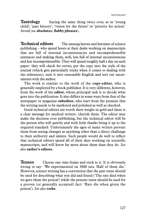**Tautology** Saying the same thing twice over, as in 'young child', 'past history', 'vision for the future' or 'priority for action'. Avoid (*see* **absolutes**; **flabby phrases**).

**Technical editors** The unsung heroes and heroines of science publishing – who spend hours at their desks working on manuscripts that are full of internal inconsistencies and incomprehensible sentences and making them, well, less full of internal inconsistencies and less incomprehensible. They will spend roughly half a day on each paper: they will check for errors, put the copy into the style of the journal (which gets particularly tricky when it comes to dealing with the references), turn it into reasonable English and sort out uncertainties with the author.

The work is similar to the work of the **copy-editor**, who is generally employed by a book publisher. It is very different, however, from the work of the **editor**, whose principal task is to decide what goes into the publication. It also differs in some ways from that of the newspaper or magazine **subeditor**, who start from the premise that the writing needs to be marketed and polished as well as checked.

Good technical editors are worth their weight in gold and there is a clear message for medical writers: cherish them. The editor may make the decision over publishing, but the technical editor will be the person who will quietly and with little thanks bring it up to the required standard. Unfortunately the egos of many writers prevent them from seeing changes as anything other than a direct challenge to their authority and talents. Such people would do well to reflect that technical editors spend all of their days working on scientific manuscripts, and will know far more about them than they do. *See also* **author's editors**.

**Tenses** Choose one time frame and stick to it. It is obviously wrong to say: 'We experimented on 3000 rats. Half of them die.' However, science writing has a convention that the past tense should be used for describing what you did and found ('The rats died when we gave them the poison') while the present tense should be used for a proven (or generally accepted) fact: 'Rats die when given the poison'). *See also* **verbs**.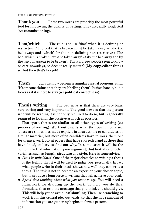**Thank you** These two words are probably the most powerful tool for improving the quality of writing. They are, sadly, neglected (*see* **commissioning**).

**That/which** The rule is to use 'that' when it is defining or restrictive ('The bed that is broken must be taken away' – take the bed away) and 'which' for the non-defining non-restrictive ('The bed, which is broken, must be taken away' – take the bed away and by the way it happens to be broken). That said, few people seem to know or care nowadays, so does it really matter? (My **copy-editor** thinks so, but then that's her job!)

**Them** This has now become a singular asexual pronoun, as in: 'If someone claims that they are libelling them'. Purists hate it, but it looks as if it is here to stay (*see* **political correctness**).

**Thesis writing** The bad news is that these are very long, very boring and very important. The good news is that the person who will be reading it is not only required to do so, but is generally required to look for the positive as much as possible.

That apart, theses are similar to all other types of writing (*see* **process of writing**). Work out exactly what the requirements are. These are sometimes made explicit in instructions to candidates or similar material, but more often candidates have to work them out for themselves. Look at papers that have succeeded and at those that have failed, and try to find out why. In some cases it will be the content (lack of information, poor argument), but look also for other variables, such as **length**, **structure** and **style**. Here is some advice.

- *Don't be intimidated*. One of the major obstacles to writing a thesis is the feeling that it will be used to judge you, personally. In fact what people write in their thesis shows how well they can write a thesis. The task is not to become an expert on your chosen topic, but to produce a long piece of writing that will achieve your goal.
- *Spend time thinking about what you want to say.* You will need a framework for dividing up the work. To help you do this, formulate, then test, the **message** that you think you should give. This will help you to avoid **leaf shuffling**. Then use **branching** to work from this central idea outwards, so that the large amount of information you are gathering begins to form a pattern.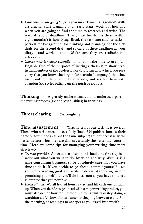- *Plan how you are going to spend your time*. **Time management** skills are crucial. Start planning at an early stage. Work out how and when you are going to find the time to research and write. The normal type of **deadline** ('I will/must finish this thesis within eight months') is horrifying. Break the task into smaller tasks – periods for background, for thinking and planning, for the first draft, for the second draft, and so on. Put these deadlines in your diary – and work to them. Make sure they are realistic and achievable.
- *Choose your language carefully*. This is not the time to use plain English. One of the purposes of writing a thesis is to show practising members of the profession or discipline into which you seek entry that you know the jargon (or technical language) that they use. Look for the current buzz words, and scatter them with abandon (*see* **style**; **putting on the posh overcoat**).

**Thinking** A grossly underestimated and underused part of the writing process (*see* **analytical skills**; **branching**).

#### **Throat clearing** *See* **coughing**.

**Time management** Writing is not one task; it is several. Those who write most successfully (have 234 publications to their name or seven books all on the same subject) are not necessarily the better writers – but they are almost certainly the better managers of time. Here are some tips for managing your writing time more effectively.

- *Set your priorities*. As set out so often in this book, the first step is to work out what you want to do, by when and why. Writing is a time-consuming business, so be absolutely sure that you have time to do it. If you decide to go ahead, commit yourself – set yourself a **writing goal** and write it down. Wandering around promising yourself that you'll do it as soon as you have time is a guarantee that you never will.
- *Block off time*. We all live 24 hours a day, and fill each one of them up. When you decide to go ahead with a major writing project, you must also decide how to find the time. What will you stop doing – watching a TV show, for instance, or sleeping between 6 and 7 in the morning, or reading a newspaper as you travel into work?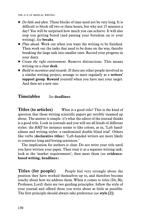- *Do little and often*. These blocks of time need not be very long. It is difficult to block off two or three hours, but why not 15 minutes a day? You will be surprised how much you can achieve. It will also stop you getting bored (and passing your boredom on to your writing). *See* **breaks**.
- *Plan ahead*. Work out when you want the writing to be finished. Then work out the tasks that need to be done on the way, thereby breaking the large task into smaller ones. Record your progress in your diary.
- *Create the right environment*. Remove distractions. This means writing on a clear **desk**.
- *Build in incentives and rewards*. If there are other people involved in a similar writing project, arrange to meet regularly as a **writers' support group**. **Reward** yourself when you have met your target. And then set a new one.

## **Timetables** *See* **deadlines**.

**Titles (to articles)** What is a good title? This is the kind of question that those writing scientific papers get terribly steamed up about. The answer is simple: it's what the editor of the journal thinks is a good title. Look in journals and you will see all kinds of different styles: the *BMJ* for instance seems to like colons, as in, 'Left handedness and writing styles: a randomized double blind trial'. Others like verbs (**declarative titles**): 'Left-handed writers are more likely to construct long and boring sentences.'

The implication for authors is clear. Do not write your title until you have written your paper. Then treat it as a separate writing task: look at the 'market requirements', then meet them (*see* **evidencebased writing**; **headlines**).

**Titles (for people)** People feel very strongly about the position they have worked themselves up to, and therefore become touchy about how we address them. When it comes to titles (Dr, Mr, Professor, Lord) there are two guiding principles: follow the style of your journal and offend those you write about as little as possible. The first principle should always take preference (*see* **style [2]**).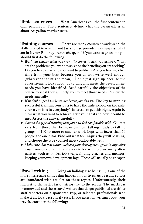**Topic sentences** What Americans call the first sentence in each paragraph. These sentences define what the paragraph is all about (*see* **yellow marker test**).

**Training courses** There are many courses nowadays on the skills related to writing and (as a course provider) not surprisingly I am in favour. But they are not cheap, and if you want to go on one you should first do the following.

- *Work out exactly what you want the course to help you achieve*. What are the problems you want to solve or the benefits you are seeking? Do you have an article you want to publish? Are you having a bad time from your boss because you do not write well enough (whatever that might mean)? Don't just sign up because the advertisement looks good: do so only if it meets the development needs you have identified. Read carefully the objectives of the course to see if they will help you to meet those needs. Review the needs annually.
- *If in doubt, speak to the trainer before you sign up*. The key to running successful training courses is to have the right people on the right courses, so it is in everybody's interests to get this right. Again be clear what you want to achieve: state your goal and how it could be met. Assess the answer carefully.
- *Choose the type of training that you will feel comfortable with*. Courses vary from those that bring in eminent talking heads to talk to groups of 100 or more to smaller workshops with fewer than 10 people and one tutor. Find out what techniques they will be using, and choose the type you feel most comfortable with.
- *Make sure that you cannot achieve your development goals in any other way*. Courses are not the only way to learn. There are many alternatives, such as books, job swaps, finding coaches and mentors, keeping your own development logs. These will usually be cheaper.

**Travel writing** Going on holiday, like being ill, is one of the more interesting things that happen in our lives. As a result, editors are inundated with articles on these topics. Unfortunately, their interest to the writer far outstrips that to the reader. The market is overcrowded and those travel writers that do get published are either staff reporters on a sponsored trip, or talented professionals who make it all look deceptively easy. If you insist on writing about your travels, consider the following: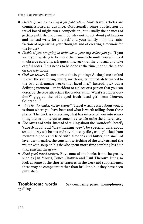- *Decide if you are writing it for publication*. Most travel articles are commissioned in advance. Occasionally some publication or travel board might run a competition, but usually the chances of getting published are small. So why not forget about publication and instead write for yourself and your family – for the satisfaction of organizing your thoughts and of creating a memoir for the future?
- *Decide if you are going to write about your trip before you go*. If you want your writing to be more than run-of-the-mill, you will need to observe carefully, ask questions, seek out the unusual and take careful notes. This needs to be done at the time, not on the plane on the way home.
- *Grab the reader*. Do not start at the beginning ('As the plane banked in over the sweltering desert, my thoughts immediately turned to the two challenging weeks that faced me.') Instead, pick out a defining moment – an incident or a place or a person that you can describe, thereby attracting the reader, as in: 'What's a didger-eeedoo?" giggled the wide-eyed fresh-faced girl from Denver, Colorado ...'
- *Write for the reader, not for yourself*. Travel writing isn't about you, it is about where you have been and what is worth telling about these places. The trick is converting what has interested you into something that is of interest to someone else. Describe the differences.
- *Use nouns and verbs*. Instead of talking about the 'wonderful hotel', 'superb food' and 'breathtaking view', be specific. Talk about smoke-dirty oak beams and sky-blue clay tiles, trout plucked from mountain pools and fried with almonds and butter, the smell of lavender on garlic, the constant scritching of the crickets, and the waiter with soup on his tie who spent more time combing his hair than passing the gravy.
- *Read good travel writers*. Buy some of the books from the greats, such as Jan Morris, Bruce Chatwin and Paul Theroux. But also look at some of the shorter features in the weekend supplements: these may be competent rather than brilliant, but they have been published.

## **Troublesome words** *See* **confusing pairs**; **homophones**; **spelling**.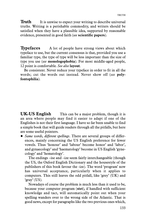**Truth** It is unwise to expect your writing to describe universal truths. Writing is a perishable commodity, and writers should be satisfied when they have a plausible idea, supported by reasonable evidence, presented in good faith (*see* **scientific papers**).

**Typefaces** A lot of people have strong views about which typeface to use, but the current consensus is that, provided you use a familiar type, the type of type will be less important than the size of type you use (*see* **monologophobia**). For most middle-aged people, 12 point is comfortable. *See also* **layout**.

Be consistent. Never reduce your typeface in order to fit in all the words; cut the words out instead. Never show off (*see* **polyfontophilia**).

**UK-US English** This can be a major problem, though it is an area where people may find it easier to adapt if one of the Englishes is not their first language. I have so far been unable to find a simple book that will guide readers through all the pitfalls, but here are some useful pointers.

• *Same words, different spellings*. There are several groups of differences, mainly concerning the US English preference for fewer vowels. Thus 'honour' and 'labour' become honor' and 'labor', and gynaecology' and 'haematology' become in US English 'gynecology' and 'hematology'.

The endings –ise and –ize seem fairly interchangeable (though the US, the Oxford English Dictionary and the housestyle of the publishers of this book favour the -ize). The word 'program' now has universal acceptance, particularly when it applies to computers. This still leaves the odd pitfall, like 'grey' (UK) and 'gray' (US).

Nowadays of course the problem is much less than it used to be, because your computer program (**stet**), if handled with sufficient knowledge and tact, will automatically point out when your spelling wanders over to the wrong side of the Atlantic. That is good news, except for paragraphs like the two previous ones which,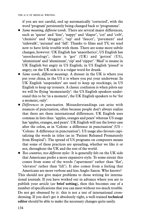if you are not careful, end up automatically 'corrected', with the word 'program' persistently being changed back to 'programme'.

- *Same meaning, different words*. There are several major differences, such as 'queue' and 'line', 'nappy' and 'diaper', 'cot' and 'crib', 'chemist' and 'druggist', 'tap' and 'faucet', 'pavement' and 'sidewalk', 'autumn' and 'fall'. Thanks to films and TV, we tend now to have little trouble with them. There are some more subtle changes, however: UK English has 'anaesthetics', US English has 'anesthesiology'; there is 'got' (UK) and 'gotten' (US), 'aluminium' and 'aluminum', 'zip' and 'zipper'. 'Mad' is insane in UK English but angry in US English; in US English 'pissed' is angry; on the UK side it is a vulgar word for drunk.
- *Same words, different meanings*. A dresser in the UK is where you put your china, in the US it is where you put your underwear. In UK English 'suspenders' are used to keep up stockings; in US English to keep up trousers. A classic confusion is when pilots say we will be flying 'momentarily': the US English speakers understand this to be 'in a moment', the UK English speakers to be 'for a moment, only'.
- *Differences in punctuation*. Misunderstandings can arise with nuances of punctuation, often because people don't always realize that there are these international differences. UK English uses commas in lists thus: 'apples, oranges and pears' whereas US usage has 'apples, oranges, and pears'. UK English will use the lower case after the colon, as in 'Colons: a difference in punctuation' (US – 'Colons: A difference in punctuation'). US usage also favours capitalizing the words in titles (as in 'Patient Released Prematurely from Hospital'). The spread of US programs on computers means that some of these practices are spreading, whether we like it or not, throughout the UK and the rest of the world.
- *Two countries, two different styles*: It is generally felt on the UK side that Americans prefer a more expansive style. To some extent this comes from some of the words ('apartment' rather than 'flat', 'elevator' rather than 'lift'). It also comes from a feeling that Americans are more verbose and less Anglo-Saxon. Who knows?

This should not give major problems to those writing for international journals. If you have worked out in advance where you are to publish your article (*see* **brief setting**), then this becomes one of a number of specifications that you can meet without too much trouble. Do not get obsessed by it: this is not a test of international crossdressing. If you don't get it absolutely right, a well-trained **technical editor** should be able to make the necessary changes quite easily.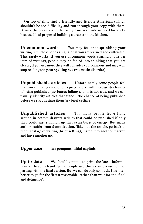On top of this, find a friendly and literate American (which shouldn't be too difficult), and run through your copy with them. Beware the occasional pitfall – my American wife worried for weeks because I had proposed building a dresser in the kitchen.

**Uncommon words** You may feel that sprinkling your writing with these sends a signal that you are learned and cultivated. This rarely works. If you use uncommon words sparingly (one per item of writing), people may be fooled into thinking that you are clever; if you use more they will consider you pompous and may well stop reading (*see* **post spelling bee traumatic disorder**).

**Unpublishable articles** Unfortunately some people feel that working long enough on a piece of text will increase its chances of being published (*see* **Icarus fallacy**). This is not true, and we can usually identify articles that stand little chance of being published before we start writing them (*see* **brief setting**).

**Unpublished articles** Too many people leave lying around in bottom drawers articles that could be published if only they could just summon up that extra burst of energy. But many authors suffer from **demotivation**. Take out the article, go back to the first stage of writing (**brief setting**), match it to another market, and have another go.

**Upper case** *See* **pompous initial capitals**.

**Up-to-date** We should commit to print the latest information we have to hand. Some people use this as an excuse for not parting with the final version. But we can do only so much. It is often better to go for the 'latest reasonable' rather than wait for the 'final and definitive'.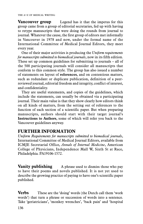**Vancouver group** Legend has it that the impetus for this group came from a group of editorial secretaries, fed up with having to retype manuscripts that were doing the rounds from journal to journal. Whatever the cause, the first group of editors met informally in Vancouver in 1978 and now, under the formal name of the International Committee of Medical Journal Editors, they meet every year.

One of their major activities is producing the *Uniform requirements for manuscripts submitted to biomedical journals*, now in its fifth edition. These set up common guidelines for submitting to journals – all of the 500 participating journals will consider all manuscripts that conform to this common style. The group has also issued a number of statements on layout of **references**, and on contentious matters, such as redundant or duplicate publication, definition of a peerreviewed journal, editorial freedom and integrity, conflict of interest, and confidentiality.

They are useful statements, and copies of the guidelines, which include the statements, can usually be obtained via a participating journal. Their main value is that they show clearly how editors think on all kinds of matters, from the setting out of references to the function of each section of a scientific paper. But when preparing manuscripts, authors should start with their target journal's **Instructions to Authors**, some of which will refer you back to the Vancouver guidelines anyway.

# **FURTHER INFORMATION**

*Uniform Requirements for manuscripts submitted to biomedical journals*, International Committee of Medical Journal Editors, available from ICMJE Secretarial Office, *Annals of Internal Medicine*, American College of Physicians, Independence Mall W, Sixth St at Race, Philadelphia. PA19106-1572.

**Vanity publishing** A phrase used to dismiss those who pay to have their poems and novels published. It is not yet used to describe the growing practice of paying to have one's scientific paper published.

**Verbs** These are the 'doing' words (the Dutch call them 'work words') that turn a phrase or succession of words into a sentence. Take 'geriatricians', 'monkey wrenches', 'back pain' and 'hospital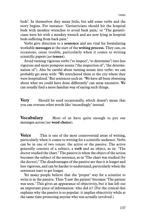beds'. In themselves they mean little, but add some verbs and the story begins. For instance: 'Geriatricians should hit the hospital beds with monkey wrenches to avoid back pain,' or 'The geriatricians were hit with a monkey wrench and are now lying in hospital beds suffering from back pain.'

Verbs give direction to a **sentence** and are vital for formulating workable **messages** at the start of the **writing process**. They can, on occasions, cause trouble, particularly when it comes to writing scientific papers (*see* **tenses**).

Avoid turning vigorous verbs ('to inspect', 'to determine') into less vigorous and more pompous nouns ('the inspection of ', 'the determination of '). Also be careful about turning nouns into verbs: we can probably get away with: 'We stretchered them to the city where they were hospitalized.' But sentences such as: 'We have all been obsessing about what we could have done differently' can seem excessive. We can usually find a more familiar way of saying such things.

**Very** Should be used occasionally, which doesn't mean that you can overuse other words like 'exceedingly' instead.

**Vocabulary** Most of us have quite enough to put our messages across (*see* **word choice**).

**Voice** This is one of the most controversial areas of writing, particularly when it comes to writing for a scientific audience. Verbs can be in one of two voices: the active or the passive. The active generally consists of a subject, a **verb** and an object, as in: 'The doctor studied the chart.' The passive is when the object of the action becomes the subject of the sentence, as in 'The chart was studied (by the doctor).' The disadvantages of the passive are that it is longer and less vigorous, and can be harder to understand, particularly when the sentences start to get longer.

Yet many people believe that the 'proper' way for a scientist to write is in the passive. Thus 'I saw the patient' becomes 'The patient was seen.' This gives an appearance of objectivity, but it has left out an important piece of information: who did it? (For the cynical this explains why the passive is so popular: it implies objectivity while at the same time protecting anyone who was actually involved.)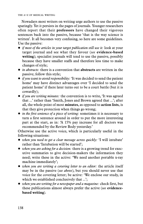Nowadays most writers on writing urge authors to use the passive sparingly. Yet it persists in the pages of journals. Younger researchers often report that their **professors** have changed their vigorous sentences back into the passive, because 'that is the way science is written'. It all becomes very confusing, so here are some guidelines. Use the passive:

- *if most of the articles in your target publication still use it:* look at your target journal and see what they favour (*see* **evidence-based writing**); specialist journals will tend to use the passive, possibly because they have smaller staffs and therefore less time to make changes of style;
- *in abstracts:* there is a convention that **abstracts** are written in the passive; follow this style;
- *if you want to avoid responsibility:* 'It was decided to send the patient home' may have distinct advantages over 'I decided to send the patient home' if there later turns out to be a court battle (but it is cowardly);
- *if you are writing minutes:* the convention is to write, 'It was agreed that ...' rather than 'Smith, Jones and Brown agreed that ...'; after all, the whole point of most **minutes**, as opposed to **action lists**, is that they give protection when things go wrong;
- *in the first sentence of a piece of writing:* sometimes it is necessary to turn a first sentence around in order to put the more interesting part at the start, as in: 'A 15% pay increase for all doctors was recommended by the Review Body yesterday.'

Otherwise use the active voice, which is particularly useful in the following situations:

- *when you need to get a clear message across quickly:* 'I will intubate' rather than 'Intubation will be started';
- *when you are asking for a decision:* there is a growing trend for executive summaries to give decision-makers the information they need; write these in the active: 'We need another portable x-ray machine immediately';
- *when you are writing a covering letter to an editor:* the article itself may be in the passive (*see above*), but you should never use that voice for the covering letter; be active: 'We enclose our study, in which we established conclusively that ...';
- *when you are writing for a newspaper and a magazine:* check first, but these publications almost always prefer the active (*see* **evidencebased writing**).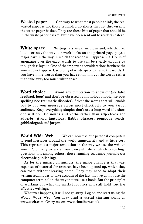**Wasted paper** Contrary to what most people think, the real wasted paper is not those crumpled up sheets that get thrown into the waste paper basket. They are those bits of paper that should be in the waste paper basket, but have been sent out to readers instead.

**White space** Writing is a visual medium and, whether we like it or not, the way our work looks on the printed page plays a major part in the way in which the reader will approach it. Hours of agonizing over the exact words to use can be swiftly undone by thoughtless layout. One of the important considerations is where the words do not appear. Use plenty of white space to frame the words. If you have more words than you have room for, cut the words rather than take away too much white space.

**Word choice** Avoid any temptation to show off (*see* **false feedback loop**) and don't be obsessed by **monologophobia** (*see* **post spelling bee traumatic disorder**). Select the words that will enable you to put your **message** across most effectively to your target audience. Keep everything simple: don't use a long word if a short one will do. Use **nouns** and **verbs** rather than **adjectives** and **adverbs**. Avoid **tautology**, **flabby phrases**, **pompous words**, **gobbledegook** and **jargon**.

**World Wide Web** We can now use our personal computers to send messages around the world immediately and at little cost. This represents a major revolution in the way we use the written word. Potentially we are all our own publishers, which poses huge questions for, among others, those running academic journals (*see* **electronic publishing**).

As for the impact on authors, the major change is that vast expanses of material for research have been opened up, which they can roam without leaving home. They may need to adapt their writing techniques to take account of the fact that we do not use the computer terminal in the way that we use a book. But the principles of working out what the market requires will still hold true (*see* **effective writing**).

Whatever happens, it will not go away. Log on and start using the World Wide Web. You may find a useful starting point in www.useit.com. Or try me on: www.timalbert.co.uk.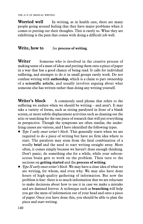**Worried well** In writing, as in health care, there are many people going around feeling that they have major problems when it comes to putting out their thoughts. This is rarely so. What they are exhibiting is the pain that comes with doing a difficult job well.

## **Write, how to** *See* **process of writing**.

Writer Someone who is involved in the creative process of making sense of a mass of ideas and putting them onto a piece of paper in a way that has a good chance of being read. It calls for individual suffering, and attempts to do it in small groups rarely work. Do not confuse writing with **authorship**, which is a claim to part ownership of a **scientific article**, and usually involves arguing about what someone else has written rather than doing any writing yourself.

Writer's block A commonly used phrase that refers to the suffering we endure when we should be writing – and aren't. It may take a variety of forms, such as sitting paralysed in front of a blank screen, or more subtle displacement activities such as cleaning out the attic or searching for the one piece of research that will put everything in perspective. Though the symptoms are often similar, the underlying causes are various, and I have identified the following types.

- *Type I early onset writer's block*. This generally starts when we are required to do a piece of writing but have no firm idea where to start. The paralysis may stem from the fatal combination of a woolly **brief** and the need to start writing straight away. More often, it comes simply because we haven't done enough thinking. Don't panic; do something else for a while, while your subconscious brain gets to work on the problem. Then turn to the sections on **getting started** and the **process of writing**.
- *Type II early onset writer's block*. We may have a clear idea of what we are writing, for whom, and even why. We may also have done hours of high-quality gathering of information. But now the problem is fear: there is so much information that we are reluctant to make decisions about how to use it in case we make a mistake and are damned forever. A technique such as **branching** will help you get the mess of information out of your head and onto a piece of paper. Once you have done this, you should be able to plan the piece and start writing.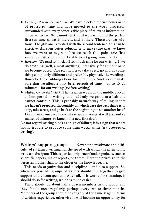- *Perfect first sentence syndrome*. We have blocked off two hours or so of protected time and have moved to the word processor, surrounded with every conceivable piece of relevant information. Then we freeze. We cannot start until we have found the perfect first sentence, so we sit there ... and sit there. There are two solutions. The glib one is to start with the second sentence; this can be effective. An even better solution is to make sure that we know how we want to begin before we reach this point (*see* **first sentence**). We should then be able to get going immediately.
- *Boredom*. We tend to block off too much time for our writing. If we do anything (well, almost anything) intensively for an hour or so we become bored. One solution is to take a rest: go and do something completely different and preferably physical, like weeding a flower bed or scrubbing a floor, for 10 minutes. Another is to make sure that we allocate only brief periods of time – up to 15–20 minutes – for our writing (*see* **free writing**).
- *Mid-stream writer's block*. This is when we are in the middle of even a short period of writing, and suddenly we grind to a halt and cannot continue. This is probably nature's way of telling us that we haven't prepared thoroughly, in which case the best thing is to stop, take a rest, and go back to the beginning to set another **brief**. Don't panic: once we know where we are going, it will take only a matter of minutes to knock off a new first draft.

Do not regard writing block as a sign of failure; it is a sign that we are taking trouble to produce something worth while (*see* **process of writing**).

**Writers' support groups** Never underestimate the difficulty of sustained writing, nor the speed with which the intention to write can dissipate. This is particularly true of major projects, such as scientific papers, major reports, or theses. Here the prizes go to the persistent rather than to the clever or the knowledgeable.

This needs organization and discipline – and also support. So, whenever possible, groups of writers should join together to give support and encouragement. After all, if it works for slimming, it should do so for writing, which is much easier.

There should be about half a dozen members in the group, and they should meet regularly, perhaps every two or three months. Members of the group should be roughly at the same stage in terms of writing experience, otherwise it will become an opportunity for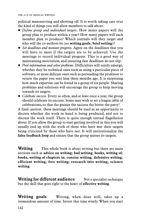political manoeuvring and showing off. It is worth taking care over the kind of things you will allow members to talk about.

- *Define group and individual targets*. How many papers will the group plan to produce within a year? How many papers will each member plan to produce? Which journals will they target and who will the co-authors be (*see* **writing goals**; **brief setting**)?
- *Set deadlines and monitor progress*. Agree on the deadlines that you will have to meet if the targets are to be achieved. Use the meetings to record individual progress. This is a good way of maintaining motivation, and ensuring that deadlines do not slip.
- *Pool information and solve problems*. Difficulties will surely emerge, whether they be technical ones such as using a particular piece of software, or more delicate ones such as persuading the professor to return the paper you sent him three months ago. It is surprising how much expertise can be found in a group of six people. Sharing problems and solutions will encourage the group to keep moving towards its targets.
- *Celebrate success*. Every so often, and at least once a year, the group should celebrate its success. Some may wish to set a league table of celebrations, so that the greater the success the better the party!

A final caution: these meetings should be used as an opportunity to discuss whether the work in hand is being produced, and not to discuss the work itself. There is quite enough textual flagellation about. If you allow the group to start getting involved in this you will usually end up with the work of those who have met their targets being criticized by those who have not. It will institutionalize the **false feedback loop** and ensure that the group misses its targets.

**Writing** This whole book is about writing but there are main sections such as **advice on writing**; **bad writing**; **books, writing of**; **books, writing of chapters in**; **concise writing**; **defensive writing**; **efficient writing**; **free writing**; **research into writing**; **science writing**.

**Writing for different audience** Not a specialist technique but the skill that goes right to the heart of **effective writing**.

**Writing goals** Writing, when done well, takes up a tremendous amount of time. Invest this time wisely. When you start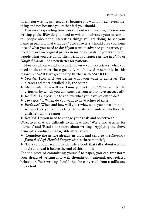on a major writing project, do so because you want it to achieve something and not because you rather feel you should.

This means spending time working out – and writing down – your writing goals. *Why* do you need to write: to advance your career, to tell people about the interesting things you are doing, to see your name in print, to make money? The answer(s) should give you some idea of what you need to do: if you want to advance your career, you need one or two original papers in major journals; if you want to tell people what you are doing then perhaps a feature article in *Pulse* or *Hospital Doctor* – or a newsletter for patients.

Now decide on – and also write down – your objectives: what you need to do to meet these goals. A much-loved mnemonic in this regard is SMART; we go one step further with SMARTER.

- *Specific.* How will you define what you want to achieve? The clearer and more detailed it is, the better.
- *Measurable*. How will you know you get there? What will be the criterion by which you will consider yourself to have succeeded?
- *Realistic*. Is it possible to achieve what you have set out to do?
- *Time specific.* When do you want to have achieved this?
- *Evaluated*. When and how will you review what you have done and see whether you are meeting the goals, and indeed whether the goals remain the same?
- *Revised*. Do you need to change your goals and objectives?

Objectives that are difficult to achieve are: 'Write two articles for journals' and 'Read some more about writing.' Applying the above principles produces manageable alternatives.

- 'Complete the article already in draft and send to the *European Journal of Left-Handed Surgery* within three months';
- 'Do a computer search to identify a book that talks about writing style and read it before the end of this month'.

For the price of committing yourself to paper, you can transform your dread of writing into well thought-out, rational, goal-related behaviour. Your writing should thus be converted from a millstone into a tool.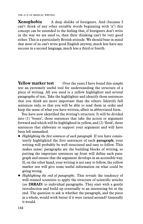**Xenophobia** A deep dislike of foreigners. And (because I can't think of any other suitable words beginning with 'x') this concept can be extended to the feeling that, if foreigners don't write in the way we are used to, then their thinking can't be very good either. This is a particularly British attitude. We should bear in mind that most of us can't write good English anyway, much less have any success in a second language, much less a third or fourth.

**Yellow marker test** Over the years I have found this simple test an extremely useful tool for understanding the structure of a piece of writing. All you need is a yellow highlighter and several paragraphs of text. Take the highlighter and identify those sentences that you think are more important than the others. Identify full sentences only, so that you will be able to read them in order and keep the sense of what you have written, albeit in abbreviated form.

You have now identified the writing's structure. It will be divided into (1) 'bones', those sentences that take the action or argument forward and which will be highlighted in yellow, and (2) 'flesh', those sentences that elaborate or support your argument and will have been left unmarked.

- *Highlighting the first sentences of each paragraph.* If you have consistently highlighted the first sentences of each **paragraph**, your writing will probably be well structured and easy to follow. This makes sense: paragraphs are the building blocks of writing, so putting the important sentences up front will define each paragraph and ensure that the argument develops in an accessible way. If, on the other hand, your writing is not easy to follow, the yellow marker test will give some useful information on what could be going wrong.
- *Highlighting the end of paragraphs*. This reveals the tendency of well-trained scientists to apply the structure of scientific articles (*see* **IMRAD**) to individual paragraphs. They start with a gentle introduction and build up eventually to an interesting bit at the end. The question to ask is whether the paragraph, and the piece as a whole, would work better if it were turned around? Generally it would.